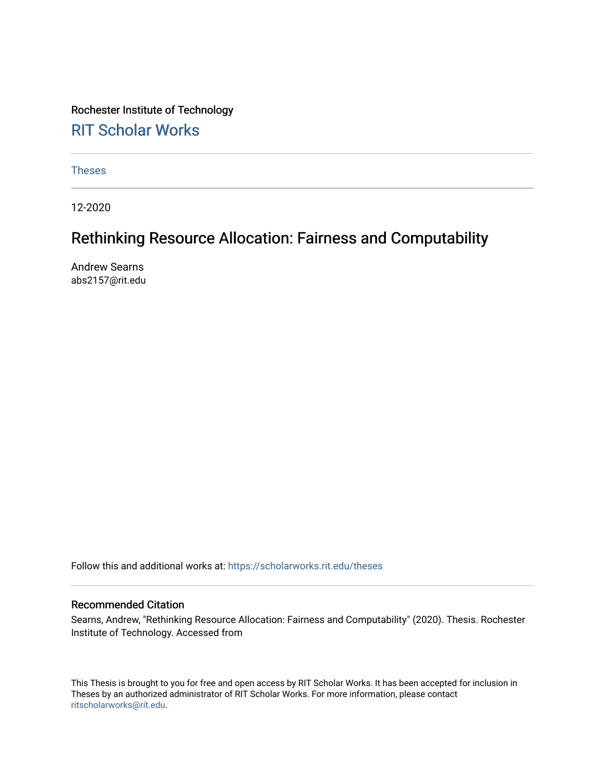Rochester Institute of Technology [RIT Scholar Works](https://scholarworks.rit.edu/)

[Theses](https://scholarworks.rit.edu/theses) 

12-2020

## Rethinking Resource Allocation: Fairness and Computability

Andrew Searns abs2157@rit.edu

Follow this and additional works at: [https://scholarworks.rit.edu/theses](https://scholarworks.rit.edu/theses?utm_source=scholarworks.rit.edu%2Ftheses%2F10651&utm_medium=PDF&utm_campaign=PDFCoverPages) 

### Recommended Citation

Searns, Andrew, "Rethinking Resource Allocation: Fairness and Computability" (2020). Thesis. Rochester Institute of Technology. Accessed from

This Thesis is brought to you for free and open access by RIT Scholar Works. It has been accepted for inclusion in Theses by an authorized administrator of RIT Scholar Works. For more information, please contact [ritscholarworks@rit.edu](mailto:ritscholarworks@rit.edu).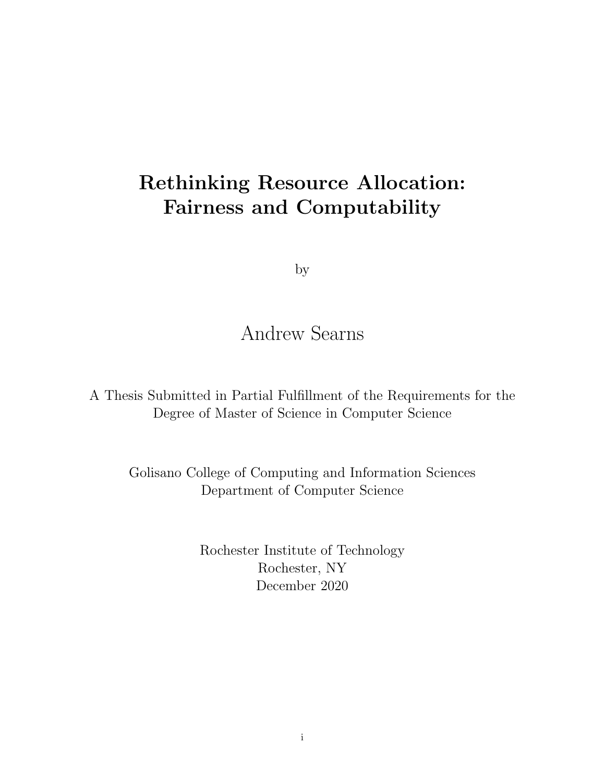# <span id="page-1-0"></span>Rethinking Resource Allocation: Fairness and Computability

by

## Andrew Searns

A Thesis Submitted in Partial Fulfillment of the Requirements for the Degree of Master of Science in Computer Science

Golisano College of Computing and Information Sciences Department of Computer Science

> Rochester Institute of Technology Rochester, NY December 2020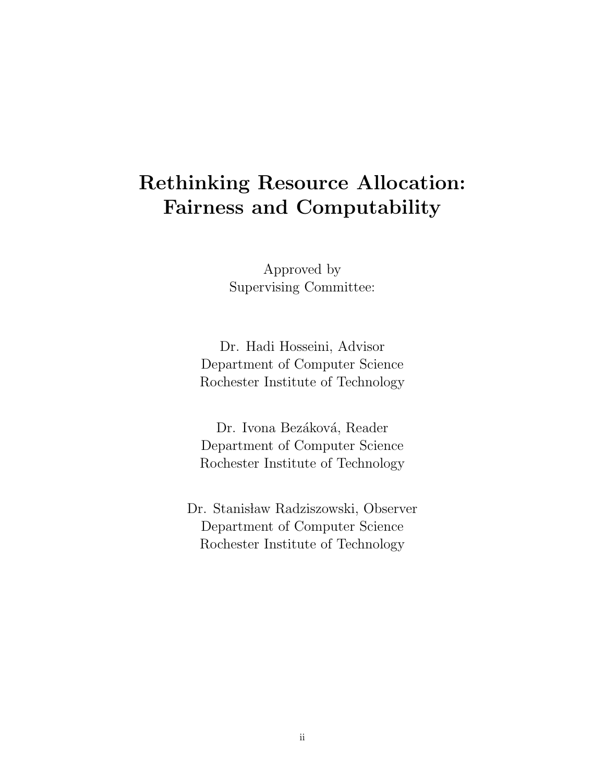# Rethinking Resource Allocation: Fairness and Computability

Approved by Supervising Committee:

Dr. Hadi Hosseini, Advisor Department of Computer Science Rochester Institute of Technology

Dr. Ivona Bezáková, Reader Department of Computer Science Rochester Institute of Technology

Dr. Stanisław Radziszowski, Observer Department of Computer Science Rochester Institute of Technology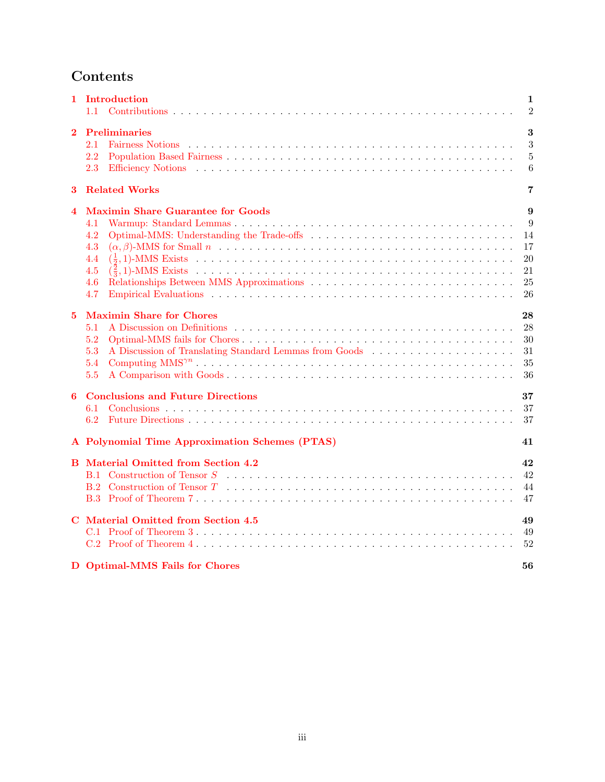## Contents

|                         | 1 Introduction<br>1.1                                                                                                                                                                                                                                                      | 1<br>$\overline{2}$                        |
|-------------------------|----------------------------------------------------------------------------------------------------------------------------------------------------------------------------------------------------------------------------------------------------------------------------|--------------------------------------------|
| $\bf{2}$                | <b>Preliminaries</b><br>2.1<br>Fairness Notions (a) respectively and the set of the set of the set of the set of the set of the set of the set of the set of the set of the set of the set of the set of the set of the set of the set of the set of the set<br>2.2<br>2.3 | 3<br>3<br>$\overline{5}$<br>6              |
| 3                       | <b>Related Works</b>                                                                                                                                                                                                                                                       | 7                                          |
| $\overline{\mathbf{4}}$ | <b>Maximin Share Guarantee for Goods</b><br>4.1<br>4.2<br>4.3<br>4.4<br>4.5<br>4.6<br>4.7                                                                                                                                                                                  | 9<br>9<br>14<br>17<br>20<br>21<br>25<br>26 |
| $\bf{5}$                | <b>Maximin Share for Chores</b><br>5.1<br>5.2<br>5.3<br>5.4<br>5.5                                                                                                                                                                                                         | 28<br>28<br>30<br>31<br>35<br>36           |
| 6                       | <b>Conclusions and Future Directions</b><br>6.1<br>6.2                                                                                                                                                                                                                     | 37<br>37<br>37                             |
|                         | A Polynomial Time Approximation Schemes (PTAS)                                                                                                                                                                                                                             | 41                                         |
|                         | <b>B</b> Material Omitted from Section 4.2                                                                                                                                                                                                                                 | 42<br>42<br>44<br>47                       |
|                         | C Material Omitted from Section 4.5                                                                                                                                                                                                                                        | 49<br>49<br>52                             |
|                         | D Optimal-MMS Fails for Chores                                                                                                                                                                                                                                             | 56                                         |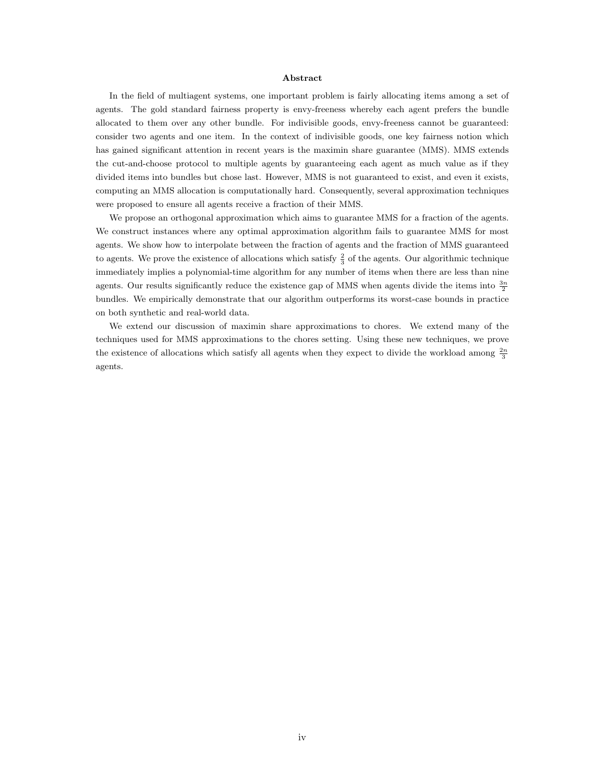#### Abstract

In the field of multiagent systems, one important problem is fairly allocating items among a set of agents. The gold standard fairness property is envy-freeness whereby each agent prefers the bundle allocated to them over any other bundle. For indivisible goods, envy-freeness cannot be guaranteed: consider two agents and one item. In the context of indivisible goods, one key fairness notion which has gained significant attention in recent years is the maximin share guarantee (MMS). MMS extends the cut-and-choose protocol to multiple agents by guaranteeing each agent as much value as if they divided items into bundles but chose last. However, MMS is not guaranteed to exist, and even it exists, computing an MMS allocation is computationally hard. Consequently, several approximation techniques were proposed to ensure all agents receive a fraction of their MMS.

We propose an orthogonal approximation which aims to guarantee MMS for a fraction of the agents. We construct instances where any optimal approximation algorithm fails to guarantee MMS for most agents. We show how to interpolate between the fraction of agents and the fraction of MMS guaranteed to agents. We prove the existence of allocations which satisfy  $\frac{2}{3}$  of the agents. Our algorithmic technique immediately implies a polynomial-time algorithm for any number of items when there are less than nine agents. Our results significantly reduce the existence gap of MMS when agents divide the items into  $\frac{3n}{2}$ bundles. We empirically demonstrate that our algorithm outperforms its worst-case bounds in practice on both synthetic and real-world data.

We extend our discussion of maximin share approximations to chores. We extend many of the techniques used for MMS approximations to the chores setting. Using these new techniques, we prove the existence of allocations which satisfy all agents when they expect to divide the workload among  $\frac{2n}{3}$ agents.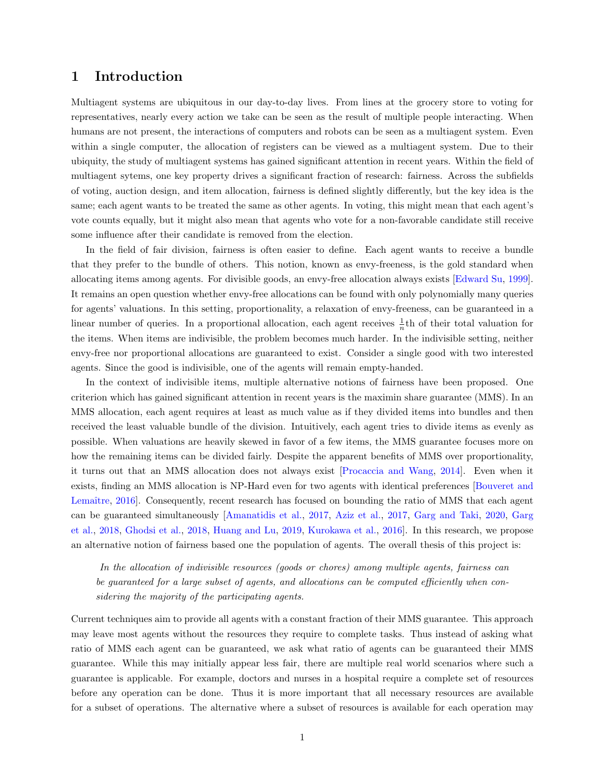## <span id="page-5-0"></span>1 Introduction

Multiagent systems are ubiquitous in our day-to-day lives. From lines at the grocery store to voting for representatives, nearly every action we take can be seen as the result of multiple people interacting. When humans are not present, the interactions of computers and robots can be seen as a multiagent system. Even within a single computer, the allocation of registers can be viewed as a multiagent system. Due to their ubiquity, the study of multiagent systems has gained significant attention in recent years. Within the field of multiagent sytems, one key property drives a significant fraction of research: fairness. Across the subfields of voting, auction design, and item allocation, fairness is defined slightly differently, but the key idea is the same; each agent wants to be treated the same as other agents. In voting, this might mean that each agent's vote counts equally, but it might also mean that agents who vote for a non-favorable candidate still receive some influence after their candidate is removed from the election.

In the field of fair division, fairness is often easier to define. Each agent wants to receive a bundle that they prefer to the bundle of others. This notion, known as envy-freeness, is the gold standard when allocating items among agents. For divisible goods, an envy-free allocation always exists [\[Edward Su,](#page-43-0) [1999\]](#page-43-0). It remains an open question whether envy-free allocations can be found with only polynomially many queries for agents' valuations. In this setting, proportionality, a relaxation of envy-freeness, can be guaranteed in a linear number of queries. In a proportional allocation, each agent receives  $\frac{1}{n}$ th of their total valuation for the items. When items are indivisible, the problem becomes much harder. In the indivisible setting, neither envy-free nor proportional allocations are guaranteed to exist. Consider a single good with two interested agents. Since the good is indivisible, one of the agents will remain empty-handed.

In the context of indivisible items, multiple alternative notions of fairness have been proposed. One criterion which has gained significant attention in recent years is the maximin share guarantee (MMS). In an MMS allocation, each agent requires at least as much value as if they divided items into bundles and then received the least valuable bundle of the division. Intuitively, each agent tries to divide items as evenly as possible. When valuations are heavily skewed in favor of a few items, the MMS guarantee focuses more on how the remaining items can be divided fairly. Despite the apparent benefits of MMS over proportionality, it turns out that an MMS allocation does not always exist [\[Procaccia and Wang,](#page-44-0) [2014\]](#page-44-0). Even when it exists, finding an MMS allocation is NP-Hard even for two agents with identical preferences [\[Bouveret and](#page-42-0) Lemaître, 2016. Consequently, recent research has focused on bounding the ratio of MMS that each agent can be guaranteed simultaneously [\[Amanatidis et al.,](#page-42-1) [2017,](#page-42-1) [Aziz et al.,](#page-42-2) [2017,](#page-42-2) [Garg and Taki,](#page-43-1) [2020,](#page-43-1) [Garg](#page-43-2) [et al.,](#page-43-2) [2018,](#page-43-2) [Ghodsi et al.,](#page-43-3) [2018,](#page-43-3) [Huang and Lu,](#page-43-4) [2019,](#page-43-4) [Kurokawa et al.,](#page-43-5) [2016\]](#page-43-5). In this research, we propose an alternative notion of fairness based one the population of agents. The overall thesis of this project is:

In the allocation of indivisible resources (goods or chores) among multiple agents, fairness can be guaranteed for a large subset of agents, and allocations can be computed efficiently when considering the majority of the participating agents.

Current techniques aim to provide all agents with a constant fraction of their MMS guarantee. This approach may leave most agents without the resources they require to complete tasks. Thus instead of asking what ratio of MMS each agent can be guaranteed, we ask what ratio of agents can be guaranteed their MMS guarantee. While this may initially appear less fair, there are multiple real world scenarios where such a guarantee is applicable. For example, doctors and nurses in a hospital require a complete set of resources before any operation can be done. Thus it is more important that all necessary resources are available for a subset of operations. The alternative where a subset of resources is available for each operation may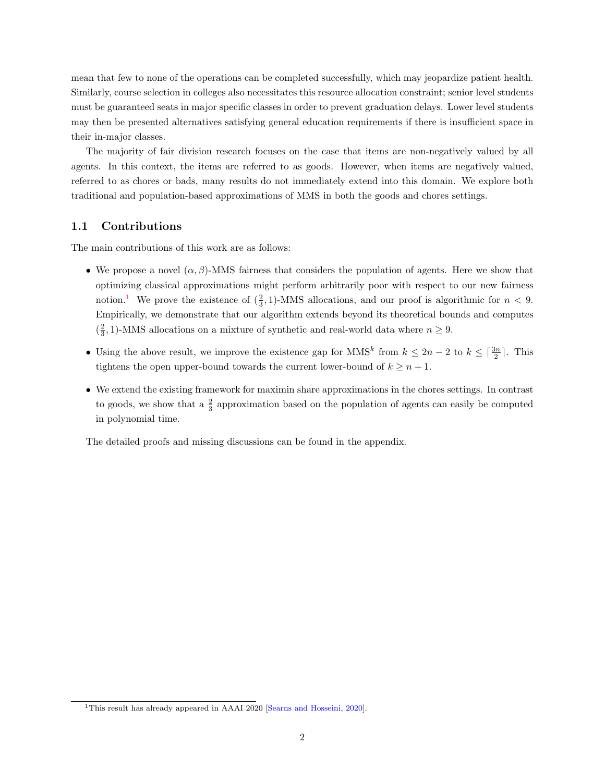mean that few to none of the operations can be completed successfully, which may jeopardize patient health. Similarly, course selection in colleges also necessitates this resource allocation constraint; senior level students must be guaranteed seats in major specific classes in order to prevent graduation delays. Lower level students may then be presented alternatives satisfying general education requirements if there is insufficient space in their in-major classes.

The majority of fair division research focuses on the case that items are non-negatively valued by all agents. In this context, the items are referred to as goods. However, when items are negatively valued, referred to as chores or bads, many results do not immediately extend into this domain. We explore both traditional and population-based approximations of MMS in both the goods and chores settings.

#### <span id="page-6-0"></span>1.1 Contributions

The main contributions of this work are as follows:

- We propose a novel  $(\alpha, \beta)$ -MMS fairness that considers the population of agents. Here we show that optimizing classical approximations might perform arbitrarily poor with respect to our new fairness notion.<sup>[1](#page-1-0)</sup> We prove the existence of  $(\frac{2}{3}, 1)$ -MMS allocations, and our proof is algorithmic for  $n < 9$ . Empirically, we demonstrate that our algorithm extends beyond its theoretical bounds and computes  $(\frac{2}{3}, 1)$ -MMS allocations on a mixture of synthetic and real-world data where  $n \geq 9$ .
- Using the above result, we improve the existence gap for MMS<sup>k</sup> from  $k \leq 2n-2$  to  $k \leq \lceil \frac{3n}{2} \rceil$ . This tightens the open upper-bound towards the current lower-bound of  $k \geq n+1$ .
- We extend the existing framework for maximin share approximations in the chores settings. In contrast to goods, we show that a  $\frac{2}{3}$  approximation based on the population of agents can easily be computed in polynomial time.

The detailed proofs and missing discussions can be found in the appendix.

<sup>&</sup>lt;sup>1</sup>This result has already appeared in AAAI 2020 [\[Searns and Hosseini,](#page-44-1) [2020\]](#page-44-1).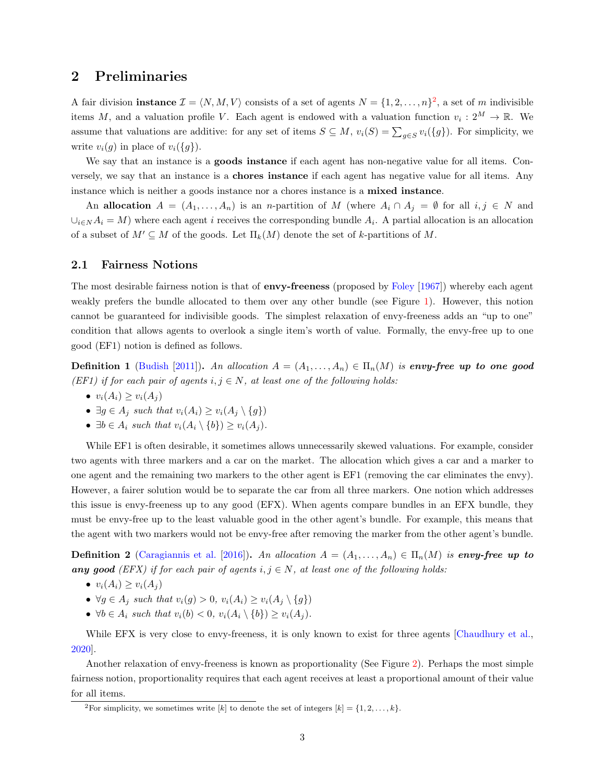## <span id="page-7-0"></span>2 Preliminaries

A fair division **instance**  $\mathcal{I} = \langle N, M, V \rangle$  consists of a set of agents  $N = \{1, 2, ..., n\}^2$  $N = \{1, 2, ..., n\}^2$  $N = \{1, 2, ..., n\}^2$ , a set of m indivisible items M, and a valuation profile V. Each agent is endowed with a valuation function  $v_i: 2^M \to \mathbb{R}$ . We assume that valuations are additive: for any set of items  $S \subseteq M$ ,  $v_i(S) = \sum_{g \in S} v_i({g})$ . For simplicity, we write  $v_i(g)$  in place of  $v_i({g})$ .

We say that an instance is a **goods instance** if each agent has non-negative value for all items. Conversely, we say that an instance is a chores instance if each agent has negative value for all items. Any instance which is neither a goods instance nor a chores instance is a mixed instance.

An allocation  $A = (A_1, \ldots, A_n)$  is an *n*-partition of M (where  $A_i \cap A_j = \emptyset$  for all  $i, j \in N$  and  $\cup_{i\in N}A_i = M$ ) where each agent i receives the corresponding bundle  $A_i$ . A partial allocation is an allocation of a subset of  $M' \subseteq M$  of the goods. Let  $\Pi_k(M)$  denote the set of k-partitions of M.

#### <span id="page-7-1"></span>2.1 Fairness Notions

The most desirable fairness notion is that of **envy-freeness** (proposed by [Foley](#page-43-6) [\[1967\]](#page-43-6)) whereby each agent weakly prefers the bundle allocated to them over any other bundle (see Figure [1\)](#page-8-0). However, this notion cannot be guaranteed for indivisible goods. The simplest relaxation of envy-freeness adds an "up to one" condition that allows agents to overlook a single item's worth of value. Formally, the envy-free up to one good (EF1) notion is defined as follows.

Definition 1 [\(Budish](#page-42-3) [\[2011\]](#page-42-3)). An allocation  $A = (A_1, \ldots, A_n) \in \Pi_n(M)$  is envy-free up to one good (EF1) if for each pair of agents  $i, j \in N$ , at least one of the following holds:

- $v_i(A_i) \ge v_i(A_j)$
- $\exists g \in A_j$  such that  $v_i(A_i) \ge v_i(A_j \setminus \{g\})$
- $\exists b \in A_i$  such that  $v_i(A_i \setminus \{b\}) \ge v_i(A_i)$ .

While EF1 is often desirable, it sometimes allows unnecessarily skewed valuations. For example, consider two agents with three markers and a car on the market. The allocation which gives a car and a marker to one agent and the remaining two markers to the other agent is EF1 (removing the car eliminates the envy). However, a fairer solution would be to separate the car from all three markers. One notion which addresses this issue is envy-freeness up to any good (EFX). When agents compare bundles in an EFX bundle, they must be envy-free up to the least valuable good in the other agent's bundle. For example, this means that the agent with two markers would not be envy-free after removing the marker from the other agent's bundle.

**Definition 2** [\(Caragiannis et al.](#page-42-4) [\[2016\]](#page-42-4)). An allocation  $A = (A_1, \ldots, A_n) \in \Pi_n(M)$  is envy-free up to any good (EFX) if for each pair of agents  $i, j \in N$ , at least one of the following holds:

- $v_i(A_i) \geq v_i(A_i)$
- $\forall g \in A_j$  such that  $v_i(g) > 0$ ,  $v_i(A_i) \ge v_i(A_j \setminus \{g\})$
- $\forall b \in A_i$  such that  $v_i(b) < 0$ ,  $v_i(A_i \setminus \{b\}) \ge v_i(A_i)$ .

While EFX is very close to envy-freeness, it is only known to exist for three agents [\[Chaudhury et al.,](#page-42-5) [2020\]](#page-42-5).

Another relaxation of envy-freeness is known as proportionality (See Figure [2\)](#page-8-1). Perhaps the most simple fairness notion, proportionality requires that each agent receives at least a proportional amount of their value for all items.

<sup>&</sup>lt;sup>2</sup>For simplicity, we sometimes write [k] to denote the set of integers [k] = {1, 2, ..., k}.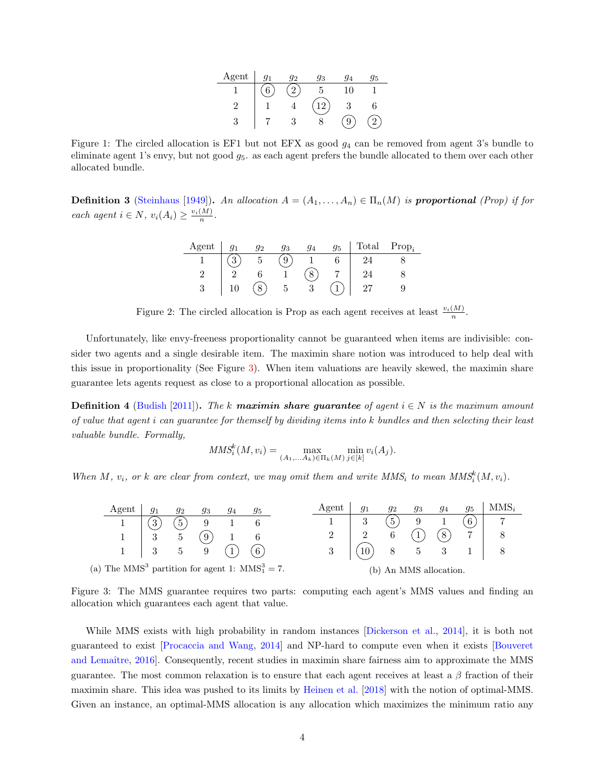| Agent | $q_1$ | Q2 | 93 | $\Delta$ | 95 |
|-------|-------|----|----|----------|----|
|       |       |    |    |          |    |
|       |       |    |    |          |    |
| 0     |       |    |    |          |    |

<span id="page-8-0"></span>Figure 1: The circled allocation is EF1 but not EFX as good  $g_4$  can be removed from agent 3's bundle to eliminate agent 1's envy, but not good  $g_5$ . as each agent prefers the bundle allocated to them over each other allocated bundle.

<span id="page-8-1"></span>**Definition 3** [\(Steinhaus](#page-44-2) [\[1949\]](#page-44-2)). An allocation  $A = (A_1, \ldots, A_n) \in \Pi_n(M)$  is proportional (Prop) if for each agent  $i \in N$ ,  $v_i(A_i) \geq \frac{v_i(M)}{n}$ .

| Agent |          | a۰ | 93 | 95 | Total | $Prop_i$ |
|-------|----------|----|----|----|-------|----------|
|       | $\Omega$ |    |    |    |       |          |
|       |          |    |    |    |       |          |
|       | IΛ       |    |    |    |       |          |

Figure 2: The circled allocation is Prop as each agent receives at least  $\frac{v_i(M)}{n}$ .

Unfortunately, like envy-freeness proportionality cannot be guaranteed when items are indivisible: consider two agents and a single desirable item. The maximin share notion was introduced to help deal with this issue in proportionality (See Figure [3\)](#page-8-2). When item valuations are heavily skewed, the maximin share guarantee lets agents request as close to a proportional allocation as possible.

**Definition 4** [\(Budish](#page-42-3) [\[2011\]](#page-42-3)). The k maximin share guarantee of agent  $i \in N$  is the maximum amount of value that agent i can guarantee for themself by dividing items into k bundles and then selecting their least valuable bundle. Formally,

$$
MMS_i^k(M, v_i) = \max_{(A_1, \dots, A_k) \in \Pi_k(M)} \min_{j \in [k]} v_i(A_j).
$$

When M,  $v_i$ , or k are clear from context, we may omit them and write  $MMS_i$  to mean  $MMS_i^k(M, v_i)$ .

<span id="page-8-2"></span>

| Agent                                                           |                | 92              | 93             | 94 | 95             | Agent | 91              | 92 | 93                 | 94 | 95 | $MMS_i$ |
|-----------------------------------------------------------------|----------------|-----------------|----------------|----|----------------|-------|-----------------|----|--------------------|----|----|---------|
|                                                                 | 3              | $\mathbf{5}$    |                |    |                |       | $\Omega$        |    |                    |    |    |         |
|                                                                 | $\Omega$<br>IJ | $\mathcal{D}$   | $\overline{9}$ |    |                |       |                 |    |                    | 8  |    |         |
|                                                                 | $\mathbf{3}$   | $5\overline{)}$ | 9              |    | 6 <sup>6</sup> |       | 10 <sup>1</sup> | 8  |                    |    |    |         |
| (a) The MMS <sup>3</sup> partition for agent 1: $MMS_1^3 = 7$ . |                |                 |                |    |                |       | $\mathbf{b}$    |    | An MMS allocation. |    |    |         |

Figure 3: The MMS guarantee requires two parts: computing each agent's MMS values and finding an allocation which guarantees each agent that value.

While MMS exists with high probability in random instances [\[Dickerson et al.,](#page-43-7) [2014\]](#page-43-7), it is both not guaranteed to exist [\[Procaccia and Wang,](#page-44-0) [2014\]](#page-44-0) and NP-hard to compute even when it exists [\[Bouveret](#page-42-0) and Lemaître, 2016. Consequently, recent studies in maximin share fairness aim to approximate the MMS guarantee. The most common relaxation is to ensure that each agent receives at least a  $\beta$  fraction of their maximin share. This idea was pushed to its limits by [Heinen et al.](#page-43-8) [\[2018\]](#page-43-8) with the notion of optimal-MMS. Given an instance, an optimal-MMS allocation is any allocation which maximizes the minimum ratio any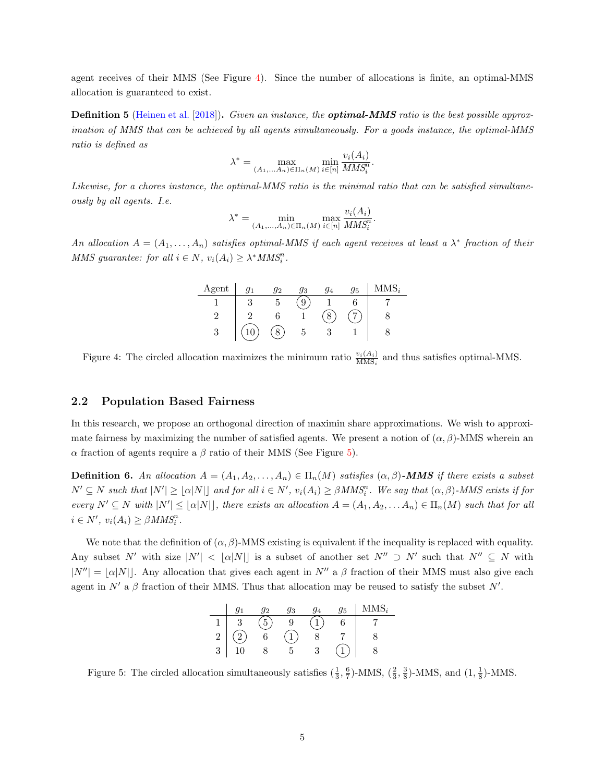agent receives of their MMS (See Figure [4\)](#page-9-1). Since the number of allocations is finite, an optimal-MMS allocation is guaranteed to exist.

**Definition 5** [\(Heinen et al.](#page-43-8) [\[2018\]](#page-43-8)). Given an instance, the **optimal-MMS** ratio is the best possible approximation of MMS that can be achieved by all agents simultaneously. For a goods instance, the optimal-MMS ratio is defined as

$$
\lambda^* = \max_{(A_1, \dots, A_n) \in \Pi_n(M)} \min_{i \in [n]} \frac{v_i(A_i)}{MMS_i^n}.
$$

Likewise, for a chores instance, the optimal-MMS ratio is the minimal ratio that can be satisfied simultaneously by all agents. I.e.

$$
\lambda^* = \min_{(A_1, ..., A_n) \in \Pi_n(M)} \max_{i \in [n]} \frac{v_i(A_i)}{MMS_i^n}.
$$

<span id="page-9-1"></span>An allocation  $A = (A_1, \ldots, A_n)$  satisfies optimal-MMS if each agent receives at least a  $\lambda^*$  fraction of their MMS guarantee: for all  $i \in N$ ,  $v_i(A_i) \geq \lambda^* M M S_i^n$ .

| Agent  | $\sigma$ | 93 | 95 | 47 T.C<br>۱., |
|--------|----------|----|----|---------------|
|        |          | ĸ. |    |               |
| c      |          |    |    |               |
| ഩ<br>U |          |    |    |               |

Figure 4: The circled allocation maximizes the minimum ratio  $\frac{v_i(A_i)}{\text{MMS}_i}$  and thus satisfies optimal-MMS.

#### <span id="page-9-0"></span>2.2 Population Based Fairness

In this research, we propose an orthogonal direction of maximin share approximations. We wish to approximate fairness by maximizing the number of satisfied agents. We present a notion of  $(\alpha, \beta)$ -MMS wherein an α fraction of agents require a β ratio of their MMS (See Figure [5\)](#page-9-2).

**Definition 6.** An allocation  $A = (A_1, A_2, \ldots, A_n) \in \Pi_n(M)$  satisfies  $(\alpha, \beta)$ -MMS if there exists a subset  $N' \subseteq N$  such that  $|N'| \geq | \alpha |N| \leq 1$  and for all  $i \in N'$ ,  $v_i(A_i) \geq \beta M M S_i^n$ . We say that  $(\alpha, \beta)$ -MMS exists if for every  $N' \subseteq N$  with  $|N'| \leq |\alpha|N|$ , there exists an allocation  $A = (A_1, A_2, \ldots, A_n) \in \Pi_n(M)$  such that for all  $i \in N', v_i(A_i) \geq \beta M M S_i^n$ .

<span id="page-9-2"></span>We note that the definition of  $(\alpha, \beta)$ -MMS existing is equivalent if the inequality is replaced with equality. Any subset N' with size  $|N'| < \lfloor \alpha |N| \rfloor$  is a subset of another set  $N'' \supset N'$  such that  $N'' \subseteq N$  with  $|N''| = |\alpha|N|$ . Any allocation that gives each agent in N'' a β fraction of their MMS must also give each agent in N' a  $\beta$  fraction of their MMS. Thus that allocation may be reused to satisfy the subset N'.

|                | 70 | Ωo | 95 | $MMS_i$ |
|----------------|----|----|----|---------|
|                | ĸ  |    |    |         |
| $\overline{2}$ |    |    |    |         |
| 3              |    |    |    |         |

Figure 5: The circled allocation simultaneously satisfies  $(\frac{1}{3}, \frac{6}{7})$ -MMS,  $(\frac{2}{3}, \frac{3}{8})$ -MMS, and  $(1, \frac{1}{8})$ -MMS.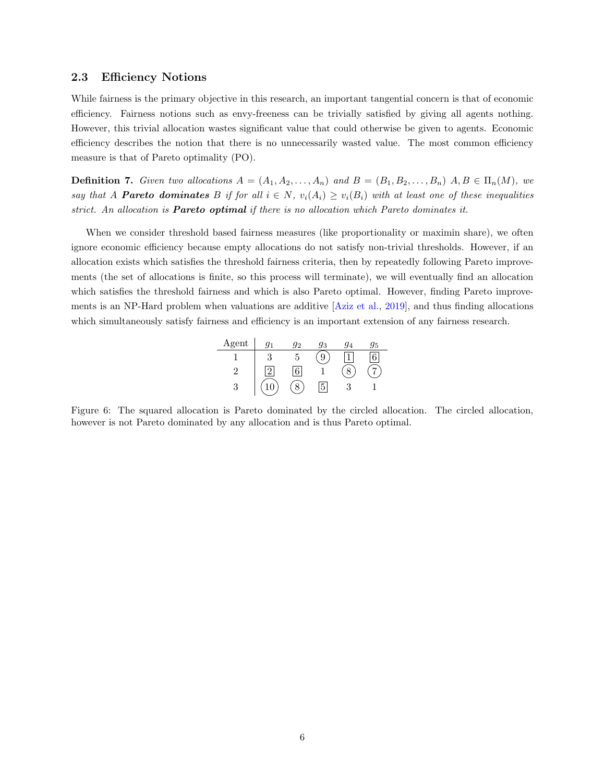#### <span id="page-10-0"></span>2.3 Efficiency Notions

While fairness is the primary objective in this research, an important tangential concern is that of economic efficiency. Fairness notions such as envy-freeness can be trivially satisfied by giving all agents nothing. However, this trivial allocation wastes significant value that could otherwise be given to agents. Economic efficiency describes the notion that there is no unnecessarily wasted value. The most common efficiency measure is that of Pareto optimality (PO).

**Definition 7.** Given two allocations  $A = (A_1, A_2, \ldots, A_n)$  and  $B = (B_1, B_2, \ldots, B_n)$   $A, B \in \Pi_n(M)$ , we say that A **Pareto dominates** B if for all  $i \in N$ ,  $v_i(A_i) \ge v_i(B_i)$  with at least one of these inequalities strict. An allocation is **Pareto optimal** if there is no allocation which Pareto dominates it.

When we consider threshold based fairness measures (like proportionality or maximin share), we often ignore economic efficiency because empty allocations do not satisfy non-trivial thresholds. However, if an allocation exists which satisfies the threshold fairness criteria, then by repeatedly following Pareto improvements (the set of allocations is finite, so this process will terminate), we will eventually find an allocation which satisfies the threshold fairness and which is also Pareto optimal. However, finding Pareto improvements is an NP-Hard problem when valuations are additive [\[Aziz et al.,](#page-42-6) [2019\]](#page-42-6), and thus finding allocations which simultaneously satisfy fairness and efficiency is an important extension of any fairness research.

| Agent |   | a۰ | 93 | 15 |
|-------|---|----|----|----|
|       |   |    |    |    |
| c     | ິ |    |    |    |
| ٠.    |   |    | к  |    |

Figure 6: The squared allocation is Pareto dominated by the circled allocation. The circled allocation, however is not Pareto dominated by any allocation and is thus Pareto optimal.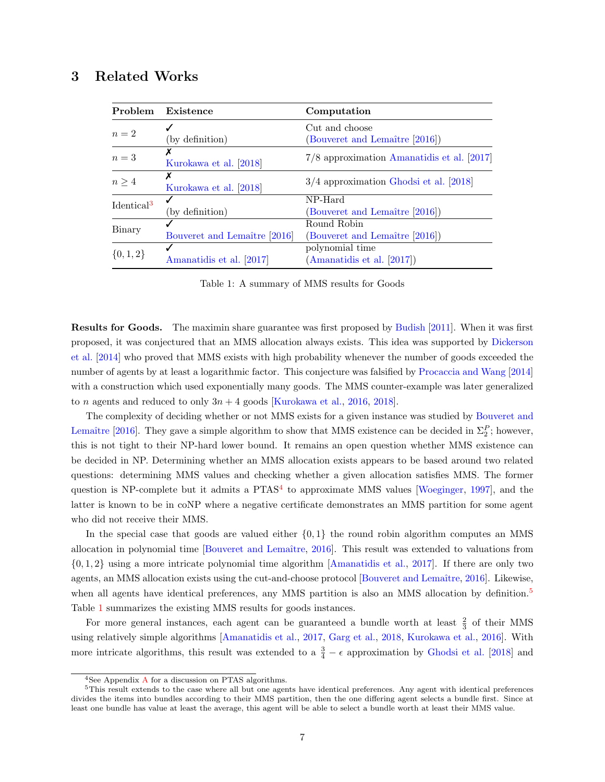## <span id="page-11-1"></span><span id="page-11-0"></span>3 Related Works

| Problem                | Existence                    | Computation                                  |  |  |  |  |  |
|------------------------|------------------------------|----------------------------------------------|--|--|--|--|--|
|                        |                              | Cut and choose                               |  |  |  |  |  |
| $n=2$                  | (by definition)              | (Bouveret and Lemaître [2016])               |  |  |  |  |  |
| $n=3$                  |                              | $7/8$ approximation Amanatidis et al. [2017] |  |  |  |  |  |
|                        | Kurokawa et al. [2018]       |                                              |  |  |  |  |  |
| $n \geq 4$             |                              | $3/4$ approximation Ghodsi et al. [2018]     |  |  |  |  |  |
|                        | Kurokawa et al. [2018]       |                                              |  |  |  |  |  |
| Identical <sup>3</sup> |                              | NP-Hard                                      |  |  |  |  |  |
|                        | (by definition)              | (Bouveret and Lemaître [2016])               |  |  |  |  |  |
|                        |                              | Round Robin                                  |  |  |  |  |  |
| Binary                 | Bouveret and Lemaître [2016] | (Bouveret and Lemaître [2016])               |  |  |  |  |  |
|                        |                              | polynomial time                              |  |  |  |  |  |
| $\{0, 1, 2\}$          | Amanatidis et al. [2017]     | (Amanatidis et al. [2017])                   |  |  |  |  |  |

Table 1: A summary of MMS results for Goods

Results for Goods. The maximin share guarantee was first proposed by [Budish](#page-42-3) [\[2011\]](#page-42-3). When it was first proposed, it was conjectured that an MMS allocation always exists. This idea was supported by [Dickerson](#page-43-7) [et al.](#page-43-7) [\[2014\]](#page-43-7) who proved that MMS exists with high probability whenever the number of goods exceeded the number of agents by at least a logarithmic factor. This conjecture was falsified by [Procaccia and Wang](#page-44-0) [\[2014\]](#page-44-0) with a construction which used exponentially many goods. The MMS counter-example was later generalized to *n* agents and reduced to only  $3n + 4$  goods [\[Kurokawa et al.,](#page-43-5) [2016,](#page-43-5) [2018\]](#page-43-9).

The complexity of deciding whether or not MMS exists for a given instance was studied by [Bouveret and](#page-42-0) Lemaître [\[2016\]](#page-42-0). They gave a simple algorithm to show that MMS existence can be decided in  $\Sigma_2^P$ ; however, this is not tight to their NP-hard lower bound. It remains an open question whether MMS existence can be decided in NP. Determining whether an MMS allocation exists appears to be based around two related questions: determining MMS values and checking whether a given allocation satisfies MMS. The former question is NP-complete but it admits a  $PTAS<sup>4</sup>$  $PTAS<sup>4</sup>$  $PTAS<sup>4</sup>$  to approximate MMS values [\[Woeginger,](#page-44-3) [1997\]](#page-44-3), and the latter is known to be in coNP where a negative certificate demonstrates an MMS partition for some agent who did not receive their MMS.

In the special case that goods are valued either  $\{0,1\}$  the round robin algorithm computes an MMS allocation in polynomial time [Bouveret and Lemaître, [2016\]](#page-42-0). This result was extended to valuations from {0, 1, 2} using a more intricate polynomial time algorithm [\[Amanatidis et al.,](#page-42-1) [2017\]](#page-42-1). If there are only two agents, an MMS allocation exists using the cut-and-choose protocol [Bouveret and Lemaître, [2016\]](#page-42-0). Likewise, when all agents have identical preferences, any MMS partition is also an MMS allocation by definition.<sup>[5](#page-1-0)</sup> Table [1](#page-11-1) summarizes the existing MMS results for goods instances.

For more general instances, each agent can be guaranteed a bundle worth at least  $\frac{2}{3}$  of their MMS using relatively simple algorithms [\[Amanatidis et al.,](#page-42-1) [2017,](#page-42-1) [Garg et al.,](#page-43-2) [2018,](#page-43-2) [Kurokawa et al.,](#page-43-5) [2016\]](#page-43-5). With more intricate algorithms, this result was extended to a  $\frac{3}{4} - \epsilon$  approximation by [Ghodsi et al.](#page-43-3) [\[2018\]](#page-43-3) and

<sup>4</sup>See Appendix [A](#page-45-0) for a discussion on PTAS algorithms.

<sup>5</sup>This result extends to the case where all but one agents have identical preferences. Any agent with identical preferences divides the items into bundles according to their MMS partition, then the one differing agent selects a bundle first. Since at least one bundle has value at least the average, this agent will be able to select a bundle worth at least their MMS value.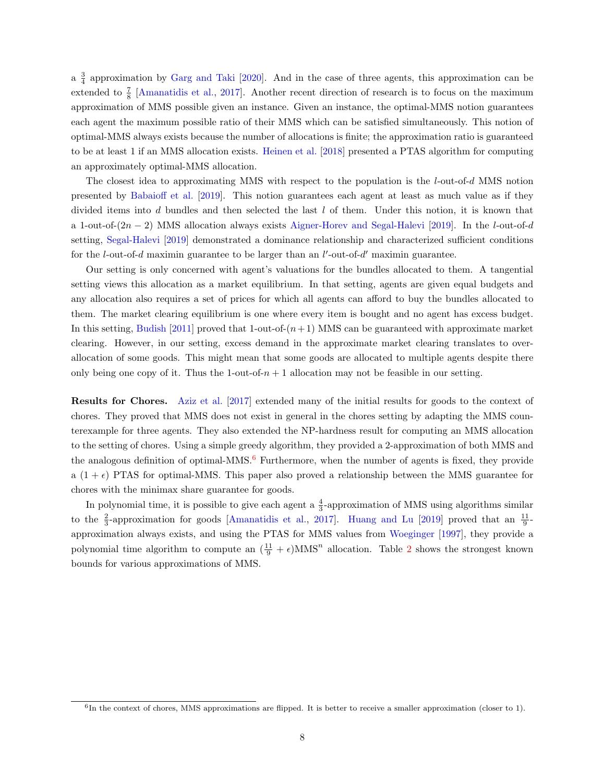a  $\frac{3}{4}$  approximation by [Garg and Taki](#page-43-1) [\[2020\]](#page-43-1). And in the case of three agents, this approximation can be extended to  $\frac{7}{8}$  [\[Amanatidis et al.,](#page-42-1) [2017\]](#page-42-1). Another recent direction of research is to focus on the maximum approximation of MMS possible given an instance. Given an instance, the optimal-MMS notion guarantees each agent the maximum possible ratio of their MMS which can be satisfied simultaneously. This notion of optimal-MMS always exists because the number of allocations is finite; the approximation ratio is guaranteed to be at least 1 if an MMS allocation exists. [Heinen et al.](#page-43-8) [\[2018\]](#page-43-8) presented a PTAS algorithm for computing an approximately optimal-MMS allocation.

The closest idea to approximating MMS with respect to the population is the l-out-of-d MMS notion presented by [Babaioff et al.](#page-42-7) [\[2019\]](#page-42-7). This notion guarantees each agent at least as much value as if they divided items into d bundles and then selected the last l of them. Under this notion, it is known that a 1-out-of- $(2n-2)$  MMS allocation always exists [Aigner-Horev and Segal-Halevi](#page-42-8) [\[2019\]](#page-42-8). In the l-out-of-d setting, [Segal-Halevi](#page-44-4) [\[2019\]](#page-44-4) demonstrated a dominance relationship and characterized sufficient conditions for the *l*-out-of-*d* maximin guarantee to be larger than an  $l'$ -out-of- $d'$  maximin guarantee.

Our setting is only concerned with agent's valuations for the bundles allocated to them. A tangential setting views this allocation as a market equilibrium. In that setting, agents are given equal budgets and any allocation also requires a set of prices for which all agents can afford to buy the bundles allocated to them. The market clearing equilibrium is one where every item is bought and no agent has excess budget. In this setting, [Budish](#page-42-3) [\[2011\]](#page-42-3) proved that 1-out-of- $(n+1)$  MMS can be guaranteed with approximate market clearing. However, in our setting, excess demand in the approximate market clearing translates to overallocation of some goods. This might mean that some goods are allocated to multiple agents despite there only being one copy of it. Thus the 1-out-of- $n + 1$  allocation may not be feasible in our setting.

Results for Chores. [Aziz et al.](#page-42-2) [\[2017\]](#page-42-2) extended many of the initial results for goods to the context of chores. They proved that MMS does not exist in general in the chores setting by adapting the MMS counterexample for three agents. They also extended the NP-hardness result for computing an MMS allocation to the setting of chores. Using a simple greedy algorithm, they provided a 2-approximation of both MMS and the analogous definition of optimal-MMS.<sup>[6](#page-1-0)</sup> Furthermore, when the number of agents is fixed, they provide a  $(1 + \epsilon)$  PTAS for optimal-MMS. This paper also proved a relationship between the MMS guarantee for chores with the minimax share guarantee for goods.

In polynomial time, it is possible to give each agent a  $\frac{4}{3}$ -approximation of MMS using algorithms similar to the  $\frac{2}{3}$ -approximation for goods [\[Amanatidis et al.,](#page-42-1) [2017\]](#page-42-1). [Huang and Lu](#page-43-4) [\[2019\]](#page-43-4) proved that an  $\frac{11}{9}$ approximation always exists, and using the PTAS for MMS values from [Woeginger](#page-44-3) [\[1997\]](#page-44-3), they provide a polynomial time algorithm to compute an  $(\frac{11}{9} + \epsilon)$ MMS<sup>n</sup> allocation. Table [2](#page-13-2) shows the strongest known bounds for various approximations of MMS.

<sup>&</sup>lt;sup>6</sup>In the context of chores, MMS approximations are flipped. It is better to receive a smaller approximation (closer to 1).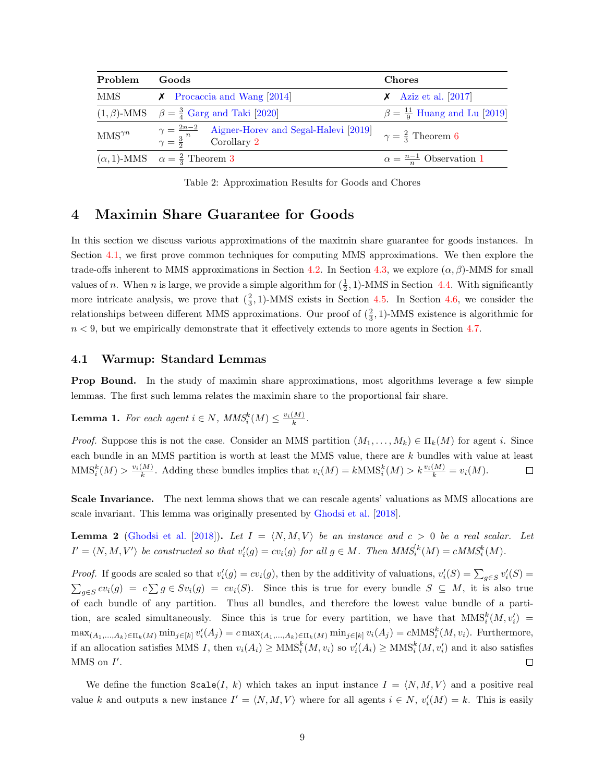<span id="page-13-2"></span>

| Problem                 | Goods                                                                                                | <b>Chores</b>                              |  |  |  |  |
|-------------------------|------------------------------------------------------------------------------------------------------|--------------------------------------------|--|--|--|--|
| MMS                     | $\chi$ Procaccia and Wang [2014]                                                                     | $\chi$ Aziz et al. [2017]                  |  |  |  |  |
|                         | $(1, \beta)$ -MMS $\beta = \frac{3}{4}$ Garg and Taki [2020]                                         | $\beta = \frac{11}{9}$ Huang and Lu [2019] |  |  |  |  |
| $\text{MMS}^{\gamma n}$ | $\gamma = \frac{2n-2}{n}$ Aigner-Horev and Segal-Halevi [2019]<br>$\gamma = \frac{3}{2}$ Corollary 2 | $\gamma = \frac{2}{3}$ Theorem 6           |  |  |  |  |
|                         | $(\alpha, 1)$ -MMS $\alpha = \frac{2}{3}$ Theorem 3                                                  | $\alpha = \frac{n-1}{n}$ Observation 1     |  |  |  |  |

Table 2: Approximation Results for Goods and Chores

## <span id="page-13-0"></span>4 Maximin Share Guarantee for Goods

In this section we discuss various approximations of the maximin share guarantee for goods instances. In Section [4.1,](#page-13-1) we first prove common techniques for computing MMS approximations. We then explore the trade-offs inherent to MMS approximations in Section [4.2.](#page-18-0) In Section [4.3,](#page-21-0) we explore  $(\alpha, \beta)$ -MMS for small values of *n*. When *n* is large, we provide a simple algorithm for  $(\frac{1}{2}, 1)$ -MMS in Section [4.4.](#page-24-0) With significantly more intricate analysis, we prove that  $(\frac{2}{3}, 1)$ -MMS exists in Section [4.5.](#page-25-0) In Section [4.6,](#page-29-0) we consider the relationships between different MMS approximations. Our proof of  $(\frac{2}{3}, 1)$ -MMS existence is algorithmic for  $n < 9$ , but we empirically demonstrate that it effectively extends to more agents in Section [4.7.](#page-30-0)

#### <span id="page-13-1"></span>4.1 Warmup: Standard Lemmas

Prop Bound. In the study of maximin share approximations, most algorithms leverage a few simple lemmas. The first such lemma relates the maximin share to the proportional fair share.

**Lemma 1.** For each agent  $i \in N$ ,  $MMS_i^k(M) \leq \frac{v_i(M)}{k}$ .

*Proof.* Suppose this is not the case. Consider an MMS partition  $(M_1, \ldots, M_k) \in \Pi_k(M)$  for agent i. Since each bundle in an MMS partition is worth at least the MMS value, there are k bundles with value at least  $\text{MMS}_i^k(M) > \frac{v_i(M)}{k}$ . Adding these bundles implies that  $v_i(M) = k \text{MMS}_i^k(M) > k \frac{v_i(M)}{k} = v_i(M)$ .  $\Box$ 

Scale Invariance. The next lemma shows that we can rescale agents' valuations as MMS allocations are scale invariant. This lemma was originally presented by [Ghodsi et al.](#page-43-3) [\[2018\]](#page-43-3).

<span id="page-13-3"></span>**Lemma 2** [\(Ghodsi et al.](#page-43-3) [\[2018\]](#page-43-3)). Let  $I = \langle N, M, V \rangle$  be an instance and  $c > 0$  be a real scalar. Let  $I' = \langle N, M, V' \rangle$  be constructed so that  $v'_i(g) = cv_i(g)$  for all  $g \in M$ . Then  $MMS_i^{k}(M) = cMMS_i^{k}(M)$ .

*Proof.* If goods are scaled so that  $v_i'(g) = cv_i(g)$ , then by the additivity of valuations,  $v_i'(S) = \sum_{g \in S} v_i'(S)$  $\sum_{g\in S} cv_i(g) = c\sum g \in Sv_i(g) = cv_i(S)$ . Since this is true for every bundle  $S \subseteq M$ , it is also true of each bundle of any partition. Thus all bundles, and therefore the lowest value bundle of a partition, are scaled simultaneously. Since this is true for every partition, we have that  $MMS_i^{k}(M, v_i') =$  $\max_{(A_1,\ldots,A_k)\in\Pi_k(M)} \min_{j\in[k]} v'_i(A_j) = c \max_{(A_1,\ldots,A_k)\in\Pi_k(M)} \min_{j\in[k]} v_i(A_j) = c \text{MMS}_i^k(M,v_i).$  Furthermore, if an allocation satisfies MMS I, then  $v_i(A_i) \ge \text{MMS}_i^k(M, v_i)$  so  $v_i'(A_i) \ge \text{MMS}_i^k(M, v_i')$  and it also satisfies  $MMS$  on  $I'$ .  $\Box$ 

We define the function  $\texttt{Scale}(I, k)$  which takes an input instance  $I = \langle N, M, V \rangle$  and a positive real value k and outputs a new instance  $I' = \langle N, M, V \rangle$  where for all agents  $i \in N$ ,  $v'_i(M) = k$ . This is easily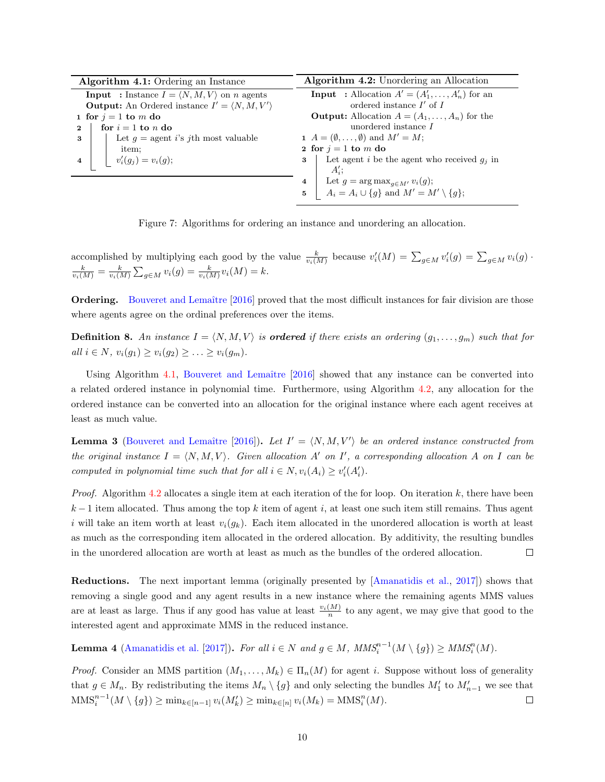| <b>Algorithm 4.1:</b> Ordering an Instance                               | Algorithm 4.2: Unordering an Allocation                                                                             |  |  |  |  |  |  |
|--------------------------------------------------------------------------|---------------------------------------------------------------------------------------------------------------------|--|--|--|--|--|--|
| <b>Input</b> : Instance $I = \langle N, M, V \rangle$ on <i>n</i> agents | <b>Input</b> : Allocation $A' = (A'_1, \ldots, A'_n)$ for an                                                        |  |  |  |  |  |  |
| <b>Output:</b> An Ordered instance $I' = \langle N, M, V' \rangle$       | ordered instance $I'$ of $I$                                                                                        |  |  |  |  |  |  |
| 1 for $j = 1$ to m do                                                    | <b>Output:</b> Allocation $A = (A_1, \ldots, A_n)$ for the                                                          |  |  |  |  |  |  |
| for $i = 1$ to n do<br>$\mathbf 2$                                       | unordered instance $I$                                                                                              |  |  |  |  |  |  |
| Let $g =$ agent i's jth most valuable<br>3                               | 1 $A = (\emptyset, \ldots, \emptyset)$ and $M' = M$ ;                                                               |  |  |  |  |  |  |
| item;                                                                    | 2 for $i = 1$ to m do                                                                                               |  |  |  |  |  |  |
| $v'_i(g_j) = v_i(g);$<br>4                                               | Let agent i be the agent who received $g_i$ in<br>$\mathbf{3}$                                                      |  |  |  |  |  |  |
|                                                                          | $A'$ :                                                                                                              |  |  |  |  |  |  |
|                                                                          | 4                                                                                                                   |  |  |  |  |  |  |
|                                                                          | Let $g = \arg \max_{g \in M'} v_i(g)$ ;<br>$A_i = A_i \cup \{g\}$ and $M' = M' \setminus \{g\}$ ;<br>5 <sub>5</sub> |  |  |  |  |  |  |

<span id="page-14-1"></span><span id="page-14-0"></span>Figure 7: Algorithms for ordering an instance and unordering an allocation.

accomplished by multiplying each good by the value  $\frac{k}{v_i(M)}$  because  $v'_i(M) = \sum_{g \in M} v'_i(g) = \sum_{g \in M} v_i(g)$ .  $\frac{k}{v_i(M)} = \frac{k}{v_i(M)} \sum_{g \in M} v_i(g) = \frac{k}{v_i(M)} v_i(M) = k.$ 

Ordering. Bouveret and Lemaître [\[2016\]](#page-42-0) proved that the most difficult instances for fair division are those where agents agree on the ordinal preferences over the items.

**Definition 8.** An instance  $I = \langle N, M, V \rangle$  is **ordered** if there exists an ordering  $(g_1, \ldots, g_m)$  such that for all *i* ∈ N,  $v_i(g_1)$  ≥  $v_i(g_2)$  ≥ ... ≥  $v_i(g_m)$ .

Using Algorithm [4.1,](#page-14-0) Bouveret and Lemaître  $[2016]$  showed that any instance can be converted into a related ordered instance in polynomial time. Furthermore, using Algorithm [4.2,](#page-14-1) any allocation for the ordered instance can be converted into an allocation for the original instance where each agent receives at least as much value.

<span id="page-14-3"></span>**Lemma 3** (Bouveret and Lemaître [\[2016\]](#page-42-0)). Let  $I' = \langle N, M, V' \rangle$  be an ordered instance constructed from the original instance  $I = \langle N, M, V \rangle$ . Given allocation A' on I', a corresponding allocation A on I can be computed in polynomial time such that for all  $i \in N$ ,  $v_i(A_i) \ge v'_i(A'_i)$ .

*Proof.* Algorithm [4.2](#page-14-1) allocates a single item at each iteration of the for loop. On iteration  $k$ , there have been  $k-1$  item allocated. Thus among the top k item of agent i, at least one such item still remains. Thus agent i will take an item worth at least  $v_i(g_k)$ . Each item allocated in the unordered allocation is worth at least as much as the corresponding item allocated in the ordered allocation. By additivity, the resulting bundles in the unordered allocation are worth at least as much as the bundles of the ordered allocation.  $\Box$ 

Reductions. The next important lemma (originally presented by [\[Amanatidis et al.,](#page-42-1) [2017\]](#page-42-1)) shows that removing a single good and any agent results in a new instance where the remaining agents MMS values are at least as large. Thus if any good has value at least  $\frac{v_i(M)}{n}$  to any agent, we may give that good to the interested agent and approximate MMS in the reduced instance.

<span id="page-14-2"></span>**Lemma 4** [\(Amanatidis et al.](#page-42-1) [\[2017\]](#page-42-1)). For all  $i \in N$  and  $g \in M$ ,  $MMS_i^{n-1}(M \setminus \{g\}) \geq MMS_i^n(M)$ .

*Proof.* Consider an MMS partition  $(M_1, \ldots, M_k) \in \Pi_n(M)$  for agent i. Suppose without loss of generality that  $g \in M_n$ . By redistributing the items  $M_n \setminus \{g\}$  and only selecting the bundles  $M'_1$  to  $M'_{n-1}$  we see that  $\text{MMS}_i^{n-1}(M \setminus \{g\}) \ge \min_{k \in [n-1]} v_i(M'_k) \ge \min_{k \in [n]} v_i(M_k) = \text{MMS}_i^n(M).$  $\Box$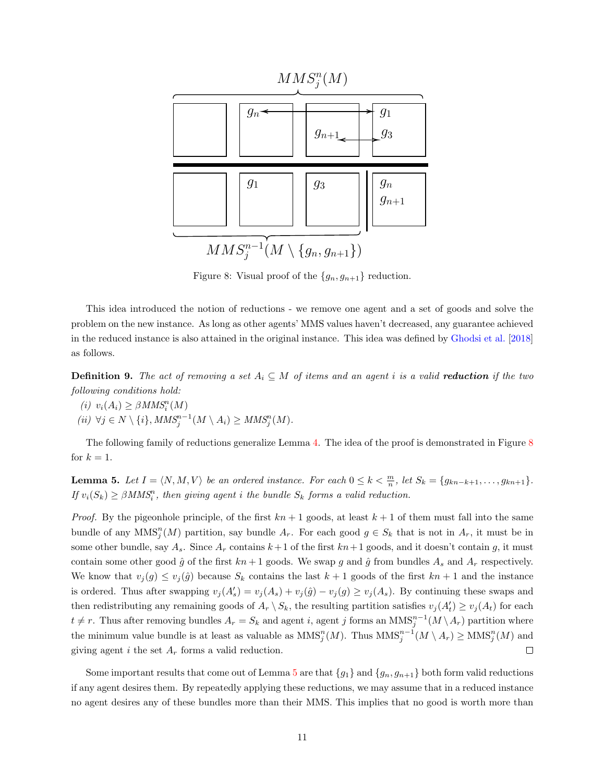<span id="page-15-0"></span>

Figure 8: Visual proof of the  ${g_n, g_{n+1}}$  reduction.

This idea introduced the notion of reductions - we remove one agent and a set of goods and solve the problem on the new instance. As long as other agents' MMS values haven't decreased, any guarantee achieved in the reduced instance is also attained in the original instance. This idea was defined by [Ghodsi et al.](#page-43-3) [\[2018\]](#page-43-3) as follows.

**Definition 9.** The act of removing a set  $A_i \subseteq M$  of items and an agent i is a valid **reduction** if the two following conditions hold:

(i)  $v_i(A_i) \geq \beta M M S_i^n(M)$  $(ii) \ \forall j \in N \setminus \{i\}, MMS_j^{n-1}(M \setminus A_i) \geq MMS_j^n(M).$ 

The following family of reductions generalize Lemma [4.](#page-14-2) The idea of the proof is demonstrated in Figure [8](#page-15-0) for  $k = 1$ .

<span id="page-15-1"></span>**Lemma 5.** Let  $I = \langle N, M, V \rangle$  be an ordered instance. For each  $0 \le k < \frac{m}{n}$ , let  $S_k = \{g_{kn-k+1}, \ldots, g_{kn+1}\}.$ If  $v_i(S_k) \geq \beta M M S_i^n$ , then giving agent i the bundle  $S_k$  forms a valid reduction.

*Proof.* By the pigeonhole principle, of the first  $kn + 1$  goods, at least  $k + 1$  of them must fall into the same bundle of any  $MMS_j^n(M)$  partition, say bundle  $A_r$ . For each good  $g \in S_k$  that is not in  $A_r$ , it must be in some other bundle, say  $A_s$ . Since  $A_r$  contains  $k+1$  of the first  $kn+1$  goods, and it doesn't contain g, it must contain some other good  $\hat{g}$  of the first  $kn + 1$  goods. We swap g and  $\hat{g}$  from bundles  $A_s$  and  $A_r$  respectively. We know that  $v_j(g) \leq v_j(\hat{g})$  because  $S_k$  contains the last  $k+1$  goods of the first  $kn+1$  and the instance is ordered. Thus after swapping  $v_j(A'_s) = v_j(A_s) + v_j(\hat{g}) - v_j(g) \ge v_j(A_s)$ . By continuing these swaps and then redistributing any remaining goods of  $A_r \setminus S_k$ , the resulting partition satisfies  $v_j(A'_t) \ge v_j(A_t)$  for each  $t \neq r$ . Thus after removing bundles  $A_r = S_k$  and agent i, agent j forms an  $MMS_j^{n-1}(M \setminus A_r)$  partition where the minimum value bundle is at least as valuable as  $MMS_j^n(M)$ . Thus  $MMS_j^{n-1}(M \setminus A_r) \geq MMS_j^n(M)$  and giving agent i the set  $A_r$  forms a valid reduction.  $\Box$ 

Some important results that come out of Lemma [5](#page-15-1) are that  $\{g_1\}$  and  $\{g_n, g_{n+1}\}$  both form valid reductions if any agent desires them. By repeatedly applying these reductions, we may assume that in a reduced instance no agent desires any of these bundles more than their MMS. This implies that no good is worth more than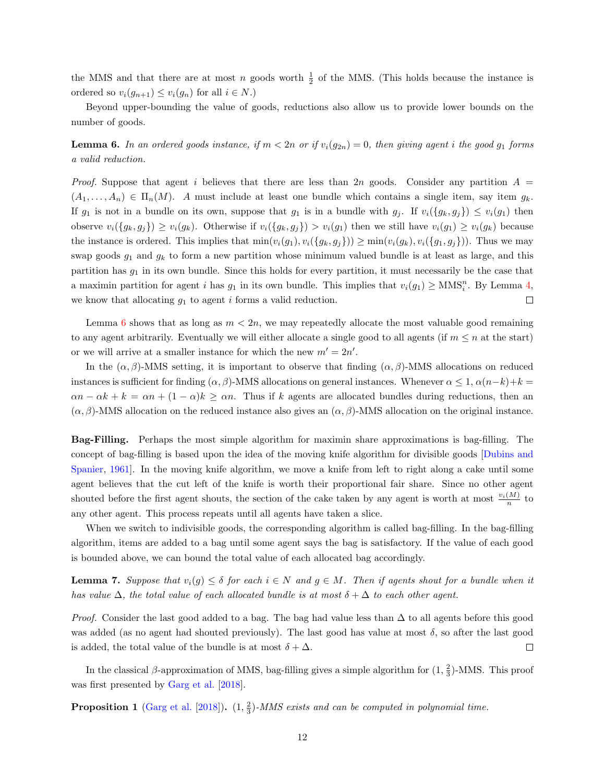the MMS and that there are at most n goods worth  $\frac{1}{2}$  of the MMS. (This holds because the instance is ordered so  $v_i(g_{n+1}) \leq v_i(g_n)$  for all  $i \in N$ .)

Beyond upper-bounding the value of goods, reductions also allow us to provide lower bounds on the number of goods.

<span id="page-16-0"></span>**Lemma 6.** In an ordered goods instance, if  $m < 2n$  or if  $v_i(g_{2n}) = 0$ , then giving agent i the good  $g_1$  forms a valid reduction.

*Proof.* Suppose that agent i believes that there are less than 2n goods. Consider any partition  $A =$  $(A_1,\ldots,A_n) \in \Pi_n(M)$ . A must include at least one bundle which contains a single item, say item  $g_k$ . If  $g_1$  is not in a bundle on its own, suppose that  $g_1$  is in a bundle with  $g_j$ . If  $v_i({g_k}, g_j) \leq v_i(g_1)$  then observe  $v_i({g_k, g_j}) \ge v_i(g_k)$ . Otherwise if  $v_i({g_k, g_j}) > v_i(g_1)$  then we still have  $v_i(g_1) \ge v_i(g_k)$  because the instance is ordered. This implies that  $\min(v_i(g_1), v_i(\{g_k, g_j\})) \ge \min(v_i(g_k), v_i(\{g_1, g_j\}))$ . Thus we may swap goods  $g_1$  and  $g_k$  to form a new partition whose minimum valued bundle is at least as large, and this partition has  $g_1$  in its own bundle. Since this holds for every partition, it must necessarily be the case that a maximin partition for agent i has  $g_1$  in its own bundle. This implies that  $v_i(g_1) \geq \text{MMS}_i^n$ . By Lemma [4,](#page-14-2) we know that allocating  $g_1$  to agent i forms a valid reduction.  $\Box$ 

Lemma [6](#page-16-0) shows that as long as  $m < 2n$ , we may repeatedly allocate the most valuable good remaining to any agent arbitrarily. Eventually we will either allocate a single good to all agents (if  $m \leq n$  at the start) or we will arrive at a smaller instance for which the new  $m' = 2n'$ .

In the  $(\alpha, \beta)$ -MMS setting, it is important to observe that finding  $(\alpha, \beta)$ -MMS allocations on reduced instances is sufficient for finding  $(\alpha, \beta)$ -MMS allocations on general instances. Whenever  $\alpha \leq 1$ ,  $\alpha(n-k)+k =$  $\alpha n - \alpha k + k = \alpha n + (1 - \alpha)k \ge \alpha n$ . Thus if k agents are allocated bundles during reductions, then an  $(\alpha, \beta)$ -MMS allocation on the reduced instance also gives an  $(\alpha, \beta)$ -MMS allocation on the original instance.

Bag-Filling. Perhaps the most simple algorithm for maximin share approximations is bag-filling. The concept of bag-filling is based upon the idea of the moving knife algorithm for divisible goods [\[Dubins and](#page-43-10) [Spanier,](#page-43-10) [1961\]](#page-43-10). In the moving knife algorithm, we move a knife from left to right along a cake until some agent believes that the cut left of the knife is worth their proportional fair share. Since no other agent shouted before the first agent shouts, the section of the cake taken by any agent is worth at most  $\frac{v_i(M)}{n}$  to any other agent. This process repeats until all agents have taken a slice.

When we switch to indivisible goods, the corresponding algorithm is called bag-filling. In the bag-filling algorithm, items are added to a bag until some agent says the bag is satisfactory. If the value of each good is bounded above, we can bound the total value of each allocated bag accordingly.

<span id="page-16-1"></span>**Lemma 7.** Suppose that  $v_i(g) \leq \delta$  for each  $i \in N$  and  $g \in M$ . Then if agents shout for a bundle when it has value  $\Delta$ , the total value of each allocated bundle is at most  $\delta + \Delta$  to each other agent.

*Proof.* Consider the last good added to a bag. The bag had value less than  $\Delta$  to all agents before this good was added (as no agent had shouted previously). The last good has value at most  $\delta$ , so after the last good is added, the total value of the bundle is at most  $\delta + \Delta$ .  $\Box$ 

In the classical  $\beta$ -approximation of MMS, bag-filling gives a simple algorithm for  $(1, \frac{2}{3})$ -MMS. This proof was first presented by [Garg et al.](#page-43-2) [\[2018\]](#page-43-2).

**Proposition 1** [\(Garg et al.](#page-43-2) [\[2018\]](#page-43-2)).  $(1, \frac{2}{3})$ -MMS exists and can be computed in polynomial time.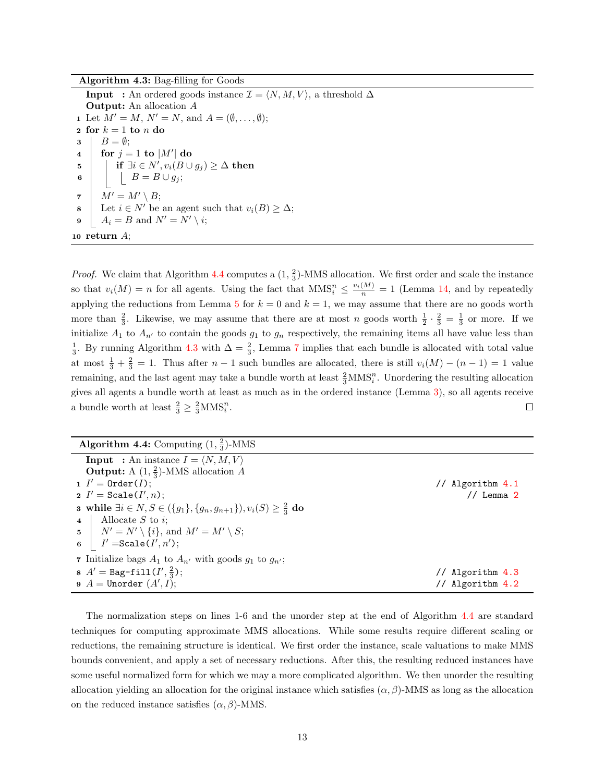Algorithm 4.3: Bag-filling for Goods

**Input** : An ordered goods instance  $\mathcal{I} = \langle N, M, V \rangle$ , a threshold  $\Delta$ Output: An allocation A 1 Let  $M' = M$ ,  $N' = N$ , and  $A = (\emptyset, \ldots, \emptyset);$ 2 for  $k = 1$  to  $n$  do  $3 \mid B = \emptyset;$  $4 \quad | \quad \text{for} \; j = 1 \; \text{to} \; |M'| \; \text{do}$  $\begin{array}{ll} \texttt{5} \quad | & \text{if} \; \exists i \in N', v_i(B \cup g_j) \geq \Delta \; \textbf{then} \end{array}$ 6  $\vert$   $\vert$   $B = B \cup g_j;$  $7 \mid M' = M' \setminus B;$ 8 Let  $i \in N'$  be an agent such that  $v_i(B) \geq \Delta$ ; 9  $A_i = B$  and  $N' = N' \setminus i;$ 10 return  $A$ ;

<span id="page-17-1"></span>*Proof.* We claim that Algorithm [4.4](#page-17-0) computes a  $(1, \frac{2}{3})$ -MMS allocation. We first order and scale the instance so that  $v_i(M) = n$  for all agents. Using the fact that  $MMS_i^n \leq \frac{v_i(M)}{n} = 1$  (Lemma [14,](#page-35-1) and by repeatedly applying the reductions from Lemma [5](#page-15-1) for  $k = 0$  and  $k = 1$ , we may assume that there are no goods worth more than  $\frac{2}{3}$ . Likewise, we may assume that there are at most n goods worth  $\frac{1}{2} \cdot \frac{2}{3} = \frac{1}{3}$  or more. If we initialize  $A_1$  to  $A_{n'}$  to contain the goods  $g_1$  to  $g_n$  respectively, the remaining items all have value less than  $\frac{1}{3}$ . By running Algorithm [4.3](#page-17-1) with  $\Delta = \frac{2}{3}$ , Lemma [7](#page-16-1) implies that each bundle is allocated with total value at most  $\frac{1}{3} + \frac{2}{3} = 1$ . Thus after  $n - 1$  such bundles are allocated, there is still  $v_i(M) - (n - 1) = 1$  value remaining, and the last agent may take a bundle worth at least  $\frac{2}{3}MNS_i^n$ . Unordering the resulting allocation gives all agents a bundle worth at least as much as in the ordered instance (Lemma [3\)](#page-14-3), so all agents receive a bundle worth at least  $\frac{2}{3} \geq \frac{2}{3}$ MMS<sup>n</sup><sub>i</sub>.  $\Box$ 

| <b>Algorithm 4.4:</b> Computing $(1, \frac{2}{3})$ -MMS                                         |                  |
|-------------------------------------------------------------------------------------------------|------------------|
| <b>Input</b> : An instance $I = \langle N, M, V \rangle$                                        |                  |
| <b>Output:</b> A $(1, \frac{2}{3})$ -MMS allocation A                                           |                  |
| $1$ $I' =$ Order( <i>I</i> );                                                                   | // Algorithm 4.1 |
| 2 $I' = \texttt{Scale}(I', n);$                                                                 | $//$ Lemma $2$   |
| <b>3</b> while $\exists i \in N, S \in (\{g_1\}, \{g_n, g_{n+1}\}), v_i(S) \geq \frac{2}{3}$ do |                  |
| Allocate $S$ to $i$ ;<br>$\overline{\mathbf{4}}$                                                |                  |
| 5   $N' = N' \setminus \{i\}$ , and $M' = M' \setminus S$ ;                                     |                  |
| $I' = \texttt{Scale}(I', n');$<br>$\bf{6}$                                                      |                  |
| 7 Initialize bags $A_1$ to $A_{n'}$ with goods $g_1$ to $g_{n'}$ ;                              |                  |
| 8 $A' =$ Bag-fill $(I', \frac{2}{3})$ ;                                                         | Algorithm 4.3    |
| $A =$ Unorder $(A', I);$                                                                        | Algorithm 4.2    |

<span id="page-17-0"></span>The normalization steps on lines 1-6 and the unorder step at the end of Algorithm [4.4](#page-17-0) are standard techniques for computing approximate MMS allocations. While some results require different scaling or reductions, the remaining structure is identical. We first order the instance, scale valuations to make MMS bounds convenient, and apply a set of necessary reductions. After this, the resulting reduced instances have some useful normalized form for which we may a more complicated algorithm. We then unorder the resulting allocation yielding an allocation for the original instance which satisfies  $(\alpha, \beta)$ -MMS as long as the allocation on the reduced instance satisfies  $(\alpha, \beta)$ -MMS.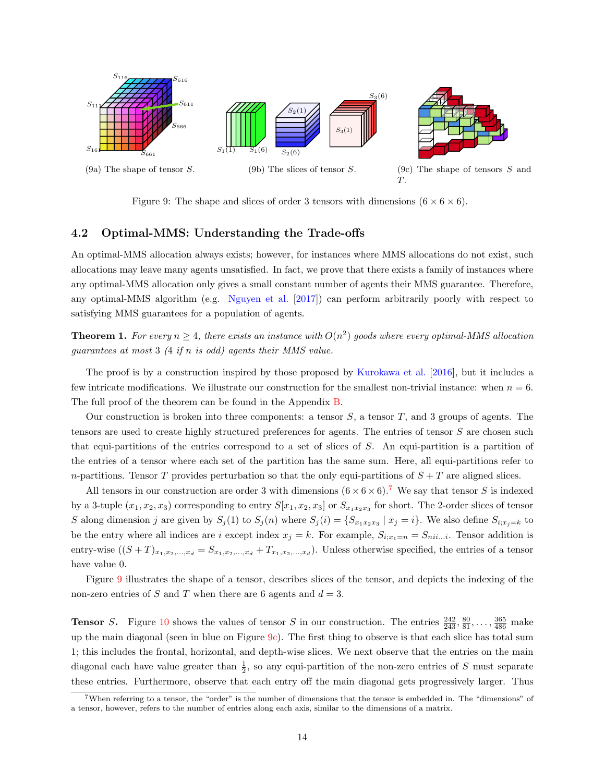<span id="page-18-1"></span>

Figure 9: The shape and slices of order 3 tensors with dimensions  $(6 \times 6 \times 6)$ .

#### <span id="page-18-0"></span>4.2 Optimal-MMS: Understanding the Trade-offs

An optimal-MMS allocation always exists; however, for instances where MMS allocations do not exist, such allocations may leave many agents unsatisfied. In fact, we prove that there exists a family of instances where any optimal-MMS allocation only gives a small constant number of agents their MMS guarantee. Therefore, any optimal-MMS algorithm (e.g. [Nguyen et al.](#page-43-11) [\[2017\]](#page-43-11)) can perform arbitrarily poorly with respect to satisfying MMS guarantees for a population of agents.

<span id="page-18-2"></span>**Theorem 1.** For every  $n \geq 4$ , there exists an instance with  $O(n^2)$  goods where every optimal-MMS allocation guarantees at most 3 (4 if n is odd) agents their MMS value.

The proof is by a construction inspired by those proposed by [Kurokawa et al.](#page-43-5) [\[2016\]](#page-43-5), but it includes a few intricate modifications. We illustrate our construction for the smallest non-trivial instance: when  $n = 6$ . The full proof of the theorem can be found in the Appendix [B.](#page-46-0)

Our construction is broken into three components: a tensor  $S$ , a tensor  $T$ , and 3 groups of agents. The tensors are used to create highly structured preferences for agents. The entries of tensor S are chosen such that equi-partitions of the entries correspond to a set of slices of S. An equi-partition is a partition of the entries of a tensor where each set of the partition has the same sum. Here, all equi-partitions refer to n-partitions. Tensor T provides perturbation so that the only equi-partitions of  $S + T$  are aligned slices.

All tensors in our construction are order 3 with dimensions  $(6 \times 6 \times 6)$ .<sup>[7](#page-1-0)</sup> We say that tensor S is indexed by a 3-tuple  $(x_1, x_2, x_3)$  corresponding to entry  $S[x_1, x_2, x_3]$  or  $S_{x_1x_2x_3}$  for short. The 2-order slices of tensor S along dimension j are given by  $S_j(1)$  to  $S_j(n)$  where  $S_j(i) = \{S_{x_1x_2x_3} | x_j = i\}$ . We also define  $S_{i;x_j=k}$  to be the entry where all indices are i except index  $x_j = k$ . For example,  $S_{i;x_1=n} = S_{nii...i}$ . Tensor addition is entry-wise  $((S+T)_{x_1,x_2,...,x_d}=S_{x_1,x_2,...,x_d}+T_{x_1,x_2,...,x_d})$ . Unless otherwise specified, the entries of a tensor have value 0.

Figure [9](#page-18-1) illustrates the shape of a tensor, describes slices of the tensor, and depicts the indexing of the non-zero entries of S and T when there are 6 agents and  $d = 3$ .

**Tensor** S. Figure [10](#page-19-0) shows the values of tensor S in our construction. The entries  $\frac{242}{243}, \frac{80}{81}, \ldots, \frac{365}{486}$  make up the main diagonal (seen in blue on Figure  $9c$ ). The first thing to observe is that each slice has total sum 1; this includes the frontal, horizontal, and depth-wise slices. We next observe that the entries on the main diagonal each have value greater than  $\frac{1}{2}$ , so any equi-partition of the non-zero entries of S must separate these entries. Furthermore, observe that each entry off the main diagonal gets progressively larger. Thus

<sup>7</sup>When referring to a tensor, the "order" is the number of dimensions that the tensor is embedded in. The "dimensions" of a tensor, however, refers to the number of entries along each axis, similar to the dimensions of a matrix.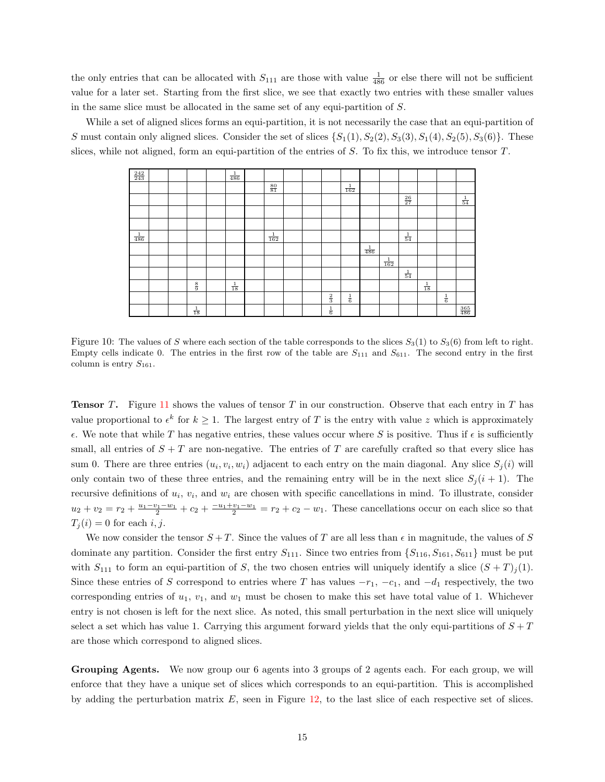the only entries that can be allocated with  $S_{111}$  are those with value  $\frac{1}{486}$  or else there will not be sufficient value for a later set. Starting from the first slice, we see that exactly two entries with these smaller values in the same slice must be allocated in the same set of any equi-partition of S.

<span id="page-19-0"></span>While a set of aligned slices forms an equi-partition, it is not necessarily the case that an equi-partition of S must contain only aligned slices. Consider the set of slices  $\{S_1(1), S_2(2), S_3(3), S_1(4), S_2(5), S_3(6)\}\.$  These slices, while not aligned, form an equi-partition of the entries of  $S$ . To fix this, we introduce tensor  $T$ .

| $\frac{242}{243}$ |  |                | $\frac{1}{486}$ |                 |  |               |                 |                 |                 |                 |                |               |                   |
|-------------------|--|----------------|-----------------|-----------------|--|---------------|-----------------|-----------------|-----------------|-----------------|----------------|---------------|-------------------|
|                   |  |                |                 | $\frac{80}{81}$ |  |               | $\frac{1}{162}$ |                 |                 |                 |                |               |                   |
|                   |  |                |                 |                 |  |               |                 |                 |                 | $\frac{26}{27}$ |                |               | $\frac{1}{54}$    |
|                   |  |                |                 |                 |  |               |                 |                 |                 |                 |                |               |                   |
|                   |  |                |                 |                 |  |               |                 |                 |                 |                 |                |               |                   |
| $\frac{1}{486}$   |  |                |                 | $\frac{1}{162}$ |  |               |                 |                 |                 | $\frac{1}{54}$  |                |               |                   |
|                   |  |                |                 |                 |  |               |                 | $\frac{1}{486}$ |                 |                 |                |               |                   |
|                   |  |                |                 |                 |  |               |                 |                 | $\frac{1}{162}$ |                 |                |               |                   |
|                   |  |                |                 |                 |  |               |                 |                 |                 | $\frac{1}{54}$  |                |               |                   |
|                   |  | $\frac{8}{9}$  | $\frac{1}{18}$  |                 |  |               |                 |                 |                 |                 | $\frac{1}{18}$ |               |                   |
|                   |  |                |                 |                 |  | $\frac{2}{3}$ | $\frac{1}{6}$   |                 |                 |                 |                | $\frac{1}{6}$ |                   |
|                   |  | $\frac{1}{18}$ |                 |                 |  | $\frac{1}{6}$ |                 |                 |                 |                 |                |               | $\frac{365}{486}$ |

Figure 10: The values of S where each section of the table corresponds to the slices  $S_3(1)$  to  $S_3(6)$  from left to right. Empty cells indicate 0. The entries in the first row of the table are  $S_{111}$  and  $S_{611}$ . The second entry in the first column is entry  $S_{161}$ .

**Tensor T.** Figure [11](#page-20-0) shows the values of tensor T in our construction. Observe that each entry in T has value proportional to  $\epsilon^k$  for  $k \geq 1$ . The largest entry of T is the entry with value z which is approximately  $\epsilon$ . We note that while T has negative entries, these values occur where S is positive. Thus if  $\epsilon$  is sufficiently small, all entries of  $S + T$  are non-negative. The entries of T are carefully crafted so that every slice has sum 0. There are three entries  $(u_i, v_i, w_i)$  adjacent to each entry on the main diagonal. Any slice  $S_j(i)$  will only contain two of these three entries, and the remaining entry will be in the next slice  $S_i(i + 1)$ . The recursive definitions of  $u_i$ ,  $v_i$ , and  $w_i$  are chosen with specific cancellations in mind. To illustrate, consider  $u_2 + v_2 = r_2 + \frac{u_1 - v_1 - w_1}{2} + c_2 + \frac{-u_1 + v_1 - w_1}{2} = r_2 + c_2 - w_1$ . These cancellations occur on each slice so that  $T_i(i) = 0$  for each i, j.

We now consider the tensor  $S + T$ . Since the values of T are all less than  $\epsilon$  in magnitude, the values of S dominate any partition. Consider the first entry  $S_{111}$ . Since two entries from  $\{S_{116}, S_{161}, S_{611}\}$  must be put with  $S_{111}$  to form an equi-partition of S, the two chosen entries will uniquely identify a slice  $(S+T)_i(1)$ . Since these entries of S correspond to entries where T has values  $-r_1$ ,  $-c_1$ , and  $-d_1$  respectively, the two corresponding entries of  $u_1, v_1$ , and  $w_1$  must be chosen to make this set have total value of 1. Whichever entry is not chosen is left for the next slice. As noted, this small perturbation in the next slice will uniquely select a set which has value 1. Carrying this argument forward yields that the only equi-partitions of  $S + T$ are those which correspond to aligned slices.

Grouping Agents. We now group our 6 agents into 3 groups of 2 agents each. For each group, we will enforce that they have a unique set of slices which corresponds to an equi-partition. This is accomplished by adding the perturbation matrix  $E$ , seen in Figure [12,](#page-20-1) to the last slice of each respective set of slices.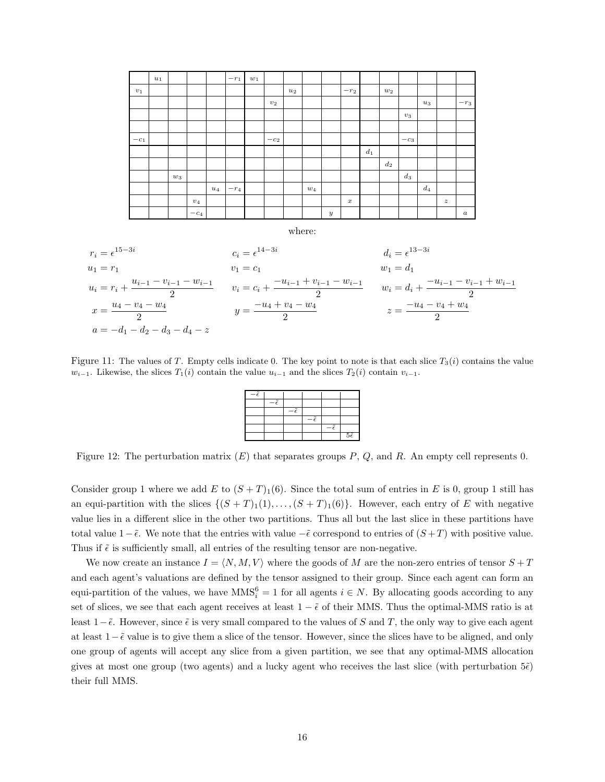<span id="page-20-0"></span>

<span id="page-20-1"></span>Figure 11: The values of T. Empty cells indicate 0. The key point to note is that each slice  $T_3(i)$  contains the value  $w_{i-1}$ . Likewise, the slices  $T_1(i)$  contain the value  $u_{i-1}$  and the slices  $T_2(i)$  contain  $v_{i-1}$ .

| z |  |                     |
|---|--|---------------------|
|   |  |                     |
|   |  |                     |
|   |  |                     |
|   |  | $5\tilde{\epsilon}$ |

Figure 12: The perturbation matrix  $(E)$  that separates groups  $P$ ,  $Q$ , and  $R$ . An empty cell represents 0.

Consider group 1 where we add E to  $(S+T)<sub>1</sub>(6)$ . Since the total sum of entries in E is 0, group 1 still has an equi-partition with the slices  $\{(S+T)_1(1), \ldots, (S+T)_1(6)\}\)$ . However, each entry of E with negative value lies in a different slice in the other two partitions. Thus all but the last slice in these partitions have total value  $1-\tilde{\epsilon}$ . We note that the entries with value  $-\tilde{\epsilon}$  correspond to entries of  $(S+T)$  with positive value. Thus if  $\tilde{\epsilon}$  is sufficiently small, all entries of the resulting tensor are non-negative.

We now create an instance  $I = \langle N, M, V \rangle$  where the goods of M are the non-zero entries of tensor  $S + T$ and each agent's valuations are defined by the tensor assigned to their group. Since each agent can form an equi-partition of the values, we have  $MMS_i^6 = 1$  for all agents  $i \in N$ . By allocating goods according to any set of slices, we see that each agent receives at least  $1 - \tilde{\epsilon}$  of their MMS. Thus the optimal-MMS ratio is at least  $1-\tilde{\epsilon}$ . However, since  $\tilde{\epsilon}$  is very small compared to the values of S and T, the only way to give each agent at least  $1-\tilde{\epsilon}$  value is to give them a slice of the tensor. However, since the slices have to be aligned, and only one group of agents will accept any slice from a given partition, we see that any optimal-MMS allocation gives at most one group (two agents) and a lucky agent who receives the last slice (with perturbation  $5\tilde{\epsilon}$ ) their full MMS.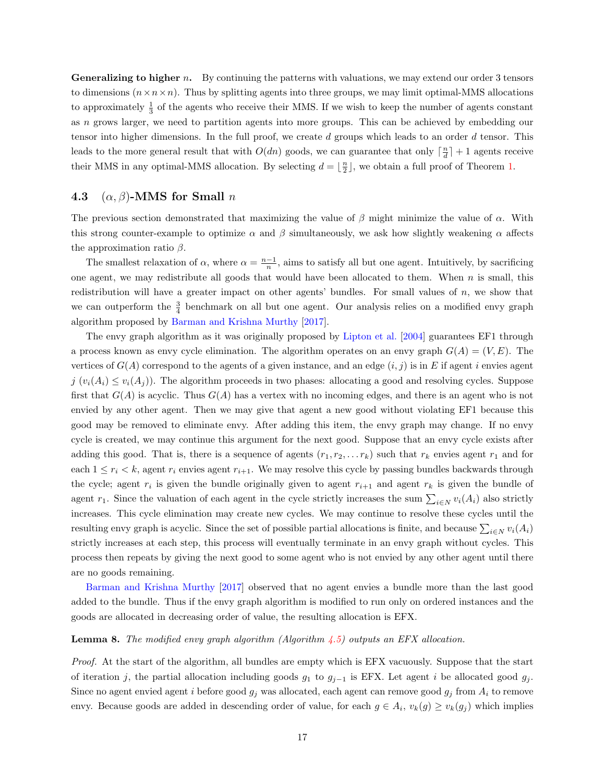**Generalizing to higher** n. By continuing the patterns with valuations, we may extend our order 3 tensors to dimensions  $(n \times n \times n)$ . Thus by splitting agents into three groups, we may limit optimal-MMS allocations to approximately  $\frac{1}{3}$  of the agents who receive their MMS. If we wish to keep the number of agents constant as n grows larger, we need to partition agents into more groups. This can be achieved by embedding our tensor into higher dimensions. In the full proof, we create d groups which leads to an order d tensor. This leads to the more general result that with  $O(dn)$  goods, we can guarantee that only  $\lceil \frac{n}{d} \rceil + 1$  agents receive their MMS in any optimal-MMS allocation. By selecting  $d = \lfloor \frac{n}{2} \rfloor$ , we obtain a full proof of Theorem [1.](#page-18-2)

#### <span id="page-21-0"></span>4.3 ( $\alpha$ ,  $\beta$ )-MMS for Small n

The previous section demonstrated that maximizing the value of  $\beta$  might minimize the value of  $\alpha$ . With this strong counter-example to optimize  $\alpha$  and  $\beta$  simultaneously, we ask how slightly weakening  $\alpha$  affects the approximation ratio  $\beta$ .

The smallest relaxation of  $\alpha$ , where  $\alpha = \frac{n-1}{n}$ , aims to satisfy all but one agent. Intuitively, by sacrificing one agent, we may redistribute all goods that would have been allocated to them. When  $n$  is small, this redistribution will have a greater impact on other agents' bundles. For small values of  $n$ , we show that we can outperform the  $\frac{3}{4}$  benchmark on all but one agent. Our analysis relies on a modified envy graph algorithm proposed by [Barman and Krishna Murthy](#page-42-9) [\[2017\]](#page-42-9).

The envy graph algorithm as it was originally proposed by [Lipton et al.](#page-43-12) [\[2004\]](#page-43-12) guarantees EF1 through a process known as envy cycle elimination. The algorithm operates on an envy graph  $G(A) = (V, E)$ . The vertices of  $G(A)$  correspond to the agents of a given instance, and an edge  $(i, j)$  is in E if agent i envies agent  $j$  ( $v_i(A_i) \leq v_i(A_j)$ ). The algorithm proceeds in two phases: allocating a good and resolving cycles. Suppose first that  $G(A)$  is acyclic. Thus  $G(A)$  has a vertex with no incoming edges, and there is an agent who is not envied by any other agent. Then we may give that agent a new good without violating EF1 because this good may be removed to eliminate envy. After adding this item, the envy graph may change. If no envy cycle is created, we may continue this argument for the next good. Suppose that an envy cycle exists after adding this good. That is, there is a sequence of agents  $(r_1, r_2, \ldots r_k)$  such that  $r_k$  envies agent  $r_1$  and for each  $1 \leq r_i \leq k$ , agent  $r_i$  envies agent  $r_{i+1}$ . We may resolve this cycle by passing bundles backwards through the cycle; agent  $r_i$  is given the bundle originally given to agent  $r_{i+1}$  and agent  $r_k$  is given the bundle of agent  $r_1$ . Since the valuation of each agent in the cycle strictly increases the sum  $\sum_{i\in N} v_i(A_i)$  also strictly increases. This cycle elimination may create new cycles. We may continue to resolve these cycles until the resulting envy graph is acyclic. Since the set of possible partial allocations is finite, and because  $\sum_{i\in N} v_i(A_i)$ strictly increases at each step, this process will eventually terminate in an envy graph without cycles. This process then repeats by giving the next good to some agent who is not envied by any other agent until there are no goods remaining.

[Barman and Krishna Murthy](#page-42-9) [\[2017\]](#page-42-9) observed that no agent envies a bundle more than the last good added to the bundle. Thus if the envy graph algorithm is modified to run only on ordered instances and the goods are allocated in decreasing order of value, the resulting allocation is EFX.

#### <span id="page-21-1"></span>**Lemma 8.** The modified envy graph algorithm (Algorithm  $\overline{4.5}$ ) outputs an EFX allocation.

Proof. At the start of the algorithm, all bundles are empty which is EFX vacuously. Suppose that the start of iteration j, the partial allocation including goods  $g_1$  to  $g_{j-1}$  is EFX. Let agent i be allocated good  $g_j$ . Since no agent envied agent i before good  $g_j$  was allocated, each agent can remove good  $g_j$  from  $A_i$  to remove envy. Because goods are added in descending order of value, for each  $g \in A_i$ ,  $v_k(g) \ge v_k(g_j)$  which implies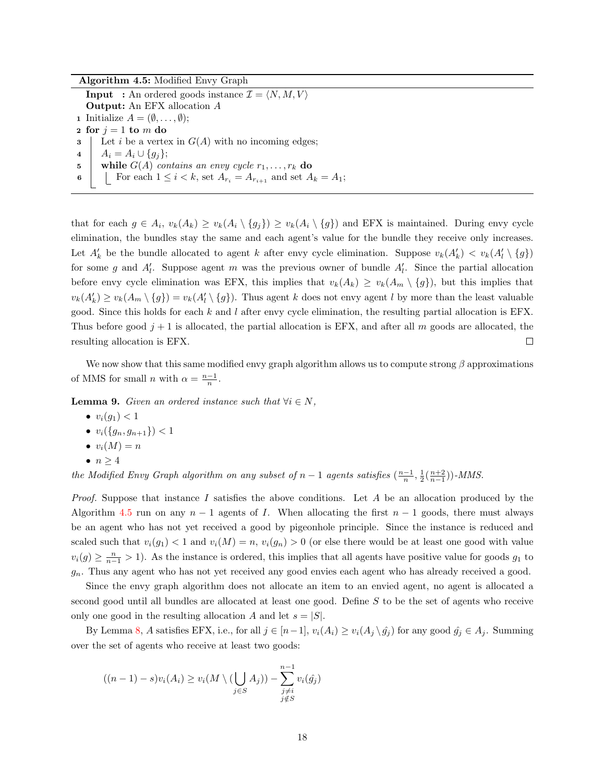Algorithm 4.5: Modified Envy Graph **Input** : An ordered goods instance  $\mathcal{I} = \langle N, M, V \rangle$ Output: An EFX allocation A **1** Initialize  $A = (\emptyset, \ldots, \emptyset);$ 2 for  $j = 1$  to m do  $\mathbf{3}$  Let i be a vertex in  $G(A)$  with no incoming edges; 4 |  $A_i = A_i \cup \{g_i\};$ 5 while  $G(A)$  contains an envy cycle  $r_1, \ldots, r_k$  do 6 C For each  $1 \leq i < k$ , set  $A_{r_i} = A_{r_{i+1}}$  and set  $A_k = A_1$ ;

<span id="page-22-0"></span>that for each  $g \in A_i$ ,  $v_k(A_k) \ge v_k(A_i \setminus \{g_j\}) \ge v_k(A_i \setminus \{g\})$  and EFX is maintained. During envy cycle elimination, the bundles stay the same and each agent's value for the bundle they receive only increases. Let  $A'_k$  be the bundle allocated to agent k after envy cycle elimination. Suppose  $v_k(A'_k) < v_k(A'_l \setminus \{g\})$ for some g and  $A'_l$ . Suppose agent m was the previous owner of bundle  $A'_l$ . Since the partial allocation before envy cycle elimination was EFX, this implies that  $v_k(A_k) \ge v_k(A_m \setminus \{g\})$ , but this implies that  $v_k(A'_k) \ge v_k(A_m \setminus \{g\}) = v_k(A'_l \setminus \{g\})$ . Thus agent k does not envy agent l by more than the least valuable good. Since this holds for each  $k$  and  $l$  after envy cycle elimination, the resulting partial allocation is EFX. Thus before good  $j + 1$  is allocated, the partial allocation is EFX, and after all m goods are allocated, the resulting allocation is EFX.  $\Box$ 

We now show that this same modified envy graph algorithm allows us to compute strong  $\beta$  approximations of MMS for small *n* with  $\alpha = \frac{n-1}{n}$ .

<span id="page-22-1"></span>**Lemma 9.** Given an ordered instance such that  $\forall i \in N$ ,

- $v_i(g_1) < 1$
- $v_i(\{g_n, g_{n+1}\}) < 1$
- $\bullet v_i(M)=n$

$$
\bullet \ \ n \geq 4
$$

the Modified Envy Graph algorithm on any subset of  $n-1$  agents satisfies  $(\frac{n-1}{n}, \frac{1}{2}(\frac{n+2}{n-1}))$ -MMS.

*Proof.* Suppose that instance I satisfies the above conditions. Let A be an allocation produced by the Algorithm [4.5](#page-22-0) run on any  $n-1$  agents of I. When allocating the first  $n-1$  goods, there must always be an agent who has not yet received a good by pigeonhole principle. Since the instance is reduced and scaled such that  $v_i(g_1) < 1$  and  $v_i(M) = n$ ,  $v_i(g_n) > 0$  (or else there would be at least one good with value  $v_i(g) \geq \frac{n}{n-1} > 1$ ). As the instance is ordered, this implies that all agents have positive value for goods  $g_1$  to  $g_n$ . Thus any agent who has not yet received any good envies each agent who has already received a good.

Since the envy graph algorithm does not allocate an item to an envied agent, no agent is allocated a second good until all bundles are allocated at least one good. Define S to be the set of agents who receive only one good in the resulting allocation A and let  $s = |S|$ .

By Lemma [8,](#page-21-1) A satisfies EFX, i.e., for all  $j \in [n-1]$ ,  $v_i(A_i) \ge v_i(A_j \setminus \hat{g}_j)$  for any good  $\hat{g}_j \in A_j$ . Summing over the set of agents who receive at least two goods:

$$
((n-1)-s)v_i(A_i) \ge v_i(M \setminus (\bigcup_{j \in S} A_j)) - \sum_{\substack{j \neq i \\ j \notin S}}^{n-1} v_i(\hat{g}_j)
$$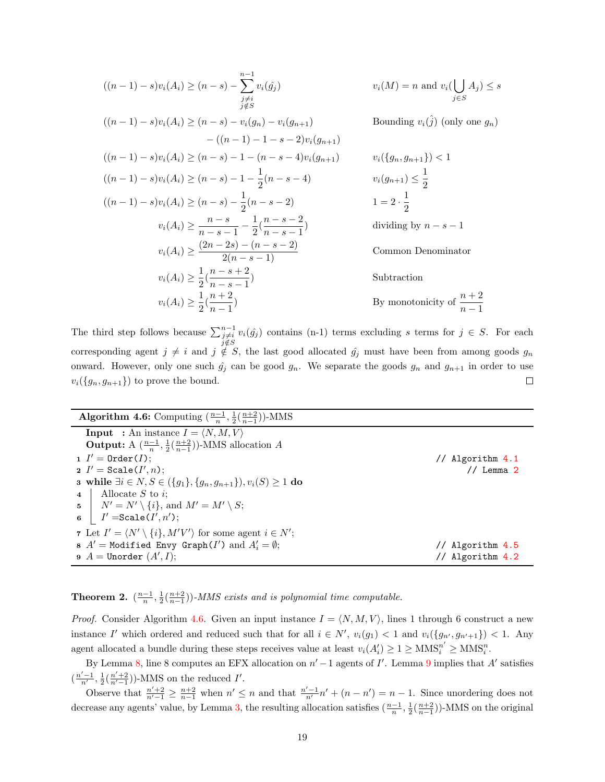$$
((n-1) - s)v_i(A_i) \ge (n - s) - \sum_{\substack{j \neq i \\ j \notin S}}^{n-1} v_i(\hat{g}_j)
$$
\n
$$
v_i(M) = n \text{ and } v_i(\bigcup_{j \in S} A_j) \le s
$$
\n
$$
((n-1) - s)v_i(A_i) \ge (n - s) - v_i(g_{n-1})
$$
\n
$$
-(n-1) - 1 - s - 2)v_i(g_{n+1})
$$
\n
$$
((n-1) - s)v_i(A_i) \ge (n - s) - 1 - (n - s - 4)v_i(g_{n+1})
$$
\n
$$
((n-1) - s)v_i(A_i) \ge (n - s) - 1 - \frac{1}{2}(n - s - 4)
$$
\n
$$
v_i(\{g_n, g_{n+1}\}) < 1
$$
\n
$$
((n-1) - s)v_i(A_i) \ge (n - s) - \frac{1}{2}(n - s - 4)
$$
\n
$$
v_i(g_{n+1}) \le \frac{1}{2}
$$
\n
$$
((n-1) - s)v_i(A_i) \ge (n - s) - \frac{1}{2}(n - s - 2)
$$
\n
$$
1 = 2 \cdot \frac{1}{2}
$$
\n
$$
v_i(A_i) \ge \frac{n - s}{n - s - 1} - \frac{1}{2}(\frac{n - s - 2}{n - s - 1})
$$
\n
$$
v_i(A_i) \ge \frac{(2n - 2s) - (n - s - 2)}{2(n - s - 1)}
$$
\n
$$
v_i(A_i) \ge \frac{1}{2}(\frac{n - s + 2}{n - s - 1})
$$
\n
$$
v_i(A_i) \ge \frac{1}{2}(\frac{n + 2}{n - 1})
$$
\nBy monotonicity of  $\frac{n + 2}{n - 1}$ 

The third step follows because  $\sum_{\substack{j \neq i \\ j \notin S}}^{n-1}$  $v_i(\hat{g}_j)$  contains (n-1) terms excluding s terms for  $j \in S$ . For each corresponding agent  $j \neq i$  and  $j \notin S$ , the last good allocated  $\hat{g}_j$  must have been from among goods  $g_n$ onward. However, only one such  $\hat{g}_j$  can be good  $g_n$ . We separate the goods  $g_n$  and  $g_{n+1}$  in order to use  $v_i({g_n, g_{n+1}})$  to prove the bound.  $\Box$ 

| <b>Algorithm 4.6:</b> Computing $\left(\frac{n-1}{n},\frac{1}{2}\left(\frac{n+2}{n-1}\right)\right)$ -MMS |                       |
|-----------------------------------------------------------------------------------------------------------|-----------------------|
| <b>Input</b> : An instance $I = \langle N, M, V \rangle$                                                  |                       |
| <b>Output:</b> A $\left(\frac{n-1}{n}, \frac{1}{2}\left(\frac{n+2}{n-1}\right)\right)$ -MMS allocation A  |                       |
| $1$ $I' =$ Order( <i>I</i> );                                                                             | // Algorithm 4.1      |
| 2 $I' = \texttt{Scale}(I', n);$                                                                           | $\frac{1}{2}$ Lemma 2 |
| <b>3</b> while $\exists i \in N, S \in (\{g_1\}, \{g_n, g_{n+1}\}), v_i(S) \geq 1$ do                     |                       |
| 4   Allocate S to i;                                                                                      |                       |
| 5   $N' = N' \setminus \{i\}$ , and $M' = M' \setminus S$ ;                                               |                       |
| 6 $I' = \texttt{Scale}(I', n');$                                                                          |                       |
| 7 Let $I' = \langle N' \setminus \{i\}, M'V' \rangle$ for some agent $i \in N'$ ;                         |                       |
| 8 $A'$ = Modified Envy Graph(I') and $A'_i = \emptyset$ ;                                                 | // Algorithm 4.5      |
| $A =$ Unorder $(A', I);$                                                                                  | // Algorithm 4.2      |

<span id="page-23-0"></span>**Theorem 2.**  $\left(\frac{n-1}{n},\frac{1}{2}\left(\frac{n+2}{n-1}\right)\right)$ -MMS exists and is polynomial time computable.

*Proof.* Consider Algorithm [4.6.](#page-23-0) Given an input instance  $I = \langle N, M, V \rangle$ , lines 1 through 6 construct a new instance I' which ordered and reduced such that for all  $i \in N'$ ,  $v_i(g_1) < 1$  and  $v_i(\lbrace g_{n'}, g_{n'+1} \rbrace) < 1$ . Any agent allocated a bundle during these steps receives value at least  $v_i(A'_i) \ge 1 \ge \text{MMS}_i^{n'} \ge \text{MMS}_i^n$ .

By Lemma [8,](#page-21-1) line 8 computes an EFX allocation on  $n' - 1$  agents of I'. Lemma [9](#page-22-1) implies that A' satisfies  $(\frac{n'-1}{n'},\frac{1}{2}(\frac{n'+2}{n'-1}))$ -MMS on the reduced  $I'.$ 

Observe that  $\frac{n'+2}{n'-1} \ge \frac{n+2}{n-1}$  when  $n' \le n$  and that  $\frac{n'-1}{n'}n' + (n-n') = n-1$ . Since unordering does not decrease any agents' value, by Lemma [3,](#page-14-3) the resulting allocation satisfies  $(\frac{n-1}{n}, \frac{1}{2}(\frac{n+2}{n-1}))$ -MMS on the original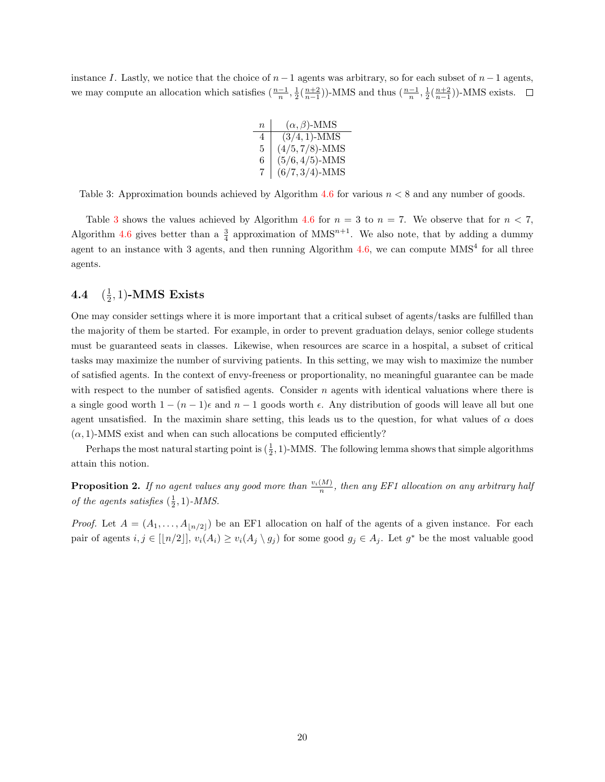<span id="page-24-1"></span>instance I. Lastly, we notice that the choice of  $n-1$  agents was arbitrary, so for each subset of  $n-1$  agents, we may compute an allocation which satisfies  $(\frac{n-1}{n}, \frac{1}{2}(\frac{n+2}{n-1}))$ -MMS and thus  $(\frac{n-1}{n}, \frac{1}{2}(\frac{n+2}{n-1}))$ -MMS exists.

| $\overline{n}$ | $(\alpha, \beta)$ -MMS |
|----------------|------------------------|
| 4              | $(3/4, 1)$ -MMS        |
| 5              | $(4/5, 7/8)$ -MMS      |
| 6              | $(5/6, 4/5)$ -MMS      |
| 7              | $(6/7, 3/4)$ -MMS      |

Table 3: Approximation bounds achieved by Algorithm [4.6](#page-23-0) for various  $n < 8$  and any number of goods.

Table [3](#page-24-1) shows the values achieved by Algorithm [4.6](#page-23-0) for  $n = 3$  to  $n = 7$ . We observe that for  $n < 7$ , Algorithm [4.6](#page-23-0) gives better than a  $\frac{3}{4}$  approximation of MMS<sup>n+1</sup>. We also note, that by adding a dummy agent to an instance with 3 agents, and then running Algorithm  $4.6$ , we can compute  $MMS<sup>4</sup>$  for all three agents.

#### <span id="page-24-0"></span>4.4 ( 1  $(\frac{1}{2}, 1)$ -MMS Exists

One may consider settings where it is more important that a critical subset of agents/tasks are fulfilled than the majority of them be started. For example, in order to prevent graduation delays, senior college students must be guaranteed seats in classes. Likewise, when resources are scarce in a hospital, a subset of critical tasks may maximize the number of surviving patients. In this setting, we may wish to maximize the number of satisfied agents. In the context of envy-freeness or proportionality, no meaningful guarantee can be made with respect to the number of satisfied agents. Consider  $n$  agents with identical valuations where there is a single good worth  $1 - (n - 1)\epsilon$  and  $n - 1$  goods worth  $\epsilon$ . Any distribution of goods will leave all but one agent unsatisfied. In the maximin share setting, this leads us to the question, for what values of  $\alpha$  does  $(\alpha, 1)$ -MMS exist and when can such allocations be computed efficiently?

Perhaps the most natural starting point is  $(\frac{1}{2}, 1)$ -MMS. The following lemma shows that simple algorithms attain this notion.

<span id="page-24-2"></span>**Proposition 2.** If no agent values any good more than  $\frac{v_i(M)}{n}$ , then any EF1 allocation on any arbitrary half of the agents satisfies  $(\frac{1}{2}, 1)$ -MMS.

*Proof.* Let  $A = (A_1, \ldots, A_{n/2})$  be an EF1 allocation on half of the agents of a given instance. For each pair of agents  $i, j \in [[n/2]], v_i(A_i) \ge v_i(A_j \setminus g_j)$  for some good  $g_j \in A_j$ . Let  $g^*$  be the most valuable good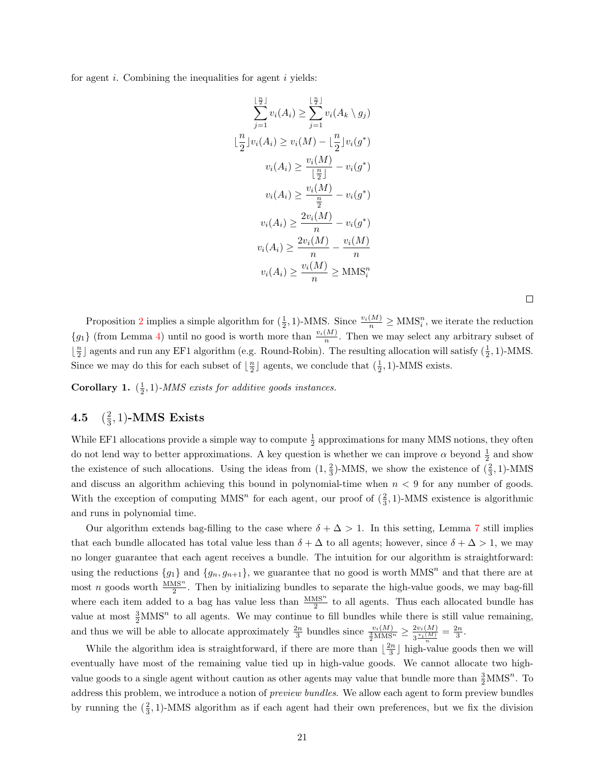for agent  $i$ . Combining the inequalities for agent  $i$  yields:

$$
\sum_{j=1}^{\lfloor \frac{n}{2} \rfloor} v_i(A_i) \ge \sum_{j=1}^{\lfloor \frac{n}{2} \rfloor} v_i(A_k \setminus g_j)
$$
  

$$
\lfloor \frac{n}{2} \rfloor v_i(A_i) \ge v_i(M) - \lfloor \frac{n}{2} \rfloor v_i(g^*)
$$
  

$$
v_i(A_i) \ge \frac{v_i(M)}{\lfloor \frac{n}{2} \rfloor} - v_i(g^*)
$$
  

$$
v_i(A_i) \ge \frac{v_i(M)}{\frac{n}{2}} - v_i(g^*)
$$
  

$$
v_i(A_i) \ge \frac{2v_i(M)}{n} - v_i(g^*)
$$
  

$$
v_i(A_i) \ge \frac{2v_i(M)}{n} - \frac{v_i(M)}{n}
$$
  

$$
v_i(A_i) \ge \frac{v_i(M)}{n} \ge \text{MMS}_i^n
$$

Proposition [2](#page-24-2) implies a simple algorithm for  $(\frac{1}{2}, 1)$ -MMS. Since  $\frac{v_i(M)}{n} \geq \text{MMS}_i^n$ , we iterate the reduction  ${g_1}$  (from Lemma [4\)](#page-14-2) until no good is worth more than  $\frac{v_i(M)}{n}$ . Then we may select any arbitrary subset of  $\lfloor \frac{n}{2} \rfloor$  agents and run any EF1 algorithm (e.g. Round-Robin). The resulting allocation will satisfy  $(\frac{1}{2}, 1)$ -MMS. Since we may do this for each subset of  $\lfloor \frac{n}{2} \rfloor$  agents, we conclude that  $(\frac{1}{2}, 1)$ -MMS exists.

**Corollary 1.**  $(\frac{1}{2}, 1)$ -MMS exists for additive goods instances.

#### <span id="page-25-0"></span>4.5 ( 2  $(\frac{2}{3},1)$ -MMS Exists

While EF1 allocations provide a simple way to compute  $\frac{1}{2}$  approximations for many MMS notions, they often do not lend way to better approximations. A key question is whether we can improve  $\alpha$  beyond  $\frac{1}{2}$  and show the existence of such allocations. Using the ideas from  $(1, \frac{2}{3})$ -MMS, we show the existence of  $(\frac{2}{3}, 1)$ -MMS and discuss an algorithm achieving this bound in polynomial-time when  $n < 9$  for any number of goods. With the exception of computing  $MMS<sup>n</sup>$  for each agent, our proof of  $(\frac{2}{3}, 1)$ -MMS existence is algorithmic and runs in polynomial time.

Our algorithm extends bag-filling to the case where  $\delta + \Delta > 1$ . In this setting, Lemma [7](#page-16-1) still implies that each bundle allocated has total value less than  $\delta + \Delta$  to all agents; however, since  $\delta + \Delta > 1$ , we may no longer guarantee that each agent receives a bundle. The intuition for our algorithm is straightforward: using the reductions  ${g_1}$  and  ${g_n, g_{n+1}}$ , we guarantee that no good is worth MMS<sup>n</sup> and that there are at most n goods worth  $\frac{\text{MMS}^n}{2}$ . Then by initializing bundles to separate the high-value goods, we may bag-fill where each item added to a bag has value less than  $\frac{MMS^n}{2}$  to all agents. Thus each allocated bundle has value at most  $\frac{3}{2}MNS^n$  to all agents. We may continue to fill bundles while there is still value remaining, and thus we will be able to allocate approximately  $\frac{2n}{3}$  bundles since  $\frac{v_i(M)}{\frac{3}{2}MMS^n} \geq \frac{2v_i(M)}{3\frac{v_i(M)}{M}}$  $\frac{2v_i(M)}{3\frac{v_i(M)}{n}} = \frac{2n}{3}.$ 

While the algorithm idea is straightforward, if there are more than  $\lfloor \frac{2n}{3} \rfloor$  high-value goods then we will eventually have most of the remaining value tied up in high-value goods. We cannot allocate two highvalue goods to a single agent without caution as other agents may value that bundle more than  $\frac{3}{2}MNS^n$ . To address this problem, we introduce a notion of *preview bundles*. We allow each agent to form preview bundles by running the  $(\frac{2}{3}, 1)$ -MMS algorithm as if each agent had their own preferences, but we fix the division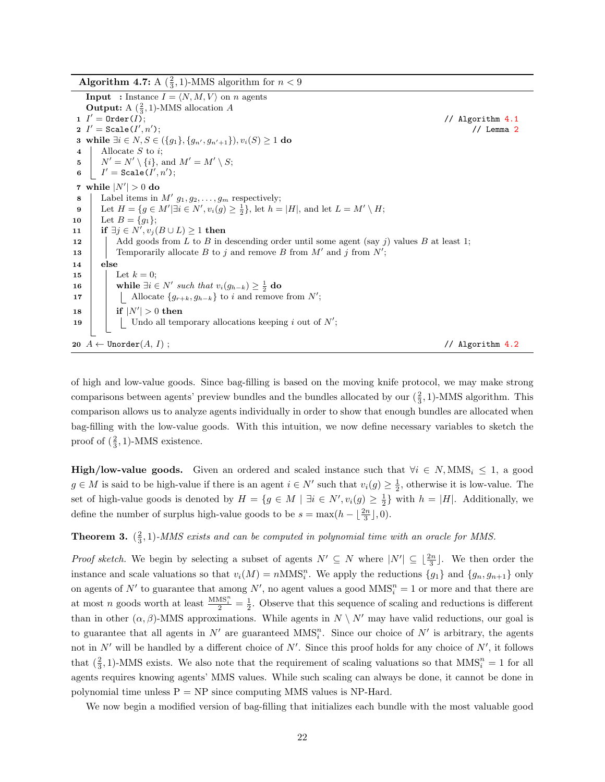Algorithm 4.7: A  $(\frac{2}{3}, 1)$ -MMS algorithm for  $n < 9$ 

**Input** : Instance  $I = \langle N, M, V \rangle$  on n agents **Output:** A  $(\frac{2}{3}, 1)$ -MMS allocation A 1  $I' =$  Order(I);  $//$  Algorithm [4.1](#page-14-0)  $2$   $I' = \texttt{Scale}(I', n')$  $//$  Lemma  $2$ 3 while ∃ $i \in N$ ,  $S \in (\{g_1\}, \{g_{n'}, g_{n'+1}\})$ ,  $v_i(S) \ge 1$  do 4 | Allocate  $S$  to  $i$ ; 5  $N' = N' \setminus \{i\}$ , and  $M' = M' \setminus S$ ;  $\mathbf{6} \quad | \quad I' = \mathtt{Scale}(I', n') \, ;$ 7 while  $|N'| > 0$  do **8** | Label items in  $M'$   $g_1, g_2, \ldots, g_m$  respectively; 9 Let  $H = \{ g \in M' | \exists i \in N', v_i(g) \geq \frac{1}{2} \}, \text{ let } h = |H|, \text{ and let } L = M' \setminus H;$ 10 Let  $B = \{g_1\};$ 11 if  $\exists j \in N', v_j(B \cup L) \geq 1$  then 12 Add goods from L to B in descending order until some agent (say j) values B at least 1; 13 Temporarily allocate B to j and remove B from  $M'$  and j from  $N'$ ; 14 else 15 | Let  $k = 0$ ; 16 while  $\exists i \in N'$  such that  $v_i(g_{h-k}) \geq \frac{1}{2}$  do 17 | | Allocate  $\{g_{r+k}, g_{h-k}\}\$ to i and remove from N';  $\textbf{18}$  | if  $|N'| > 0$  then 19 | | Undo all temporary allocations keeping i out of  $N'$ ; 20  $A \leftarrow$  Unorder $(A, I)$ ; // Algorithm [4.2](#page-14-1)

<span id="page-26-1"></span>of high and low-value goods. Since bag-filling is based on the moving knife protocol, we may make strong comparisons between agents' preview bundles and the bundles allocated by our  $(\frac{2}{3}, 1)$ -MMS algorithm. This comparison allows us to analyze agents individually in order to show that enough bundles are allocated when bag-filling with the low-value goods. With this intuition, we now define necessary variables to sketch the proof of  $(\frac{2}{3}, 1)$ -MMS existence.

**High/low-value goods.** Given an ordered and scaled instance such that  $\forall i \in N, \text{MMS}_i \leq 1$ , a good  $g \in M$  is said to be high-value if there is an agent  $i \in N'$  such that  $v_i(g) \geq \frac{1}{2}$ , otherwise it is low-value. The set of high-value goods is denoted by  $H = \{g \in M \mid \exists i \in N', v_i(g) \geq \frac{1}{2}\}\$  with  $h = |H|$ . Additionally, we define the number of surplus high-value goods to be  $s = \max(h - \lfloor \frac{2n}{3} \rfloor, 0)$ .

<span id="page-26-0"></span>**Theorem 3.**  $(\frac{2}{3}, 1)$ -MMS exists and can be computed in polynomial time with an oracle for MMS.

*Proof sketch.* We begin by selecting a subset of agents  $N' \subseteq N$  where  $|N'| \subseteq \lfloor \frac{2n}{3} \rfloor$ . We then order the instance and scale valuations so that  $v_i(M) = nMMS_i^n$ . We apply the reductions  $\{g_1\}$  and  $\{g_n, g_{n+1}\}$  only on agents of N' to guarantee that among N', no agent values a good  $MMS_i^n = 1$  or more and that there are at most n goods worth at least  $\frac{MMS_i^n}{2} = \frac{1}{2}$ . Observe that this sequence of scaling and reductions is different than in other  $(\alpha, \beta)$ -MMS approximations. While agents in  $N \setminus N'$  may have valid reductions, our goal is to guarantee that all agents in  $N'$  are guaranteed  $MMS_i^n$ . Since our choice of  $N'$  is arbitrary, the agents not in  $N'$  will be handled by a different choice of  $N'$ . Since this proof holds for any choice of  $N'$ , it follows that  $(\frac{2}{3}, 1)$ -MMS exists. We also note that the requirement of scaling valuations so that  $MMS_i^n = 1$  for all agents requires knowing agents' MMS values. While such scaling can always be done, it cannot be done in polynomial time unless  $P = NP$  since computing MMS values is NP-Hard.

We now begin a modified version of bag-filling that initializes each bundle with the most valuable good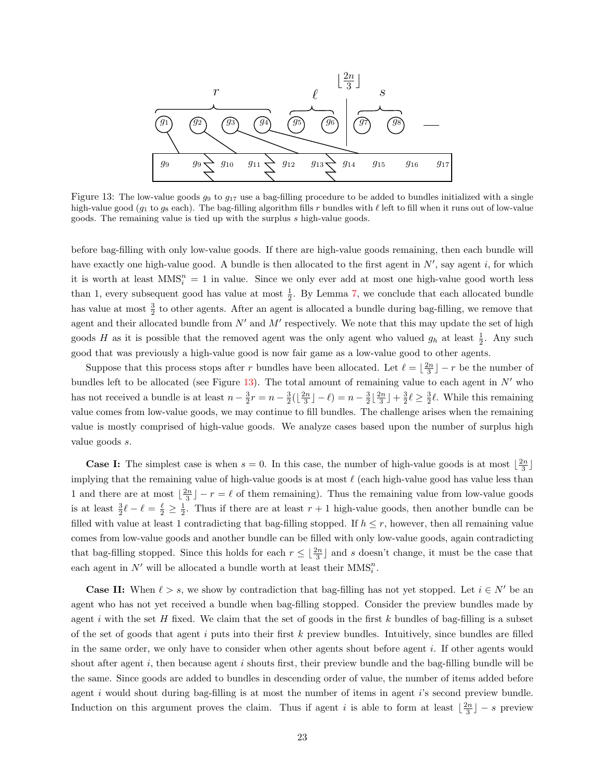<span id="page-27-0"></span>

Figure 13: The low-value goods  $g_9$  to  $g_{17}$  use a bag-filling procedure to be added to bundles initialized with a single high-value good ( $g_1$  to  $g_8$  each). The bag-filling algorithm fills r bundles with  $\ell$  left to fill when it runs out of low-value goods. The remaining value is tied up with the surplus s high-value goods.

before bag-filling with only low-value goods. If there are high-value goods remaining, then each bundle will have exactly one high-value good. A bundle is then allocated to the first agent in  $N'$ , say agent i, for which it is worth at least  $MMS_i^n = 1$  in value. Since we only ever add at most one high-value good worth less than 1, every subsequent good has value at most  $\frac{1}{2}$ . By Lemma [7,](#page-16-1) we conclude that each allocated bundle has value at most  $\frac{3}{2}$  to other agents. After an agent is allocated a bundle during bag-filling, we remove that agent and their allocated bundle from  $N'$  and  $M'$  respectively. We note that this may update the set of high goods H as it is possible that the removed agent was the only agent who valued  $g_h$  at least  $\frac{1}{2}$ . Any such good that was previously a high-value good is now fair game as a low-value good to other agents.

Suppose that this process stops after r bundles have been allocated. Let  $\ell = \lfloor \frac{2n}{3} \rfloor - r$  be the number of bundles left to be allocated (see Figure [13\)](#page-27-0). The total amount of remaining value to each agent in  $N'$  who has not received a bundle is at least  $n - \frac{3}{2}r = n - \frac{3}{2}(\lfloor \frac{2n}{3} \rfloor - \ell) = n - \frac{3}{2}\lfloor \frac{2n}{3} \rfloor + \frac{3}{2}\ell \ge \frac{3}{2}\ell$ . While this remaining value comes from low-value goods, we may continue to fill bundles. The challenge arises when the remaining value is mostly comprised of high-value goods. We analyze cases based upon the number of surplus high value goods s.

**Case I:** The simplest case is when  $s = 0$ . In this case, the number of high-value goods is at most  $\lfloor \frac{2n}{3} \rfloor$ implying that the remaining value of high-value goods is at most  $\ell$  (each high-value good has value less than 1 and there are at most  $\lfloor \frac{2n}{3} \rfloor - r = \ell$  of them remaining). Thus the remaining value from low-value goods is at least  $\frac{3}{2}\ell - \ell = \frac{\ell}{2} \ge \frac{1}{2}$ . Thus if there are at least  $r + 1$  high-value goods, then another bundle can be filled with value at least 1 contradicting that bag-filling stopped. If  $h \leq r$ , however, then all remaining value comes from low-value goods and another bundle can be filled with only low-value goods, again contradicting that bag-filling stopped. Since this holds for each  $r \leq \lfloor \frac{2n}{3} \rfloor$  and s doesn't change, it must be the case that each agent in  $N'$  will be allocated a bundle worth at least their  $MMS_i^n$ .

**Case II:** When  $\ell > s$ , we show by contradiction that bag-filling has not yet stopped. Let  $i \in N'$  be an agent who has not yet received a bundle when bag-filling stopped. Consider the preview bundles made by agent i with the set H fixed. We claim that the set of goods in the first  $k$  bundles of bag-filling is a subset of the set of goods that agent i puts into their first  $k$  preview bundles. Intuitively, since bundles are filled in the same order, we only have to consider when other agents shout before agent i. If other agents would shout after agent i, then because agent i shouts first, their preview bundle and the bag-filling bundle will be the same. Since goods are added to bundles in descending order of value, the number of items added before agent i would shout during bag-filling is at most the number of items in agent i's second preview bundle. Induction on this argument proves the claim. Thus if agent i is able to form at least  $\lfloor \frac{2n}{3} \rfloor - s$  preview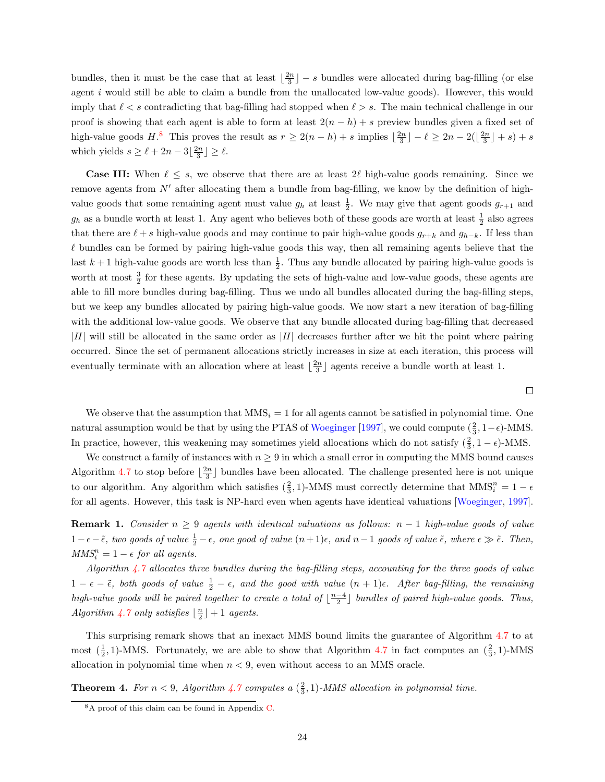bundles, then it must be the case that at least  $\lfloor \frac{2n}{3} \rfloor - s$  bundles were allocated during bag-filling (or else agent i would still be able to claim a bundle from the unallocated low-value goods). However, this would imply that  $\ell < s$  contradicting that bag-filling had stopped when  $\ell > s$ . The main technical challenge in our proof is showing that each agent is able to form at least  $2(n - h) + s$  preview bundles given a fixed set of high-value goods  $H^3$ . This proves the result as  $r \geq 2(n-h) + s$  implies  $\lfloor \frac{2n}{3} \rfloor - \ell \geq 2n - 2(\lfloor \frac{2n}{3} \rfloor + s) + s$ which yields  $s \ge \ell + 2n - 3\left\lfloor \frac{2n}{3} \right\rfloor \ge \ell$ .

**Case III:** When  $\ell \leq s$ , we observe that there are at least  $2\ell$  high-value goods remaining. Since we remove agents from  $N'$  after allocating them a bundle from bag-filling, we know by the definition of highvalue goods that some remaining agent must value  $g_h$  at least  $\frac{1}{2}$ . We may give that agent goods  $g_{r+1}$  and  $g_h$  as a bundle worth at least 1. Any agent who believes both of these goods are worth at least  $\frac{1}{2}$  also agrees that there are  $\ell + s$  high-value goods and may continue to pair high-value goods  $g_{r+k}$  and  $g_{h-k}$ . If less than  $\ell$  bundles can be formed by pairing high-value goods this way, then all remaining agents believe that the last  $k+1$  high-value goods are worth less than  $\frac{1}{2}$ . Thus any bundle allocated by pairing high-value goods is worth at most  $\frac{3}{2}$  for these agents. By updating the sets of high-value and low-value goods, these agents are able to fill more bundles during bag-filling. Thus we undo all bundles allocated during the bag-filling steps, but we keep any bundles allocated by pairing high-value goods. We now start a new iteration of bag-filling with the additional low-value goods. We observe that any bundle allocated during bag-filling that decreased  $|H|$  will still be allocated in the same order as  $|H|$  decreases further after we hit the point where pairing occurred. Since the set of permanent allocations strictly increases in size at each iteration, this process will eventually terminate with an allocation where at least  $\lfloor \frac{2n}{3} \rfloor$  agents receive a bundle worth at least 1.

 $\Box$ 

We observe that the assumption that  $MMS_i = 1$  for all agents cannot be satisfied in polynomial time. One natural assumption would be that by using the PTAS of [Woeginger](#page-44-3) [\[1997\]](#page-44-3), we could compute  $(\frac{2}{3}, 1-\epsilon)$ -MMS. In practice, however, this weakening may sometimes yield allocations which do not satisfy  $(\frac{2}{3}, 1 - \epsilon)$ -MMS.

We construct a family of instances with  $n \geq 9$  in which a small error in computing the MMS bound causes Algorithm [4.7](#page-26-1) to stop before  $\lfloor \frac{2n}{3} \rfloor$  bundles have been allocated. The challenge presented here is not unique to our algorithm. Any algorithm which satisfies  $(\frac{2}{3}, 1)$ -MMS must correctly determine that  $MMS_i^n = 1 - \epsilon$ for all agents. However, this task is NP-hard even when agents have identical valuations [\[Woeginger,](#page-44-3) [1997\]](#page-44-3).

<span id="page-28-1"></span>**Remark 1.** Consider  $n \geq 9$  agents with identical valuations as follows:  $n-1$  high-value goods of value  $1-\epsilon-\tilde{\epsilon}$ , two goods of value  $\frac{1}{2}-\epsilon$ , one good of value  $(n+1)\epsilon$ , and  $n-1$  goods of value  $\tilde{\epsilon}$ , where  $\epsilon \gg \tilde{\epsilon}$ . Then,  $MMS_i^n = 1 - \epsilon$  for all agents.

Algorithm [4.7](#page-26-1) allocates three bundles during the bag-filling steps, accounting for the three goods of value  $1 - \epsilon - \tilde{\epsilon}$ , both goods of value  $\frac{1}{2} - \epsilon$ , and the good with value  $(n + 1)\epsilon$ . After bag-filling, the remaining high-value goods will be paired together to create a total of  $\lfloor \frac{n-4}{2} \rfloor$  bundles of paired high-value goods. Thus, Algorithm [4.7](#page-26-1) only satisfies  $\lfloor \frac{n}{2} \rfloor + 1$  agents.

This surprising remark shows that an inexact MMS bound limits the guarantee of Algorithm [4.7](#page-26-1) to at most  $(\frac{1}{2}, 1)$ -MMS. Fortunately, we are able to show that Algorithm [4.7](#page-26-1) in fact computes an  $(\frac{2}{3}, 1)$ -MMS allocation in polynomial time when  $n < 9$ , even without access to an MMS oracle.

<span id="page-28-0"></span>**Theorem 4.** For  $n < 9$ , Algorithm [4.7](#page-26-1) computes a  $(\frac{2}{3}, 1)$ -MMS allocation in polynomial time.

<sup>8</sup>A proof of this claim can be found in Appendix [C.](#page-53-0)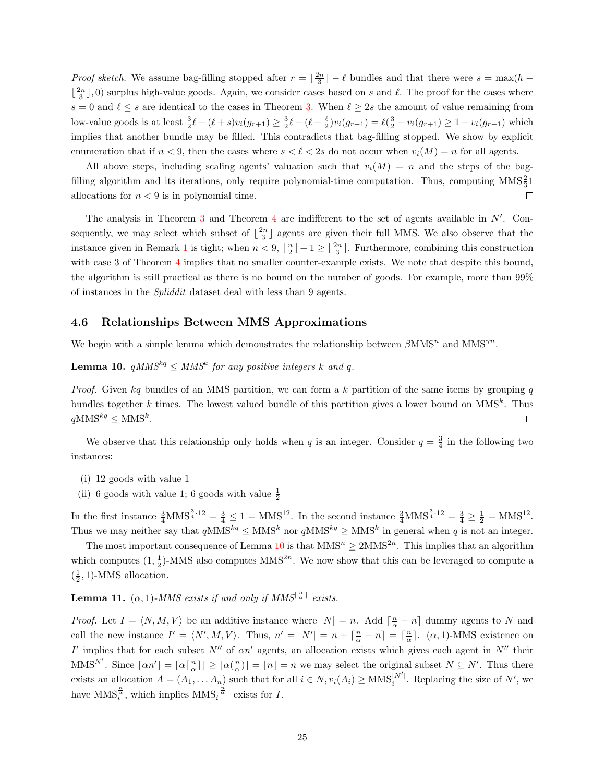*Proof sketch.* We assume bag-filling stopped after  $r = \lfloor \frac{2n}{3} \rfloor - \ell$  bundles and that there were  $s = \max(h - \ell)$  $\lfloor \frac{2n}{3} \rfloor$ , 0) surplus high-value goods. Again, we consider cases based on s and  $\ell$ . The proof for the cases where  $s = 0$  and  $\ell \leq s$  are identical to the cases in Theorem [3.](#page-26-0) When  $\ell \geq 2s$  the amount of value remaining from low-value goods is at least  $\frac{3}{2}\ell - (\ell + s)v_i(g_{r+1}) \ge \frac{3}{2}\ell - (\ell + \frac{\ell}{2})v_i(g_{r+1}) = \ell(\frac{3}{2} - v_i(g_{r+1}) \ge 1 - v_i(g_{r+1})$  which implies that another bundle may be filled. This contradicts that bag-filling stopped. We show by explicit enumeration that if  $n < 9$ , then the cases where  $s < \ell < 2s$  do not occur when  $v_i(M) = n$  for all agents.

All above steps, including scaling agents' valuation such that  $v_i(M) = n$  and the steps of the bagfilling algorithm and its iterations, only require polynomial-time computation. Thus, computing  $MMS<sub>3</sub><sup>2</sup>1$ allocations for  $n < 9$  is in polynomial time.  $\Box$ 

The analysis in Theorem  $3$  and Theorem  $4$  are indifferent to the set of agents available in  $N'$ . Consequently, we may select which subset of  $\lfloor \frac{2n}{3} \rfloor$  agents are given their full MMS. We also observe that the instance given in Remark [1](#page-28-1) is tight; when  $n < 9$ ,  $\lfloor \frac{n}{2} \rfloor + 1 \geq \lfloor \frac{2n}{3} \rfloor$ . Furthermore, combining this construction with case 3 of Theorem [4](#page-28-0) implies that no smaller counter-example exists. We note that despite this bound, the algorithm is still practical as there is no bound on the number of goods. For example, more than 99% of instances in the Spliddit dataset deal with less than 9 agents.

#### <span id="page-29-0"></span>4.6 Relationships Between MMS Approximations

We begin with a simple lemma which demonstrates the relationship between  $\beta$ MMS<sup>n</sup> and MMS<sup> $\gamma$ n</sup>.

### <span id="page-29-1"></span>**Lemma 10.**  $qMMS^{kq} \leq MMS^k$  for any positive integers k and q.

*Proof.* Given kq bundles of an MMS partition, we can form a k partition of the same items by grouping q bundles together k times. The lowest valued bundle of this partition gives a lower bound on  $MMS<sup>k</sup>$ . Thus  $qMMS^{kq} \leq MMS^k$ .  $\Box$ 

We observe that this relationship only holds when q is an integer. Consider  $q = \frac{3}{4}$  in the following two instances:

- (i) 12 goods with value 1
- (ii) 6 goods with value 1; 6 goods with value  $\frac{1}{2}$

In the first instance  $\frac{3}{4}$  MMS<sup> $\frac{3}{4}$ -12 =  $\frac{3}{4} \leq 1 =$  MMS<sup>12</sup>. In the second instance  $\frac{3}{4}$  MMS<sup> $\frac{3}{4}$ -12 =  $\frac{3}{4} \geq \frac{1}{2} =$  MMS<sup>12</sup>.</sup></sup> Thus we may neither say that  $qMMS^{kq} \leq MMS^k$  nor  $qMMS^{kq} \geq MMS^k$  in general when q is not an integer.

The most important consequence of Lemma [10](#page-29-1) is that  $MMS^n \geq 2MMS^{2n}$ . This implies that an algorithm which computes  $(1, \frac{1}{2})$ -MMS also computes MMS<sup>2n</sup>. We now show that this can be leveraged to compute a  $(\frac{1}{2}, 1)$ -MMS allocation.

<span id="page-29-2"></span>**Lemma 11.** ( $\alpha$ , 1)-MMS exists if and only if MMS<sup> $\lceil \frac{n}{\alpha} \rceil$  exists.</sup>

*Proof.* Let  $I = \langle N, M, V \rangle$  be an additive instance where  $|N| = n$ . Add  $\left\lceil \frac{n}{\alpha} - n \right\rceil$  dummy agents to N and call the new instance  $I' = \langle N', M, V \rangle$ . Thus,  $n' = |N'| = n + \lceil \frac{n}{\alpha} - n \rceil = \lceil \frac{n}{\alpha} \rceil$ .  $(\alpha, 1)$ -MMS existence on I' implies that for each subset  $N''$  of  $\alpha n'$  agents, an allocation exists which gives each agent in  $N''$  their MMS<sup>N'</sup>. Since  $\lfloor \alpha n' \rfloor = \lfloor \alpha \lceil \frac{n}{\alpha} \rceil \rfloor \ge \lfloor \alpha \left( \frac{n}{\alpha} \right) \rfloor = \lfloor n \rfloor = n$  we may select the original subset  $N \subseteq N'$ . Thus there exists an allocation  $A = (A_1, \ldots, A_n)$  such that for all  $i \in N$ ,  $v_i(A_i) \geq \text{MMS}_i^{|N'|}$  $i^{[N']}$ . Replacing the size of N', we have  $\text{MMS}_{i}^{\frac{n}{\alpha}},$  which implies  $\text{MMS}_{i}^{\left\lceil \frac{n}{\alpha} \right\rceil}$  $i^{\frac{1}{\alpha}+}$  exists for I.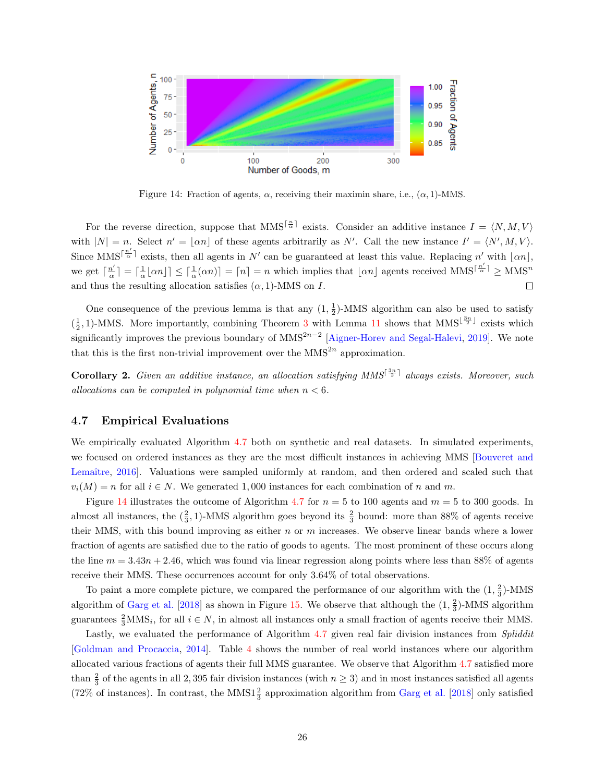<span id="page-30-2"></span>

Figure 14: Fraction of agents,  $\alpha$ , receiving their maximin share, i.e.,  $(\alpha, 1)$ -MMS.

For the reverse direction, suppose that MMS<sup> $\lceil \frac{n}{\alpha} \rceil$ </sup> exists. Consider an additive instance  $I = \langle N, M, V \rangle$ with  $|N| = n$ . Select  $n' = |\alpha n|$  of these agents arbitrarily as N'. Call the new instance  $I' = \langle N', M, V \rangle$ . Since MMS<sup> $\lceil \frac{n'}{\alpha} \rceil$ </sup> exists, then all agents in N' can be guaranteed at least this value. Replacing n' with  $|\alpha n|$ ,  $\left\lfloor \frac{n'}{\alpha} \right\rfloor = \left\lceil \frac{1}{\alpha} \lfloor \alpha n \rfloor \right\rceil \leq \left\lceil \frac{1}{\alpha} (\alpha n) \right\rceil = \lceil n \rceil = n$  which implies that  $\lfloor \alpha n \rfloor$  agents received MMS<sup> $\left\lceil \frac{n'}{\alpha} \right\rceil \geq \text{MMS}^n$ </sup> we get  $\lceil \frac{n'}{n} \rceil$ and thus the resulting allocation satisfies  $(\alpha, 1)$ -MMS on I.  $\Box$ 

One consequence of the previous lemma is that any  $(1, \frac{1}{2})$ -MMS algorithm can also be used to satisfy  $(\frac{1}{2}, 1)$ -MMS. More importantly, combining Theorem [3](#page-26-0) with Lemma [11](#page-29-2) shows that MMS<sup> $\lfloor \frac{3n}{2} \rfloor$ </sup> exists which significantly improves the previous boundary of  $MMS^{2n-2}$  [\[Aigner-Horev and Segal-Halevi,](#page-42-8) [2019\]](#page-42-8). We note that this is the first non-trivial improvement over the  $MMS^{2n}$  approximation.

<span id="page-30-1"></span>**Corollary 2.** Given an additive instance, an allocation satisfying  $MMS^{\lceil \frac{3n}{2} \rceil}$  always exists. Moreover, such allocations can be computed in polynomial time when  $n < 6$ .

#### <span id="page-30-0"></span>4.7 Empirical Evaluations

We empirically evaluated Algorithm [4.7](#page-26-1) both on synthetic and real datasets. In simulated experiments, we focused on ordered instances as they are the most difficult instances in achieving MMS [\[Bouveret and](#page-42-0) Lemaître, [2016\]](#page-42-0). Valuations were sampled uniformly at random, and then ordered and scaled such that  $v_i(M) = n$  for all  $i \in N$ . We generated 1,000 instances for each combination of n and m.

Figure [14](#page-30-2) illustrates the outcome of Algorithm [4.7](#page-26-1) for  $n = 5$  to 100 agents and  $m = 5$  to 300 goods. In almost all instances, the  $(\frac{2}{3}, 1)$ -MMS algorithm goes beyond its  $\frac{2}{3}$  bound: more than 88% of agents receive their MMS, with this bound improving as either  $n$  or  $m$  increases. We observe linear bands where a lower fraction of agents are satisfied due to the ratio of goods to agents. The most prominent of these occurs along the line  $m = 3.43n + 2.46$ , which was found via linear regression along points where less than 88% of agents receive their MMS. These occurrences account for only 3.64% of total observations.

To paint a more complete picture, we compared the performance of our algorithm with the  $(1, \frac{2}{3})$ -MMS algorithm of [Garg et al.](#page-43-2) [\[2018\]](#page-43-2) as shown in Figure [15.](#page-31-0) We observe that although the  $(1, \frac{2}{3})$ -MMS algorithm guarantees  $\frac{2}{3}$ MMS<sub>i</sub>, for all  $i \in N$ , in almost all instances only a small fraction of agents receive their MMS.

Lastly, we evaluated the performance of Algorithm [4.7](#page-26-1) given real fair division instances from Spliddit [\[Goldman and Procaccia,](#page-43-13) [2014\]](#page-43-13). Table [4](#page-31-1) shows the number of real world instances where our algorithm allocated various fractions of agents their full MMS guarantee. We observe that Algorithm [4.7](#page-26-1) satisfied more than  $\frac{2}{3}$  of the agents in all 2, 395 fair division instances (with  $n \geq 3$ ) and in most instances satisfied all agents (72% of instances). In contrast, the MMS1 $\frac{2}{3}$  approximation algorithm from [Garg et al.](#page-43-2) [\[2018\]](#page-43-2) only satisfied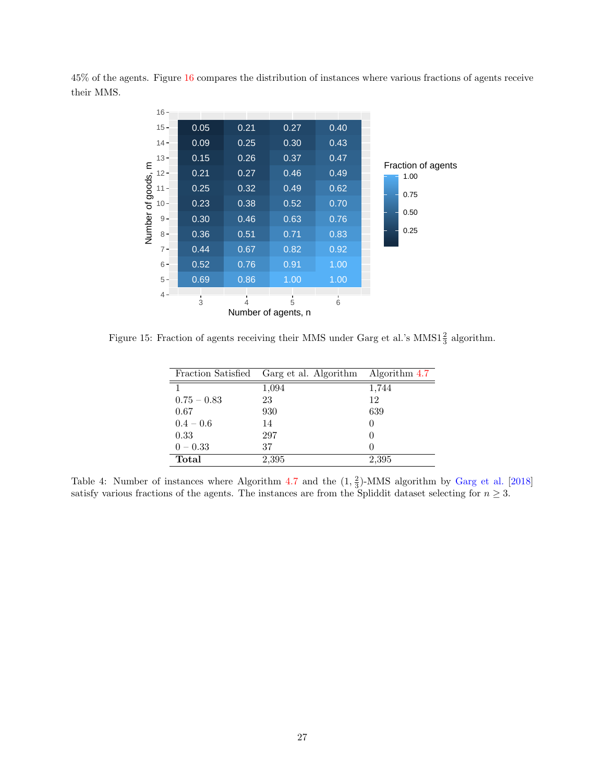<span id="page-31-0"></span>45% of the agents. Figure [16](#page-32-2) compares the distribution of instances where various fractions of agents receive their MMS.

|             | $16 -$ |                      |                     |      |        |                            |
|-------------|--------|----------------------|---------------------|------|--------|----------------------------|
|             | $15 -$ | 0.05                 | 0.21                | 0.27 | 0.40   |                            |
|             | $14 -$ | 0.09                 | 0.25                | 0.30 | 0.43   |                            |
|             | $13 -$ | 0.15                 | 0.26                | 0.37 | 0.47   |                            |
| of goods, m | $12 -$ | 0.21                 | 0.27                | 0.46 | 0.49   | Fraction of agents<br>1.00 |
|             | $11 -$ | 0.25                 | 0.32                | 0.49 | 0.62   | 0.75                       |
|             | $10 -$ | 0.23                 | 0.38                | 0.52 | 0.70   |                            |
|             | $9 -$  | 0.30                 | 0.46                | 0.63 | 0.76   | 0.50                       |
| Number      | $8 -$  | 0.36                 | 0.51                | 0.71 | 0.83   | 0.25                       |
|             | $7 -$  | 0.44                 | 0.67                | 0.82 | 0.92   |                            |
|             | $6 -$  | 0.52                 | 0.76                | 0.91 | 1.00   |                            |
|             | $5 -$  | 0.69                 | 0.86                | 1.00 | 1.00   |                            |
|             | $4 -$  | л.<br>$\overline{3}$ | ٠<br>4              | 5    | ٠<br>6 |                            |
|             |        |                      | Number of agents, n |      |        |                            |

<span id="page-31-1"></span>Figure 15: Fraction of agents receiving their MMS under Garg et al.'s MMS1 $\frac{2}{3}$  algorithm.

| Fraction Satisfied | Garg et al. Algorithm | Algorithm 4.7 |
|--------------------|-----------------------|---------------|
| 1                  | 1,094                 | 1,744         |
| $0.75 - 0.83$      | 23                    | 12            |
| 0.67               | 930                   | 639           |
| $0.4 - 0.6$        | 14                    |               |
| 0.33               | 297                   |               |
| $0 - 0.33$         | 37                    |               |
| Total              | 2,395                 | 2,395         |

Table 4: Number of instances where Algorithm [4.7](#page-26-1) and the  $(1, \frac{2}{3})$ -MMS algorithm by [Garg et al.](#page-43-2) [\[2018\]](#page-43-2) satisfy various fractions of the agents. The instances are from the Spliddit dataset selecting for  $n \geq 3$ .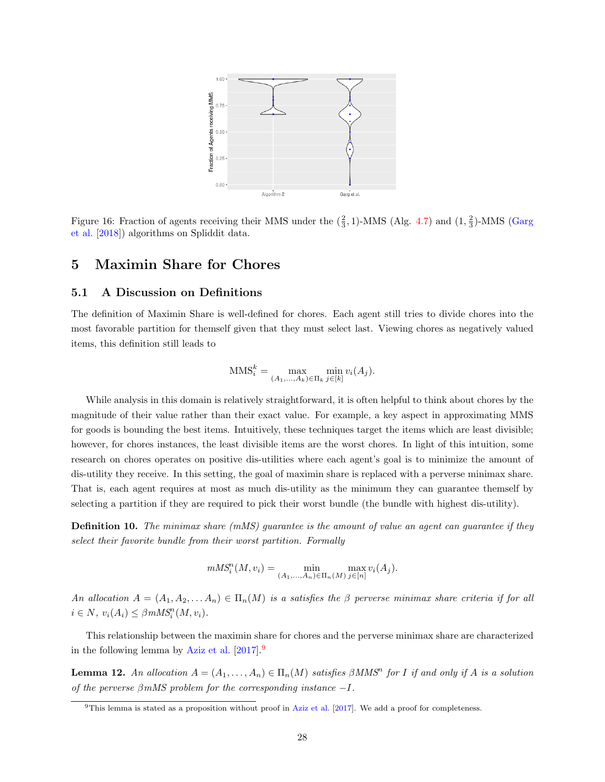<span id="page-32-2"></span>

Figure 16: Fraction of agents receiving their MMS under the  $(\frac{2}{3}, 1)$ -MMS (Alg. [4.7\)](#page-26-1) and  $(1, \frac{2}{3})$ -MMS [\(Garg](#page-43-2) [et al.](#page-43-2) [\[2018\]](#page-43-2)) algorithms on Spliddit data.

## <span id="page-32-0"></span>5 Maximin Share for Chores

### <span id="page-32-1"></span>5.1 A Discussion on Definitions

The definition of Maximin Share is well-defined for chores. Each agent still tries to divide chores into the most favorable partition for themself given that they must select last. Viewing chores as negatively valued items, this definition still leads to

$$
MMS_i^k = \max_{(A_1, ..., A_k) \in \Pi_k} \min_{j \in [k]} v_i(A_j).
$$

While analysis in this domain is relatively straightforward, it is often helpful to think about chores by the magnitude of their value rather than their exact value. For example, a key aspect in approximating MMS for goods is bounding the best items. Intuitively, these techniques target the items which are least divisible; however, for chores instances, the least divisible items are the worst chores. In light of this intuition, some research on chores operates on positive dis-utilities where each agent's goal is to minimize the amount of dis-utility they receive. In this setting, the goal of maximin share is replaced with a perverse minimax share. That is, each agent requires at most as much dis-utility as the minimum they can guarantee themself by selecting a partition if they are required to pick their worst bundle (the bundle with highest dis-utility).

**Definition 10.** The minimax share  $(mMS)$  guarantee is the amount of value an agent can guarantee if they select their favorite bundle from their worst partition. Formally

$$
mMS_i^n(M, v_i) = \min_{(A_1, ..., A_n) \in \Pi_n(M)} \max_{j \in [n]} v_i(A_j).
$$

An allocation  $A = (A_1, A_2, \ldots, A_n) \in \Pi_n(M)$  is a satisfies the  $\beta$  perverse minimax share criteria if for all  $i \in N$ ,  $v_i(A_i) \leq \beta m M S_i^n(M, v_i)$ .

This relationship between the maximin share for chores and the perverse minimax share are characterized in the following lemma by [Aziz et al.](#page-42-2) [\[2017\]](#page-42-2).[9](#page-1-0)

**Lemma 12.** An allocation  $A = (A_1, \ldots, A_n) \in \Pi_n(M)$  satisfies  $\beta M M S^n$  for I if and only if A is a solution of the perverse  $\beta$ mMS problem for the corresponding instance  $-I$ .

 $9$ This lemma is stated as a proposition without proof in [Aziz et al.](#page-42-2) [\[2017\]](#page-42-2). We add a proof for completeness.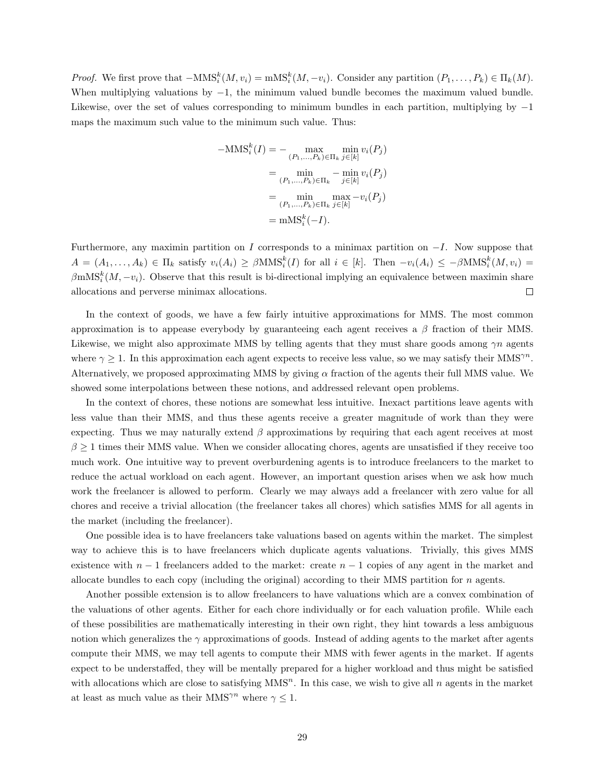*Proof.* We first prove that  $-MMS_i^{k}(M, v_i) = mMS_i^{k}(M, -v_i)$ . Consider any partition  $(P_1, \ldots, P_k) \in \Pi_k(M)$ . When multiplying valuations by  $-1$ , the minimum valued bundle becomes the maximum valued bundle. Likewise, over the set of values corresponding to minimum bundles in each partition, multiplying by −1 maps the maximum such value to the minimum such value. Thus:

$$
-\text{MMS}_i^k(I) = -\max_{(P_1,\ldots,P_k)\in\Pi_k} \min_{j\in[k]} v_i(P_j)
$$

$$
= \min_{(P_1,\ldots,P_k)\in\Pi_k} -\min_{j\in[k]} v_i(P_j)
$$

$$
= \min_{(P_1,\ldots,P_k)\in\Pi_k} \max_{j\in[k]} -v_i(P_j)
$$

$$
= \text{mMS}_i^k(-I).
$$

Furthermore, any maximin partition on I corresponds to a minimax partition on  $-I$ . Now suppose that  $A = (A_1, \ldots, A_k) \in \Pi_k$  satisfy  $v_i(A_i) \geq \beta \text{MMS}_i^k(I)$  for all  $i \in [k]$ . Then  $-v_i(A_i) \leq -\beta \text{MMS}_i^k(M, v_i) =$  $\beta$ mMS<sup>k</sup> $(M, -v_i)$ . Observe that this result is bi-directional implying an equivalence between maximin share allocations and perverse minimax allocations.  $\Box$ 

In the context of goods, we have a few fairly intuitive approximations for MMS. The most common approximation is to appease everybody by guaranteeing each agent receives a  $\beta$  fraction of their MMS. Likewise, we might also approximate MMS by telling agents that they must share goods among  $\gamma n$  agents where  $\gamma \geq 1$ . In this approximation each agent expects to receive less value, so we may satisfy their MMS<sup> $\gamma$ n</sup>. Alternatively, we proposed approximating MMS by giving  $\alpha$  fraction of the agents their full MMS value. We showed some interpolations between these notions, and addressed relevant open problems.

In the context of chores, these notions are somewhat less intuitive. Inexact partitions leave agents with less value than their MMS, and thus these agents receive a greater magnitude of work than they were expecting. Thus we may naturally extend  $\beta$  approximations by requiring that each agent receives at most  $\beta \geq 1$  times their MMS value. When we consider allocating chores, agents are unsatisfied if they receive too much work. One intuitive way to prevent overburdening agents is to introduce freelancers to the market to reduce the actual workload on each agent. However, an important question arises when we ask how much work the freelancer is allowed to perform. Clearly we may always add a freelancer with zero value for all chores and receive a trivial allocation (the freelancer takes all chores) which satisfies MMS for all agents in the market (including the freelancer).

One possible idea is to have freelancers take valuations based on agents within the market. The simplest way to achieve this is to have freelancers which duplicate agents valuations. Trivially, this gives MMS existence with  $n-1$  freelancers added to the market: create  $n-1$  copies of any agent in the market and allocate bundles to each copy (including the original) according to their MMS partition for  $n$  agents.

Another possible extension is to allow freelancers to have valuations which are a convex combination of the valuations of other agents. Either for each chore individually or for each valuation profile. While each of these possibilities are mathematically interesting in their own right, they hint towards a less ambiguous notion which generalizes the  $\gamma$  approximations of goods. Instead of adding agents to the market after agents compute their MMS, we may tell agents to compute their MMS with fewer agents in the market. If agents expect to be understaffed, they will be mentally prepared for a higher workload and thus might be satisfied with allocations which are close to satisfying  $MMS<sup>n</sup>$ . In this case, we wish to give all n agents in the market at least as much value as their MMS<sup> $\gamma$ n</sup> where  $\gamma \leq 1$ .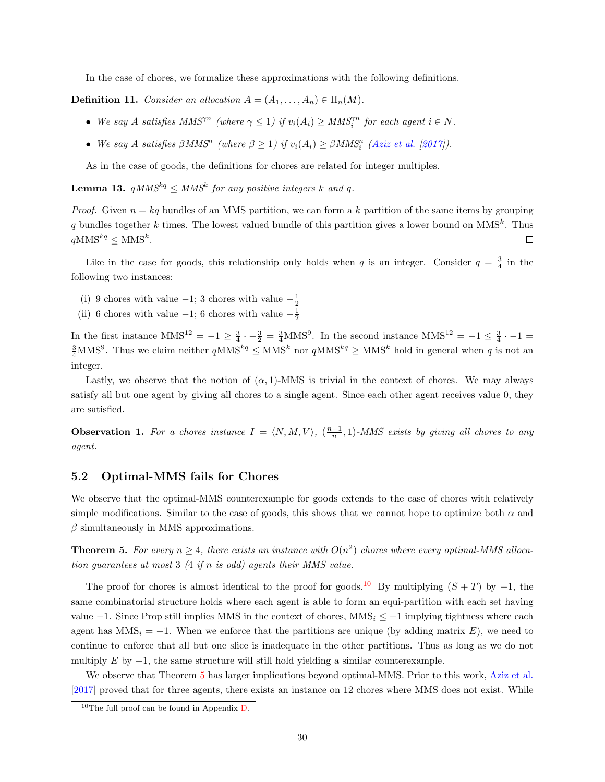In the case of chores, we formalize these approximations with the following definitions.

**Definition 11.** Consider an allocation  $A = (A_1, \ldots, A_n) \in \Pi_n(M)$ .

- We say A satisfies  $MMS^{rn}$  (where  $\gamma \leq 1$ ) if  $v_i(A_i) \geq MMS_i^{rn}$  for each agent  $i \in N$ .
- We say A satisfies  $\beta MMS^n$  (where  $\beta \geq 1$ ) if  $v_i(A_i) \geq \beta MMS_i^n$  [\(Aziz et al.](#page-42-2) [\[2017\]](#page-42-2)).

As in the case of goods, the definitions for chores are related for integer multiples.

<span id="page-34-3"></span>**Lemma 13.**  $qMMS^{kq} \leq MMS^k$  for any positive integers k and q.

*Proof.* Given  $n = kq$  bundles of an MMS partition, we can form a k partition of the same items by grouping q bundles together k times. The lowest valued bundle of this partition gives a lower bound on MMS<sup>k</sup>. Thus  $qMMS^{kq} \leq MMS^k$ .  $\Box$ 

Like in the case for goods, this relationship only holds when q is an integer. Consider  $q = \frac{3}{4}$  in the following two instances:

- (i) 9 chores with value  $-1$ ; 3 chores with value  $-\frac{1}{2}$
- (ii) 6 chores with value  $-1$ ; 6 chores with value  $-\frac{1}{2}$

In the first instance  $MMS^{12} = -1 \ge \frac{3}{4} \cdot -\frac{3}{2} = \frac{3}{4} MMS^9$ . In the second instance  $MMS^{12} = -1 \le \frac{3}{4} \cdot -1 =$  $\frac{3}{4}$ MMS<sup>9</sup>. Thus we claim neither  $qMMS^{kq} \leq MMS^{k}$  nor  $qMMS^{kq} \geq MMS^{k}$  hold in general when q is not an integer.

Lastly, we observe that the notion of  $(\alpha, 1)$ -MMS is trivial in the context of chores. We may always satisfy all but one agent by giving all chores to a single agent. Since each other agent receives value 0, they are satisfied.

<span id="page-34-1"></span>**Observation 1.** For a chores instance  $I = \langle N, M, V \rangle$ ,  $(\frac{n-1}{n}, 1)$ -MMS exists by giving all chores to any agent.

#### <span id="page-34-0"></span>5.2 Optimal-MMS fails for Chores

We observe that the optimal-MMS counterexample for goods extends to the case of chores with relatively simple modifications. Similar to the case of goods, this shows that we cannot hope to optimize both  $\alpha$  and  $\beta$  simultaneously in MMS approximations.

<span id="page-34-2"></span>**Theorem 5.** For every  $n \geq 4$ , there exists an instance with  $O(n^2)$  chores where every optimal-MMS allocation guarantees at most 3 (4 if n is odd) agents their MMS value.

The proof for chores is almost identical to the proof for goods.<sup>[10](#page-1-0)</sup> By multiplying  $(S + T)$  by −1, the same combinatorial structure holds where each agent is able to form an equi-partition with each set having value  $-1$ . Since Prop still implies MMS in the context of chores, MMS<sub>i</sub>  $\leq -1$  implying tightness where each agent has  $MMS_i = -1$ . When we enforce that the partitions are unique (by adding matrix E), we need to continue to enforce that all but one slice is inadequate in the other partitions. Thus as long as we do not multiply E by  $-1$ , the same structure will still hold yielding a similar counterexample.

We observe that Theorem [5](#page-34-2) has larger implications beyond optimal-MMS. Prior to this work, [Aziz et al.](#page-42-2) [\[2017\]](#page-42-2) proved that for three agents, there exists an instance on 12 chores where MMS does not exist. While

<sup>10</sup>The full proof can be found in Appendix [D.](#page-60-0)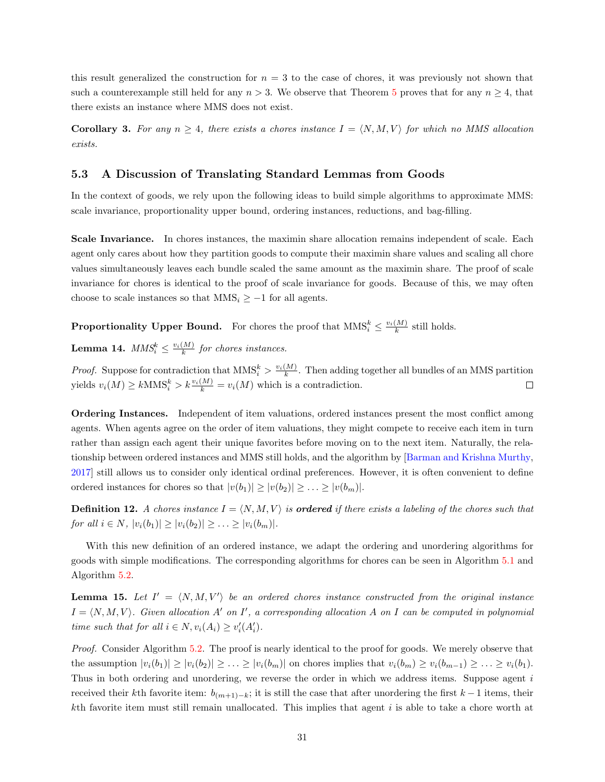this result generalized the construction for  $n = 3$  to the case of chores, it was previously not shown that such a counterexample still held for any  $n > 3$ . We observe that Theorem [5](#page-34-2) proves that for any  $n \geq 4$ , that there exists an instance where MMS does not exist.

**Corollary 3.** For any  $n \geq 4$ , there exists a chores instance  $I = \langle N, M, V \rangle$  for which no MMS allocation exists.

#### <span id="page-35-0"></span>5.3 A Discussion of Translating Standard Lemmas from Goods

In the context of goods, we rely upon the following ideas to build simple algorithms to approximate MMS: scale invariance, proportionality upper bound, ordering instances, reductions, and bag-filling.

Scale Invariance. In chores instances, the maximin share allocation remains independent of scale. Each agent only cares about how they partition goods to compute their maximin share values and scaling all chore values simultaneously leaves each bundle scaled the same amount as the maximin share. The proof of scale invariance for chores is identical to the proof of scale invariance for goods. Because of this, we may often choose to scale instances so that  $MMS_i \geq -1$  for all agents.

**Proportionality Upper Bound.** For chores the proof that  $MMS_i^k \leq \frac{v_i(M)}{k}$  still holds.

<span id="page-35-1"></span>**Lemma 14.**  $MMS_i^k \leq \frac{v_i(M)}{k}$  for chores instances.

*Proof.* Suppose for contradiction that  $MMS_i^k > \frac{v_i(M)}{k}$ . Then adding together all bundles of an MMS partition yields  $v_i(M) \ge k \text{MMS}_i^k > k \frac{v_i(M)}{k} = v_i(M)$  which is a contradiction.  $\Box$ 

Ordering Instances. Independent of item valuations, ordered instances present the most conflict among agents. When agents agree on the order of item valuations, they might compete to receive each item in turn rather than assign each agent their unique favorites before moving on to the next item. Naturally, the relationship between ordered instances and MMS still holds, and the algorithm by [\[Barman and Krishna Murthy,](#page-42-9) [2017\]](#page-42-9) still allows us to consider only identical ordinal preferences. However, it is often convenient to define ordered instances for chores so that  $|v(b_1)| \ge |v(b_2)| \ge ... \ge |v(b_m)|$ .

**Definition 12.** A chores instance  $I = \langle N, M, V \rangle$  is **ordered** if there exists a labeling of the chores such that for all  $i \in N$ ,  $|v_i(b_1)| \ge |v_i(b_2)| \ge \ldots \ge |v_i(b_m)|$ .

With this new definition of an ordered instance, we adapt the ordering and unordering algorithms for goods with simple modifications. The corresponding algorithms for chores can be seen in Algorithm [5.1](#page-36-0) and Algorithm [5.2.](#page-36-1)

**Lemma 15.** Let  $I' = \langle N, M, V' \rangle$  be an ordered chores instance constructed from the original instance  $I = \langle N, M, V \rangle$ . Given allocation A' on I', a corresponding allocation A on I can be computed in polynomial time such that for all  $i \in N$ ,  $v_i(A_i) \ge v'_i(A'_i)$ .

Proof. Consider Algorithm [5.2.](#page-36-1) The proof is nearly identical to the proof for goods. We merely observe that the assumption  $|v_i(b_1)| \ge |v_i(b_2)| \ge \ldots \ge |v_i(b_m)|$  on chores implies that  $v_i(b_m) \ge v_i(b_{m-1}) \ge \ldots \ge v_i(b_1)$ . Thus in both ordering and unordering, we reverse the order in which we address items. Suppose agent  $i$ received their kth favorite item:  $b_{(m+1)-k}$ ; it is still the case that after unordering the first k − 1 items, their kth favorite item must still remain unallocated. This implies that agent  $i$  is able to take a chore worth at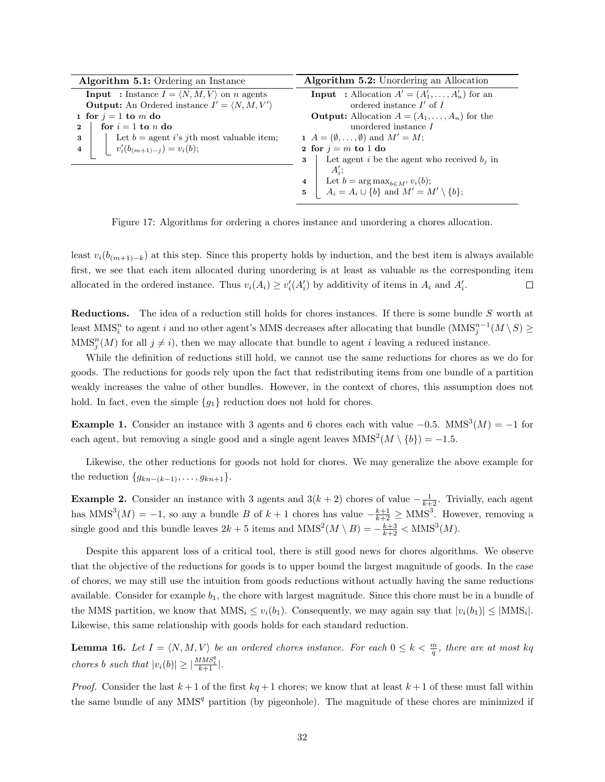| Algorithm 5.1: Ordering an Instance                                      | Algorithm 5.2: Unordering an Allocation                           |
|--------------------------------------------------------------------------|-------------------------------------------------------------------|
| <b>Input</b> : Instance $I = \langle N, M, V \rangle$ on <i>n</i> agents | <b>Input</b> : Allocation $A' = (A'_1, \ldots, A'_n)$ for an      |
| <b>Output:</b> An Ordered instance $I' = \langle N, M, V' \rangle$       | ordered instance $I'$ of $I$                                      |
| 1 for $j = 1$ to m do                                                    | <b>Output:</b> Allocation $A = (A_1, \ldots, A_n)$ for the        |
| for $i = 1$ to n do<br>$\bf{2}$                                          | unordered instance I                                              |
| Let $b =$ agent i's jth most valuable item;<br>3                         | 1 $A = (\emptyset, \ldots, \emptyset)$ and $M' = M$ ;             |
| $v'_i(b_{(m+1)-j}) = v_i(b);$<br>$\overline{4}$                          | 2 for $j = m$ to 1 do                                             |
|                                                                          | Let agent i be the agent who received $b_i$ in<br>3               |
|                                                                          | $A_i$ :                                                           |
|                                                                          | Let $b = \arg \max_{b \in M'} v_i(b);$<br>$\overline{\mathbf{4}}$ |
|                                                                          | $A_i = A_i \cup \{b\}$ and $M' = M' \setminus \{b\};$             |

<span id="page-36-1"></span><span id="page-36-0"></span>Figure 17: Algorithms for ordering a chores instance and unordering a chores allocation.

least  $v_i(b_{(m+1)-k})$  at this step. Since this property holds by induction, and the best item is always available first, we see that each item allocated during unordering is at least as valuable as the corresponding item allocated in the ordered instance. Thus  $v_i(A_i) \geq v'_i(A_i')$  by additivity of items in  $A_i$  and  $A_i'$ .  $\Box$ 

Reductions. The idea of a reduction still holds for chores instances. If there is some bundle S worth at least  $MMS_i^n$  to agent i and no other agent's MMS decreases after allocating that bundle  $(MMS_j^{n-1}(M \setminus S) \ge$  $MMS_j^n(M)$  for all  $j \neq i$ , then we may allocate that bundle to agent i leaving a reduced instance.

While the definition of reductions still hold, we cannot use the same reductions for chores as we do for goods. The reductions for goods rely upon the fact that redistributing items from one bundle of a partition weakly increases the value of other bundles. However, in the context of chores, this assumption does not hold. In fact, even the simple  ${g_1}$  reduction does not hold for chores.

**Example 1.** Consider an instance with 3 agents and 6 chores each with value  $-0.5$ . MMS<sup>3</sup> $(M) = -1$  for each agent, but removing a single good and a single agent leaves  $MMS<sup>2</sup>(M \setminus \{b\}) = -1.5$ .

Likewise, the other reductions for goods not hold for chores. We may generalize the above example for the reduction  $\{g_{kn-(k-1)}, \ldots, g_{kn+1}\}.$ 

**Example 2.** Consider an instance with 3 agents and  $3(k+2)$  chores of value  $-\frac{1}{k+2}$ . Trivially, each agent has  $MMS<sup>3</sup>(M) = -1$ , so any a bundle B of  $k + 1$  chores has value  $-\frac{k+1}{k+2} \geq MMS<sup>3</sup>$ . However, removing a single good and this bundle leaves  $2k + 5$  items and  $MMS^2(M \setminus B) = -\frac{k+3}{k+2} < MMS^3(M)$ .

Despite this apparent loss of a critical tool, there is still good news for chores algorithms. We observe that the objective of the reductions for goods is to upper bound the largest magnitude of goods. In the case of chores, we may still use the intuition from goods reductions without actually having the same reductions available. Consider for example  $b_1$ , the chore with largest magnitude. Since this chore must be in a bundle of the MMS partition, we know that  $MMS_i \le v_i(b_1)$ . Consequently, we may again say that  $|v_i(b_1)| \le |MMS_i|$ . Likewise, this same relationship with goods holds for each standard reduction.

<span id="page-36-2"></span>**Lemma 16.** Let  $I = \langle N, M, V \rangle$  be an ordered chores instance. For each  $0 \leq k < \frac{m}{q}$ , there are at most kq chores b such that  $|v_i(b)| \geq |\frac{MMS_i^q}{k+1}|$ .

*Proof.* Consider the last  $k+1$  of the first  $kq+1$  chores; we know that at least  $k+1$  of these must fall within the same bundle of any  $MMS<sup>q</sup>$  partition (by pigeonhole). The magnitude of these chores are minimized if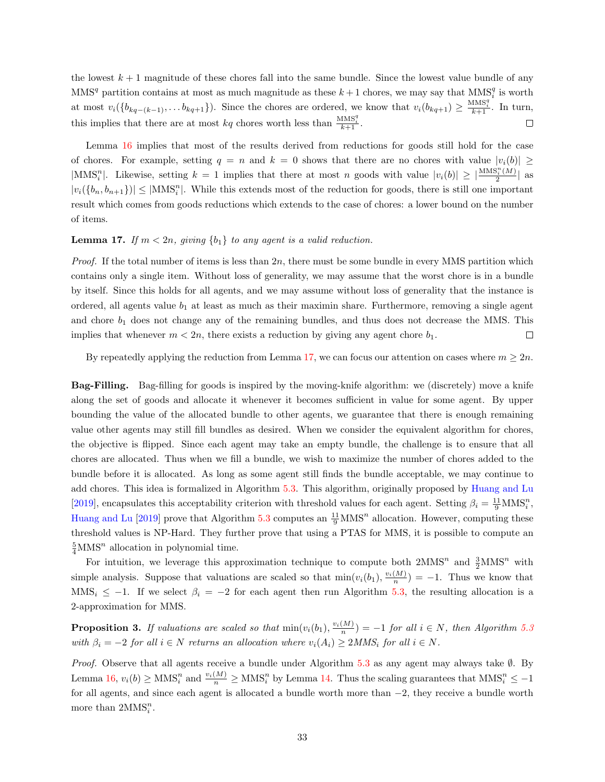the lowest  $k+1$  magnitude of these chores fall into the same bundle. Since the lowest value bundle of any  $\text{MMS}^q$  partition contains at most as much magnitude as these  $k+1$  chores, we may say that  $\text{MMS}_i^q$  is worth at most  $v_i(\lbrace b_{kq-(k-1)},\ldots b_{kq+1}\rbrace)$ . Since the chores are ordered, we know that  $v_i(b_{kq+1}) \geq \frac{MMS_i^q}{k+1}$ . In turn, this implies that there are at most  $kq$  chores worth less than  $\frac{\text{MMS}_i^q}{k+1}$ .  $\Box$ 

Lemma [16](#page-36-2) implies that most of the results derived from reductions for goods still hold for the case of chores. For example, setting  $q = n$  and  $k = 0$  shows that there are no chores with value  $|v_i(b)| \ge$  $|\text{MMS}_i^n|$ . Likewise, setting  $k = 1$  implies that there at most n goods with value  $|v_i(b)| \geq \left|\frac{\text{MMS}_i^n(M)}{2}\right|$  $\frac{\delta_i(M)}{2}$  as  $|v_i(\{b_n, b_{n+1}\})| \leq |{\rm MMS}_i^n|$ . While this extends most of the reduction for goods, there is still one important result which comes from goods reductions which extends to the case of chores: a lower bound on the number of items.

#### <span id="page-37-0"></span>**Lemma 17.** If  $m < 2n$ , giving  $\{b_1\}$  to any agent is a valid reduction.

*Proof.* If the total number of items is less than  $2n$ , there must be some bundle in every MMS partition which contains only a single item. Without loss of generality, we may assume that the worst chore is in a bundle by itself. Since this holds for all agents, and we may assume without loss of generality that the instance is ordered, all agents value  $b_1$  at least as much as their maximin share. Furthermore, removing a single agent and chore  $b_1$  does not change any of the remaining bundles, and thus does not decrease the MMS. This implies that whenever  $m < 2n$ , there exists a reduction by giving any agent chore  $b_1$ .  $\Box$ 

By repeatedly applying the reduction from Lemma [17,](#page-37-0) we can focus our attention on cases where  $m \geq 2n$ .

Bag-Filling. Bag-filling for goods is inspired by the moving-knife algorithm: we (discretely) move a knife along the set of goods and allocate it whenever it becomes sufficient in value for some agent. By upper bounding the value of the allocated bundle to other agents, we guarantee that there is enough remaining value other agents may still fill bundles as desired. When we consider the equivalent algorithm for chores, the objective is flipped. Since each agent may take an empty bundle, the challenge is to ensure that all chores are allocated. Thus when we fill a bundle, we wish to maximize the number of chores added to the bundle before it is allocated. As long as some agent still finds the bundle acceptable, we may continue to add chores. This idea is formalized in Algorithm [5.3.](#page-38-0) This algorithm, originally proposed by [Huang and Lu](#page-43-4) [\[2019\]](#page-43-4), encapsulates this acceptability criterion with threshold values for each agent. Setting  $\beta_i = \frac{11}{9} \text{MMS}_i^n$ , [Huang and Lu](#page-43-4) [\[2019\]](#page-43-4) prove that Algorithm [5.3](#page-38-0) computes an  $\frac{11}{9}$ MMS<sup>n</sup> allocation. However, computing these threshold values is NP-Hard. They further prove that using a PTAS for MMS, it is possible to compute an  $\frac{5}{4}$ MMS<sup>n</sup> allocation in polynomial time.

For intuition, we leverage this approximation technique to compute both  $2MMS<sup>n</sup>$  and  $\frac{3}{2}MMS<sup>n</sup>$  with simple analysis. Suppose that valuations are scaled so that  $\min(v_i(b_1), \frac{v_i(M)}{n}) = -1$ . Thus we know that MMS<sub>i</sub>  $\leq -1$ . If we select  $\beta_i = -2$  for each agent then run Algorithm [5.3,](#page-38-0) the resulting allocation is a 2-approximation for MMS.

**Proposition 3.** If valuations are scaled so that  $min(v_i(b_1), \frac{v_i(M)}{n}) = -1$  for all  $i \in N$ , then Algorithm [5.3](#page-38-0) with  $\beta_i = -2$  for all  $i \in N$  returns an allocation where  $v_i(A_i) \ge 2MMS_i$  for all  $i \in N$ .

*Proof.* Observe that all agents receive a bundle under Algorithm [5.3](#page-38-0) as any agent may always take  $\emptyset$ . By Lemma [16,](#page-36-2)  $v_i(b) \geq \text{MMS}_i^n$  and  $\frac{v_i(M)}{n} \geq \text{MMS}_i^n$  by Lemma [14.](#page-35-1) Thus the scaling guarantees that  $\text{MMS}_i^n \leq -1$ for all agents, and since each agent is allocated a bundle worth more than −2, they receive a bundle worth more than  $2MMS_i^n$ .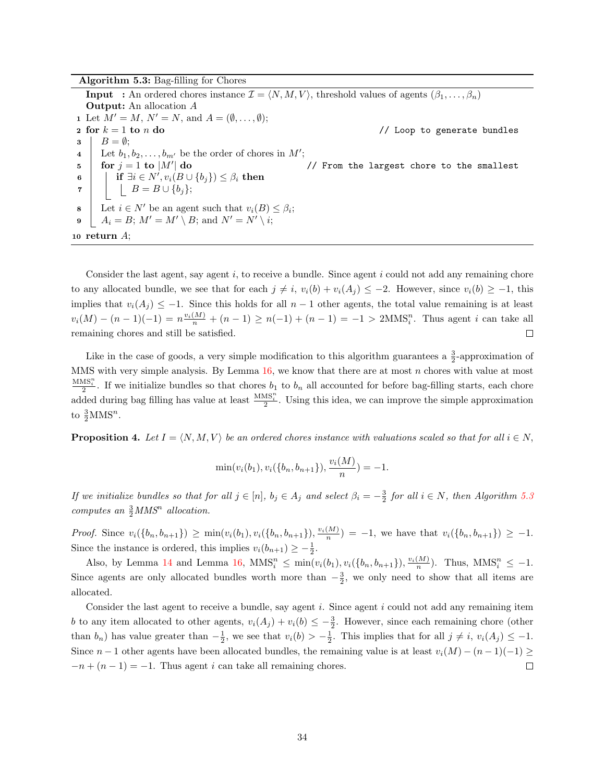Algorithm 5.3: Bag-filling for Chores **Input** : An ordered chores instance  $\mathcal{I} = \langle N, M, V \rangle$ , threshold values of agents  $(\beta_1, \ldots, \beta_n)$ Output: An allocation A 1 Let  $M' = M$ ,  $N' = N$ , and  $A = (\emptyset, \ldots, \emptyset);$ 2 for  $k = 1$  to  $n$  do  $\ell$  and  $\ell$  and  $\ell$  are  $\ell$  and  $\ell$  are  $\ell$  and  $\ell$  are  $\ell$  and  $\ell$  are  $\ell$  and  $\ell$  are  $\ell$  and  $\ell$  are  $\ell$  and  $\ell$  are  $\ell$  and  $\ell$  are  $\ell$  and  $\ell$  are  $\ell$  and  $\ell$  are  $\ell$  and  $3 \mid B = \emptyset;$ 4 Let  $b_1, b_2, \ldots, b_{m'}$  be the order of chores in M';  $\mathbf{5}$  for  $j = 1$  to  $|M'|$  do // From the largest chore to the smallest  $\begin{array}{ll} \mathbf{6} & | & | & \mathbf{if} \ \exists i \in N', v_i(B \cup \{b_j\}) \leq \beta_i \ \mathbf{then} \end{array}$  $\mathbf{7}$  | |  $B = B \cup \{b_j\};$ **8** Let  $i \in N'$  be an agent such that  $v_i(B) \leq \beta_i$ ; 9  $A_i = B; M' = M' \setminus B;$  and  $N' = N' \setminus i;$ 10 return A;

<span id="page-38-0"></span>Consider the last agent, say agent  $i$ , to receive a bundle. Since agent  $i$  could not add any remaining chore to any allocated bundle, we see that for each  $j \neq i$ ,  $v_i(b) + v_i(A_j) \leq -2$ . However, since  $v_i(b) \geq -1$ , this implies that  $v_i(A_j) \leq -1$ . Since this holds for all  $n-1$  other agents, the total value remaining is at least  $v_i(M) - (n-1)(-1) = n \frac{v_i(M)}{n} + (n-1) \ge n(-1) + (n-1) = -1 > 2MNS_i^n$ . Thus agent i can take all remaining chores and still be satisfied.  $\Box$ 

Like in the case of goods, a very simple modification to this algorithm guarantees a  $\frac{3}{2}$ -approximation of MMS with very simple analysis. By Lemma  $16$ , we know that there are at most  $n$  chores with value at most  $\frac{MMS_i^n}{2}$ . If we initialize bundles so that chores  $b_1$  to  $b_n$  all accounted for before bag-filling starts, each chore added during bag filling has value at least  $\frac{MMS_i^n}{2}$ . Using this idea, we can improve the simple approximation to  $\frac{3}{2}$ MMS<sup>n</sup>.

**Proposition 4.** Let  $I = \langle N, M, V \rangle$  be an ordered chores instance with valuations scaled so that for all  $i \in N$ ,

$$
\min(v_i(b_1), v_i({b_n, b_{n+1}}), \frac{v_i(M)}{n}) = -1.
$$

If we initialize bundles so that for all  $j \in [n]$ ,  $b_j \in A_j$  and select  $\beta_i = -\frac{3}{2}$  for all  $i \in N$ , then Algorithm [5.3](#page-38-0) computes an  $\frac{3}{2}$  MMS<sup>n</sup> allocation.

*Proof.* Since  $v_i(\{b_n, b_{n+1}\}) \ge \min(v_i(b_1), v_i(\{b_n, b_{n+1}\}), \frac{v_i(M)}{n}) = -1$ , we have that  $v_i(\{b_n, b_{n+1}\}) \ge -1$ . Since the instance is ordered, this implies  $v_i(b_{n+1}) \geq -\frac{1}{2}$ .

Also, by Lemma [14](#page-35-1) and Lemma [16,](#page-36-2)  $MMS_i^n \n\t\leq \min(v_i(b_1), v_i(\{b_n, b_{n+1}\}), \frac{v_i(M)}{n})$ . Thus,  $MMS_i^n \leq -1$ . Since agents are only allocated bundles worth more than  $-\frac{3}{2}$ , we only need to show that all items are allocated.

Consider the last agent to receive a bundle, say agent  $i$ . Since agent  $i$  could not add any remaining item b to any item allocated to other agents,  $v_i(A_j) + v_i(b) \leq -\frac{3}{2}$ . However, since each remaining chore (other than  $b_n$ ) has value greater than  $-\frac{1}{2}$ , we see that  $v_i(b) > -\frac{1}{2}$ . This implies that for all  $j \neq i$ ,  $v_i(A_j) \leq -1$ . Since  $n-1$  other agents have been allocated bundles, the remaining value is at least  $v_i(M) - (n-1)(-1) \ge$  $-n+(n-1)=-1$ . Thus agent i can take all remaining chores.  $\Box$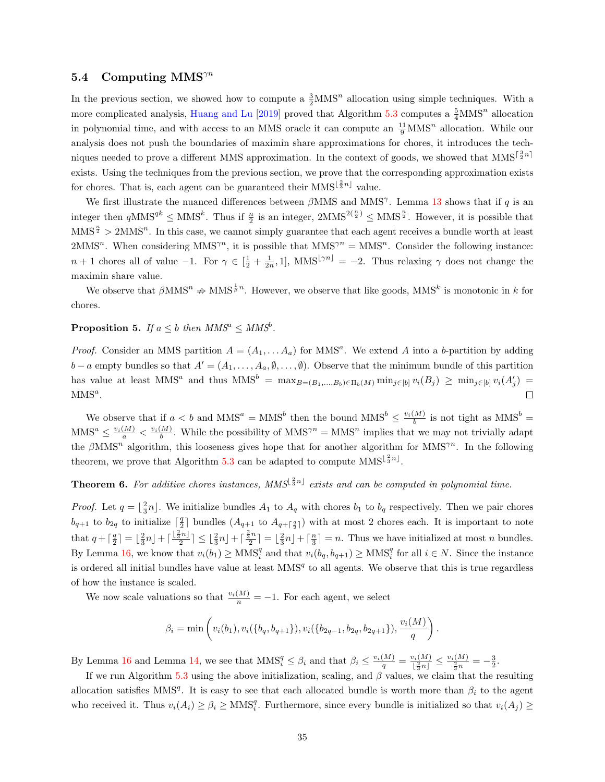#### <span id="page-39-0"></span>5.4 Computing  $MMS^{\gamma n}$

In the previous section, we showed how to compute a  $\frac{3}{2}$ MMS<sup>n</sup> allocation using simple techniques. With a more complicated analysis, [Huang and Lu](#page-43-4) [\[2019\]](#page-43-4) proved that Algorithm [5.3](#page-38-0) computes a  $\frac{5}{4}$ MMS<sup>n</sup> allocation in polynomial time, and with access to an MMS oracle it can compute an  $\frac{11}{9}$ MMS<sup>n</sup> allocation. While our analysis does not push the boundaries of maximin share approximations for chores, it introduces the techniques needed to prove a different MMS approximation. In the context of goods, we showed that  $MMS^{\lceil \frac{3}{2}n \rceil}$ exists. Using the techniques from the previous section, we prove that the corresponding approximation exists for chores. That is, each agent can be guaranteed their  $MMS^{\lfloor \frac{2}{3}n \rfloor}$  value.

We first illustrate the nuanced differences between  $\beta$ MMS and MMS<sup>γ</sup>. Lemma [13](#page-34-3) shows that if q is an integer then  $qMMS^{qk} \leq MMS^k$ . Thus if  $\frac{n}{2}$  is an integer,  $2MMS^{2(\frac{n}{2})} \leq MMS^{\frac{n}{2}}$ . However, it is possible that  $MMS^{\frac{n}{2}} > 2MMS^{n}$ . In this case, we cannot simply guarantee that each agent receives a bundle worth at least  $2MMS<sup>n</sup>$ . When considering  $MMS<sup>\gamma n</sup>$ , it is possible that  $MMS<sup>\gamma n</sup> = MMS<sup>n</sup>$ . Consider the following instance:  $n+1$  chores all of value  $-1$ . For  $\gamma \in \left[\frac{1}{2} + \frac{1}{2n}, 1\right]$ , MMS $\left[\gamma^{n}\right] = -2$ . Thus relaxing  $\gamma$  does not change the maximin share value.

We observe that  $\beta$ MMS<sup>n</sup>  $\Rightarrow$  MMS<sup> $\frac{1}{\beta}$ n. However, we observe that like goods, MMS<sup>k</sup> is monotonic in k for</sup> chores.

#### **Proposition 5.** If  $a \leq b$  then  $MMS^a \leq MMS^b$ .

*Proof.* Consider an MMS partition  $A = (A_1, \ldots, A_a)$  for MMS<sup>a</sup>. We extend A into a b-partition by adding  $b - a$  empty bundles so that  $A' = (A_1, \ldots, A_a, \emptyset, \ldots, \emptyset)$ . Observe that the minimum bundle of this partition has value at least MMS<sup>a</sup> and thus  $MMS^b = \max_{B=(B_1,...,B_b)\in \Pi_b(M)} \min_{j\in [b]} v_i(B_j) \geq \min_{j\in [b]} v_i(A'_j)$  $MMS<sup>a</sup>$ .  $\Box$ 

We observe that if  $a < b$  and  $MMS^a = MMS^b$  then the bound  $MMS^b \leq \frac{v_i(M)}{b}$  is not tight as  $MMS^b =$  $MMS^a \le \frac{v_i(M)}{a} < \frac{v_i(M)}{b}$ . While the possibility of  $MMS^{\gamma n} = MMS^n$  implies that we may not trivially adapt the  $\beta$ MMS<sup>n</sup> algorithm, this looseness gives hope that for another algorithm for MMS<sup> $\gamma$ n</sup>. In the following theorem, we prove that Algorithm [5.3](#page-38-0) can be adapted to compute  $MMS^{\lfloor \frac{2}{3}n \rfloor}$ .

## <span id="page-39-1"></span>**Theorem 6.** For additive chores instances, MMS<sup> $\lfloor \frac{2}{3}n \rfloor$  exists and can be computed in polynomial time.</sup>

*Proof.* Let  $q = \lfloor \frac{2}{3}n \rfloor$ . We initialize bundles  $A_1$  to  $A_q$  with chores  $b_1$  to  $b_q$  respectively. Then we pair chores  $b_{q+1}$  to  $b_{2q}$  to initialize  $\lceil \frac{q}{2} \rceil$  bundles  $(A_{q+1}$  to  $A_{q+\lceil \frac{q}{2} \rceil})$  with at most 2 chores each. It is important to note that  $q + \lceil \frac{q}{2} \rceil = \lfloor \frac{2}{3}n \rfloor + \lceil \frac{2}{3}n \rfloor + \lceil \frac{2}{3}n \rceil = \lfloor \frac{2}{3}n \rfloor + \lceil \frac{n}{3} \rceil = n$ . Thus we have initialized at most n bundles. By Lemma [16,](#page-36-2) we know that  $v_i(b_1) \geq \text{MMS}_i^q$  and that  $v_i(b_q, b_{q+1}) \geq \text{MMS}_i^q$  for all  $i \in N$ . Since the instance is ordered all initial bundles have value at least  $MMS<sup>q</sup>$  to all agents. We observe that this is true regardless of how the instance is scaled.

We now scale valuations so that  $\frac{v_i(M)}{n} = -1$ . For each agent, we select

$$
\beta_i = \min\left(v_i(b_1), v_i(\{b_q, b_{q+1}\}), v_i(\{b_{2q-1}, b_{2q}, b_{2q+1}\}), \frac{v_i(M)}{q}\right).
$$

By Lemma [16](#page-36-2) and Lemma [14,](#page-35-1) we see that  $MMS_i^q \leq \beta_i$  and that  $\beta_i \leq \frac{v_i(M)}{q} = \frac{v_i(M)}{|\frac{2}{3}n|}$  $\frac{v_i(M)}{\lfloor \frac{2}{3}n \rfloor} \leq \frac{v_i(M)}{\frac{2}{3}n} = -\frac{3}{2}.$ 

If we run Algorithm [5.3](#page-38-0) using the above initialization, scaling, and  $\beta$  values, we claim that the resulting allocation satisfies MMS<sup>q</sup>. It is easy to see that each allocated bundle is worth more than  $\beta_i$  to the agent who received it. Thus  $v_i(A_i) \ge \beta_i \ge \text{MMS}_i^q$ . Furthermore, since every bundle is initialized so that  $v_i(A_j) \ge$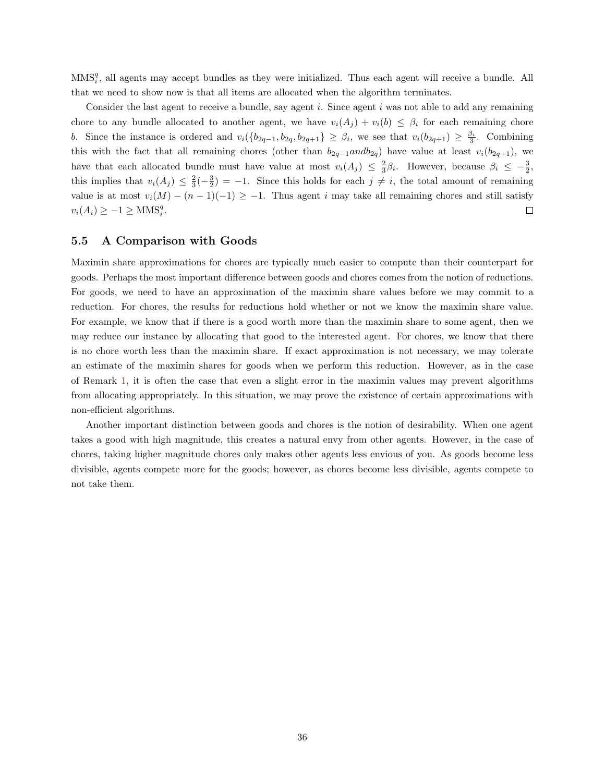$MMS_i^q$ , all agents may accept bundles as they were initialized. Thus each agent will receive a bundle. All that we need to show now is that all items are allocated when the algorithm terminates.

Consider the last agent to receive a bundle, say agent  $i$ . Since agent  $i$  was not able to add any remaining chore to any bundle allocated to another agent, we have  $v_i(A_j) + v_i(b) \leq \beta_i$  for each remaining chore b. Since the instance is ordered and  $v_i({b_{2q-1}, b_{2q}, b_{2q+1}} \geq \beta_i$ , we see that  $v_i(b_{2q+1}) \geq \frac{\beta_i}{3}$ . Combining this with the fact that all remaining chores (other than  $b_{2q-1}$ and $b_{2q}$ ) have value at least  $v_i(b_{2q+1})$ , we have that each allocated bundle must have value at most  $v_i(A_j) \leq \frac{2}{3}\beta_i$ . However, because  $\beta_i \leq -\frac{3}{2}$ , this implies that  $v_i(A_j) \leq \frac{2}{3}(-\frac{3}{2}) = -1$ . Since this holds for each  $j \neq i$ , the total amount of remaining value is at most  $v_i(M) - (n-1)(-1) \ge -1$ . Thus agent i may take all remaining chores and still satisfy  $v_i(A_i) \geq -1 \geq \text{MMS}_i^q$ .  $\Box$ 

#### <span id="page-40-0"></span>5.5 A Comparison with Goods

Maximin share approximations for chores are typically much easier to compute than their counterpart for goods. Perhaps the most important difference between goods and chores comes from the notion of reductions. For goods, we need to have an approximation of the maximin share values before we may commit to a reduction. For chores, the results for reductions hold whether or not we know the maximin share value. For example, we know that if there is a good worth more than the maximin share to some agent, then we may reduce our instance by allocating that good to the interested agent. For chores, we know that there is no chore worth less than the maximin share. If exact approximation is not necessary, we may tolerate an estimate of the maximin shares for goods when we perform this reduction. However, as in the case of Remark [1,](#page-28-1) it is often the case that even a slight error in the maximin values may prevent algorithms from allocating appropriately. In this situation, we may prove the existence of certain approximations with non-efficient algorithms.

Another important distinction between goods and chores is the notion of desirability. When one agent takes a good with high magnitude, this creates a natural envy from other agents. However, in the case of chores, taking higher magnitude chores only makes other agents less envious of you. As goods become less divisible, agents compete more for the goods; however, as chores become less divisible, agents compete to not take them.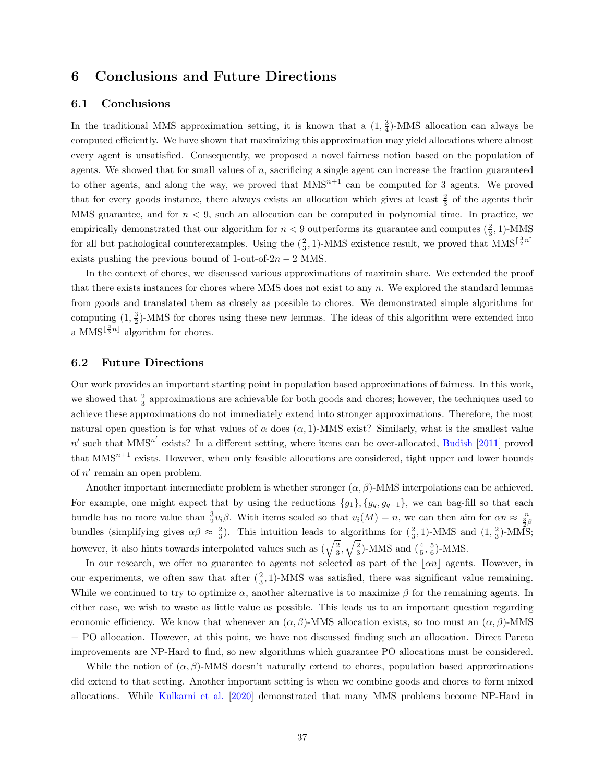## <span id="page-41-0"></span>6 Conclusions and Future Directions

#### <span id="page-41-1"></span>6.1 Conclusions

In the traditional MMS approximation setting, it is known that a  $(1, \frac{3}{4})$ -MMS allocation can always be computed efficiently. We have shown that maximizing this approximation may yield allocations where almost every agent is unsatisfied. Consequently, we proposed a novel fairness notion based on the population of agents. We showed that for small values of  $n$ , sacrificing a single agent can increase the fraction guaranteed to other agents, and along the way, we proved that  $MMS^{n+1}$  can be computed for 3 agents. We proved that for every goods instance, there always exists an allocation which gives at least  $\frac{2}{3}$  of the agents their MMS guarantee, and for  $n < 9$ , such an allocation can be computed in polynomial time. In practice, we empirically demonstrated that our algorithm for  $n < 9$  outperforms its guarantee and computes  $(\frac{2}{3}, 1)$ -MMS for all but pathological counterexamples. Using the  $(\frac{2}{3}, 1)$ -MMS existence result, we proved that MMS<sup> $[\frac{3}{2}n]$ </sup> exists pushing the previous bound of 1-out-of- $2n - 2$  MMS.

In the context of chores, we discussed various approximations of maximin share. We extended the proof that there exists instances for chores where MMS does not exist to any n. We explored the standard lemmas from goods and translated them as closely as possible to chores. We demonstrated simple algorithms for computing  $(1, \frac{3}{2})$ -MMS for chores using these new lemmas. The ideas of this algorithm were extended into a MMS<sup> $\lfloor \frac{2}{3}n \rfloor$ </sup> algorithm for chores.

#### <span id="page-41-2"></span>6.2 Future Directions

Our work provides an important starting point in population based approximations of fairness. In this work, we showed that  $\frac{2}{3}$  approximations are achievable for both goods and chores; however, the techniques used to achieve these approximations do not immediately extend into stronger approximations. Therefore, the most natural open question is for what values of  $\alpha$  does  $(\alpha, 1)$ -MMS exist? Similarly, what is the smallest value  $n'$  such that  $MMS^{n'}$  exists? In a different setting, where items can be over-allocated, [Budish](#page-42-3) [\[2011\]](#page-42-3) proved that  $MMS^{n+1}$  exists. However, when only feasible allocations are considered, tight upper and lower bounds of  $n'$  remain an open problem.

Another important intermediate problem is whether stronger  $(\alpha, \beta)$ -MMS interpolations can be achieved. For example, one might expect that by using the reductions  $\{g_1\}$ ,  $\{g_q, g_{q+1}\}$ , we can bag-fill so that each bundle has no more value than  $\frac{3}{2}v_i\beta$ . With items scaled so that  $v_i(M) = n$ , we can then aim for  $\alpha n \approx \frac{n}{\frac{3}{2}\beta}$ bundles (simplifying gives  $\alpha\beta \approx \frac{2}{3}$ ). This intuition leads to algorithms for  $(\frac{2}{3}, 1)$ -MMS and  $(1, \frac{2}{3})$ -MMS; however, it also hints towards interpolated values such as  $(\sqrt{\frac{2}{3}}, \sqrt{\frac{2}{3}})$ -MMS and  $(\frac{4}{5}, \frac{5}{6})$ -MMS.

In our research, we offer no guarantee to agents not selected as part of the  $\lfloor \alpha n \rfloor$  agents. However, in our experiments, we often saw that after  $(\frac{2}{3}, 1)$ -MMS was satisfied, there was significant value remaining. While we continued to try to optimize  $\alpha$ , another alternative is to maximize  $\beta$  for the remaining agents. In either case, we wish to waste as little value as possible. This leads us to an important question regarding economic efficiency. We know that whenever an  $(\alpha, \beta)$ -MMS allocation exists, so too must an  $(\alpha, \beta)$ -MMS + PO allocation. However, at this point, we have not discussed finding such an allocation. Direct Pareto improvements are NP-Hard to find, so new algorithms which guarantee PO allocations must be considered.

While the notion of  $(\alpha, \beta)$ -MMS doesn't naturally extend to chores, population based approximations did extend to that setting. Another important setting is when we combine goods and chores to form mixed allocations. While [Kulkarni et al.](#page-43-14) [\[2020\]](#page-43-14) demonstrated that many MMS problems become NP-Hard in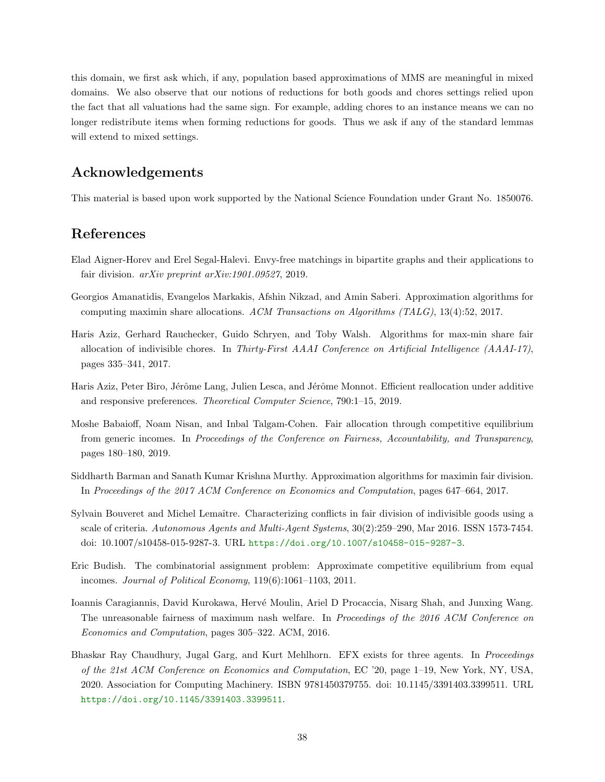this domain, we first ask which, if any, population based approximations of MMS are meaningful in mixed domains. We also observe that our notions of reductions for both goods and chores settings relied upon the fact that all valuations had the same sign. For example, adding chores to an instance means we can no longer redistribute items when forming reductions for goods. Thus we ask if any of the standard lemmas will extend to mixed settings.

## Acknowledgements

This material is based upon work supported by the National Science Foundation under Grant No. 1850076.

## References

- <span id="page-42-8"></span>Elad Aigner-Horev and Erel Segal-Halevi. Envy-free matchings in bipartite graphs and their applications to fair division. arXiv preprint arXiv:1901.09527, 2019.
- <span id="page-42-1"></span>Georgios Amanatidis, Evangelos Markakis, Afshin Nikzad, and Amin Saberi. Approximation algorithms for computing maximin share allocations. ACM Transactions on Algorithms (TALG), 13(4):52, 2017.
- <span id="page-42-2"></span>Haris Aziz, Gerhard Rauchecker, Guido Schryen, and Toby Walsh. Algorithms for max-min share fair allocation of indivisible chores. In Thirty-First AAAI Conference on Artificial Intelligence  $(AAAI-17)$ , pages 335–341, 2017.
- <span id="page-42-6"></span>Haris Aziz, Peter Biro, Jérôme Lang, Julien Lesca, and Jérôme Monnot. Efficient reallocation under additive and responsive preferences. Theoretical Computer Science, 790:1–15, 2019.
- <span id="page-42-7"></span>Moshe Babaioff, Noam Nisan, and Inbal Talgam-Cohen. Fair allocation through competitive equilibrium from generic incomes. In Proceedings of the Conference on Fairness, Accountability, and Transparency, pages 180–180, 2019.
- <span id="page-42-9"></span>Siddharth Barman and Sanath Kumar Krishna Murthy. Approximation algorithms for maximin fair division. In Proceedings of the 2017 ACM Conference on Economics and Computation, pages 647–664, 2017.
- <span id="page-42-0"></span>Sylvain Bouveret and Michel Lemaître. Characterizing conflicts in fair division of indivisible goods using a scale of criteria. Autonomous Agents and Multi-Agent Systems, 30(2):259–290, Mar 2016. ISSN 1573-7454. doi: 10.1007/s10458-015-9287-3. URL <https://doi.org/10.1007/s10458-015-9287-3>.
- <span id="page-42-3"></span>Eric Budish. The combinatorial assignment problem: Approximate competitive equilibrium from equal incomes. Journal of Political Economy, 119(6):1061–1103, 2011.
- <span id="page-42-4"></span>Ioannis Caragiannis, David Kurokawa, Hervé Moulin, Ariel D Procaccia, Nisarg Shah, and Junxing Wang. The unreasonable fairness of maximum nash welfare. In Proceedings of the 2016 ACM Conference on Economics and Computation, pages 305–322. ACM, 2016.
- <span id="page-42-5"></span>Bhaskar Ray Chaudhury, Jugal Garg, and Kurt Mehlhorn. EFX exists for three agents. In Proceedings of the 21st ACM Conference on Economics and Computation, EC '20, page 1–19, New York, NY, USA, 2020. Association for Computing Machinery. ISBN 9781450379755. doi: 10.1145/3391403.3399511. URL <https://doi.org/10.1145/3391403.3399511>.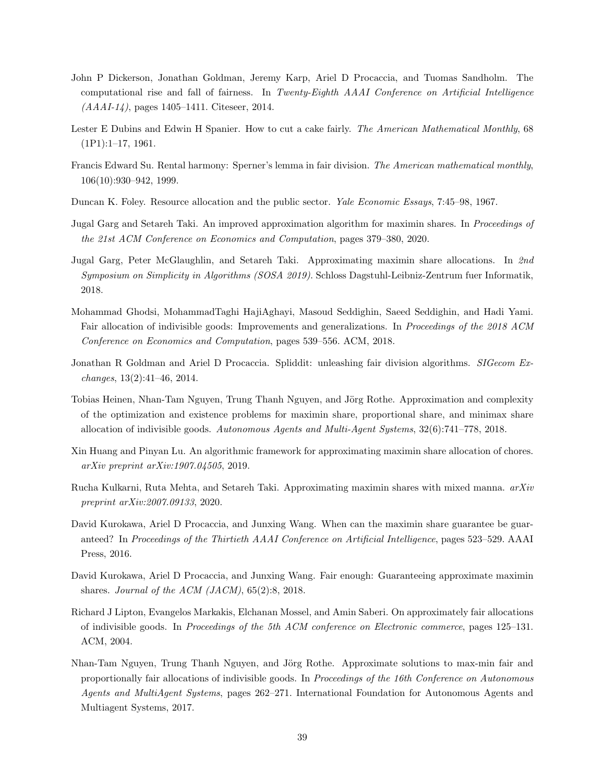- <span id="page-43-7"></span>John P Dickerson, Jonathan Goldman, Jeremy Karp, Ariel D Procaccia, and Tuomas Sandholm. The computational rise and fall of fairness. In Twenty-Eighth AAAI Conference on Artificial Intelligence (AAAI-14), pages 1405–1411. Citeseer, 2014.
- <span id="page-43-10"></span>Lester E Dubins and Edwin H Spanier. How to cut a cake fairly. The American Mathematical Monthly, 68  $(1P1):1-17, 1961.$
- <span id="page-43-0"></span>Francis Edward Su. Rental harmony: Sperner's lemma in fair division. The American mathematical monthly, 106(10):930–942, 1999.
- <span id="page-43-6"></span>Duncan K. Foley. Resource allocation and the public sector. Yale Economic Essays, 7:45–98, 1967.
- <span id="page-43-1"></span>Jugal Garg and Setareh Taki. An improved approximation algorithm for maximin shares. In Proceedings of the 21st ACM Conference on Economics and Computation, pages 379–380, 2020.
- <span id="page-43-2"></span>Jugal Garg, Peter McGlaughlin, and Setareh Taki. Approximating maximin share allocations. In 2nd Symposium on Simplicity in Algorithms (SOSA 2019). Schloss Dagstuhl-Leibniz-Zentrum fuer Informatik, 2018.
- <span id="page-43-3"></span>Mohammad Ghodsi, MohammadTaghi HajiAghayi, Masoud Seddighin, Saeed Seddighin, and Hadi Yami. Fair allocation of indivisible goods: Improvements and generalizations. In Proceedings of the 2018 ACM Conference on Economics and Computation, pages 539–556. ACM, 2018.
- <span id="page-43-13"></span>Jonathan R Goldman and Ariel D Procaccia. Spliddit: unleashing fair division algorithms. SIGecom Exchanges, 13(2):41–46, 2014.
- <span id="page-43-8"></span>Tobias Heinen, Nhan-Tam Nguyen, Trung Thanh Nguyen, and Jörg Rothe. Approximation and complexity of the optimization and existence problems for maximin share, proportional share, and minimax share allocation of indivisible goods. Autonomous Agents and Multi-Agent Systems, 32(6):741–778, 2018.
- <span id="page-43-4"></span>Xin Huang and Pinyan Lu. An algorithmic framework for approximating maximin share allocation of chores. arXiv preprint arXiv:1907.04505, 2019.
- <span id="page-43-14"></span>Rucha Kulkarni, Ruta Mehta, and Setareh Taki. Approximating maximin shares with mixed manna. arXiv preprint arXiv:2007.09133, 2020.
- <span id="page-43-5"></span>David Kurokawa, Ariel D Procaccia, and Junxing Wang. When can the maximin share guarantee be guaranteed? In Proceedings of the Thirtieth AAAI Conference on Artificial Intelligence, pages 523–529. AAAI Press, 2016.
- <span id="page-43-9"></span>David Kurokawa, Ariel D Procaccia, and Junxing Wang. Fair enough: Guaranteeing approximate maximin shares. Journal of the ACM (JACM), 65(2):8, 2018.
- <span id="page-43-12"></span>Richard J Lipton, Evangelos Markakis, Elchanan Mossel, and Amin Saberi. On approximately fair allocations of indivisible goods. In Proceedings of the 5th ACM conference on Electronic commerce, pages 125–131. ACM, 2004.
- <span id="page-43-11"></span>Nhan-Tam Nguyen, Trung Thanh Nguyen, and Jörg Rothe. Approximate solutions to max-min fair and proportionally fair allocations of indivisible goods. In Proceedings of the 16th Conference on Autonomous Agents and MultiAgent Systems, pages 262–271. International Foundation for Autonomous Agents and Multiagent Systems, 2017.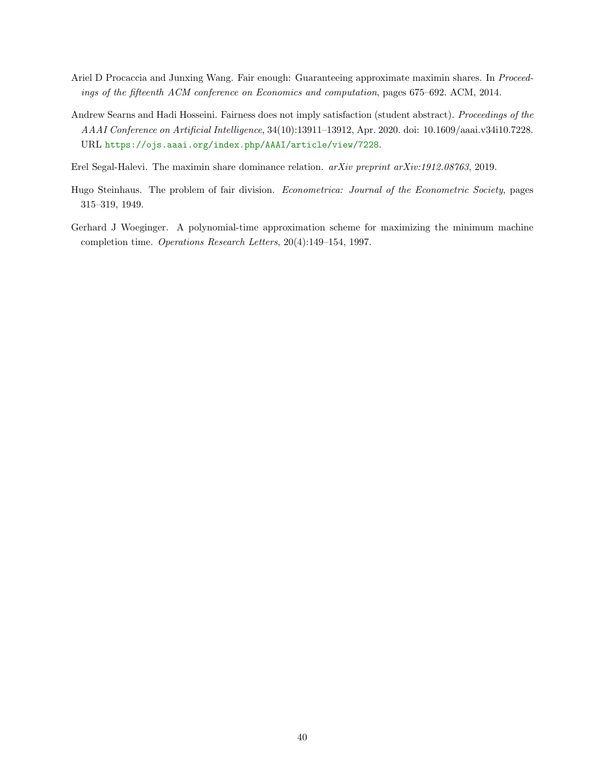- <span id="page-44-0"></span>Ariel D Procaccia and Junxing Wang. Fair enough: Guaranteeing approximate maximin shares. In Proceedings of the fifteenth ACM conference on Economics and computation, pages 675–692. ACM, 2014.
- <span id="page-44-1"></span>Andrew Searns and Hadi Hosseini. Fairness does not imply satisfaction (student abstract). Proceedings of the AAAI Conference on Artificial Intelligence, 34(10):13911–13912, Apr. 2020. doi: 10.1609/aaai.v34i10.7228. URL <https://ojs.aaai.org/index.php/AAAI/article/view/7228>.
- <span id="page-44-4"></span>Erel Segal-Halevi. The maximin share dominance relation. arXiv preprint arXiv:1912.08763, 2019.
- <span id="page-44-2"></span>Hugo Steinhaus. The problem of fair division. *Econometrica: Journal of the Econometric Society*, pages 315–319, 1949.
- <span id="page-44-3"></span>Gerhard J Woeginger. A polynomial-time approximation scheme for maximizing the minimum machine completion time. Operations Research Letters, 20(4):149–154, 1997.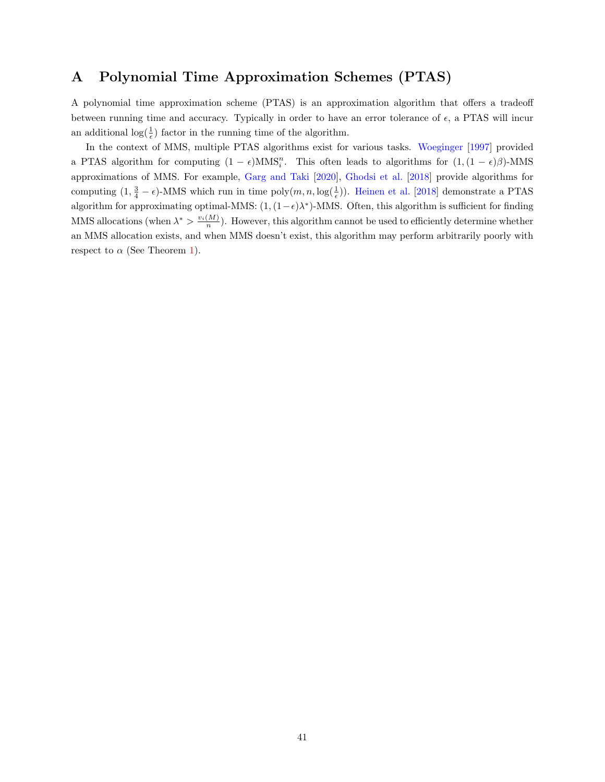## <span id="page-45-0"></span>A Polynomial Time Approximation Schemes (PTAS)

A polynomial time approximation scheme (PTAS) is an approximation algorithm that offers a tradeoff between running time and accuracy. Typically in order to have an error tolerance of  $\epsilon$ , a PTAS will incur an additional  $\log(\frac{1}{\epsilon})$  factor in the running time of the algorithm.

In the context of MMS, multiple PTAS algorithms exist for various tasks. [Woeginger](#page-44-3) [\[1997\]](#page-44-3) provided a PTAS algorithm for computing  $(1 - \epsilon)$ MMS<sub>i</sub><sup>n</sup>. This often leads to algorithms for  $(1, (1 - \epsilon)\beta)$ -MMS approximations of MMS. For example, [Garg and Taki](#page-43-1) [\[2020\]](#page-43-1), [Ghodsi et al.](#page-43-3) [\[2018\]](#page-43-3) provide algorithms for computing  $(1, \frac{3}{4} - \epsilon)$ -MMS which run in time  $poly(m, n, \log(\frac{1}{\epsilon}))$ . [Heinen et al.](#page-43-8) [\[2018\]](#page-43-8) demonstrate a PTAS algorithm for approximating optimal-MMS:  $(1, (1 - \epsilon)\lambda^*)$ -MMS. Often, this algorithm is sufficient for finding MMS allocations (when  $\lambda^* > \frac{v_i(M)}{n}$ ). However, this algorithm cannot be used to efficiently determine whether an MMS allocation exists, and when MMS doesn't exist, this algorithm may perform arbitrarily poorly with respect to  $\alpha$  (See Theorem [1\)](#page-18-2).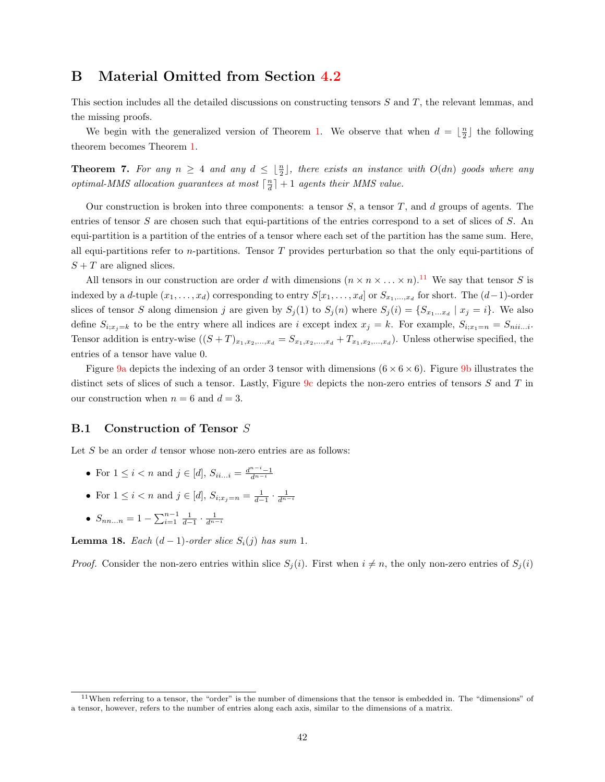## <span id="page-46-0"></span>B Material Omitted from Section [4.2](#page-18-0)

This section includes all the detailed discussions on constructing tensors S and T, the relevant lemmas, and the missing proofs.

We begin with the generalized version of Theorem [1.](#page-18-2) We observe that when  $d = \lfloor \frac{n}{2} \rfloor$  the following theorem becomes Theorem [1.](#page-18-2)

<span id="page-46-2"></span>**Theorem 7.** For any  $n \geq 4$  and any  $d \leq \lfloor \frac{n}{2} \rfloor$ , there exists an instance with  $O(dn)$  goods where any optimal-MMS allocation guarantees at most  $\lceil \frac{n}{d} \rceil + 1$  agents their MMS value.

Our construction is broken into three components: a tensor  $S$ , a tensor  $T$ , and  $d$  groups of agents. The entries of tensor S are chosen such that equi-partitions of the entries correspond to a set of slices of S. An equi-partition is a partition of the entries of a tensor where each set of the partition has the same sum. Here, all equi-partitions refer to n-partitions. Tensor  $T$  provides perturbation so that the only equi-partitions of  $S + T$  are aligned slices.

All tensors in our construction are order d with dimensions  $(n \times n \times ... \times n)$ .<sup>[11](#page-1-0)</sup> We say that tensor S is indexed by a d-tuple  $(x_1, \ldots, x_d)$  corresponding to entry  $S[x_1, \ldots, x_d]$  or  $S_{x_1, \ldots, x_d}$  for short. The  $(d-1)$ -order slices of tensor S along dimension j are given by  $S_j(1)$  to  $S_j(n)$  where  $S_j(i) = \{S_{x_1...x_d} | x_j = i\}$ . We also define  $S_{i;x_j=k}$  to be the entry where all indices are i except index  $x_j = k$ . For example,  $S_{i;x_1=n} = S_{nii...i}$ . Tensor addition is entry-wise  $((S+T)_{x_1,x_2,...,x_d}=S_{x_1,x_2,...,x_d}+T_{x_1,x_2,...,x_d})$ . Unless otherwise specified, the entries of a tensor have value 0.

Figure [9a](#page-18-1) depicts the indexing of an order 3 tensor with dimensions  $(6 \times 6 \times 6)$ . Figure [9b](#page-18-1) illustrates the distinct sets of slices of such a tensor. Lastly, Figure [9c](#page-18-1) depicts the non-zero entries of tensors S and T in our construction when  $n = 6$  and  $d = 3$ .

### <span id="page-46-1"></span>B.1 Construction of Tensor S

Let  $S$  be an order  $d$  tensor whose non-zero entries are as follows:

- For  $1 \le i < n$  and  $j \in [d]$ ,  $S_{ii...i} = \frac{d^{n-i}-1}{d^{n-i}}$
- For  $1 \le i < n$  and  $j \in [d]$ ,  $S_{i,x_j=n} = \frac{1}{d-1} \cdot \frac{1}{d^{n-i}}$
- $S_{nn...n} = 1 \sum_{i=1}^{n-1} \frac{1}{d-1} \cdot \frac{1}{d^{n-i}}$

<span id="page-46-3"></span>**Lemma 18.** Each  $(d-1)$ -order slice  $S_i(j)$  has sum 1.

*Proof.* Consider the non-zero entries within slice  $S_i(i)$ . First when  $i \neq n$ , the only non-zero entries of  $S_i(i)$ 

 $11$ When referring to a tensor, the "order" is the number of dimensions that the tensor is embedded in. The "dimensions" of a tensor, however, refers to the number of entries along each axis, similar to the dimensions of a matrix.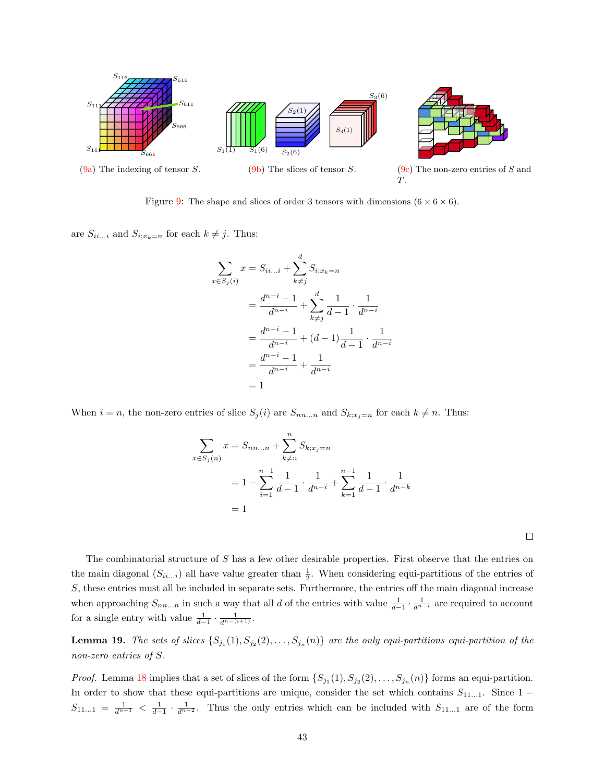

Figure [9:](#page-18-1) The shape and slices of order 3 tensors with dimensions  $(6 \times 6 \times 6)$ .

are  $S_{ii...i}$  and  $S_{i;x_k=n}$  for each  $k \neq j$ . Thus:

 $x$ 

$$
\sum_{i \in S_j(i)} x = S_{ii...i} + \sum_{k \neq j}^{d} S_{i;x_k=n}
$$
  
= 
$$
\frac{d^{n-i} - 1}{d^{n-i}} + \sum_{k \neq j}^{d} \frac{1}{d-1} \cdot \frac{1}{d^{n-i}}
$$
  
= 
$$
\frac{d^{n-i} - 1}{d^{n-i}} + (d-1) \frac{1}{d-1} \cdot \frac{1}{d^{n-i}}
$$
  
= 
$$
\frac{d^{n-i} - 1}{d^{n-i}} + \frac{1}{d^{n-i}}
$$
  
= 1

When  $i = n$ , the non-zero entries of slice  $S_j(i)$  are  $S_{nn...n}$  and  $S_{k;x_j=n}$  for each  $k \neq n$ . Thus:

$$
\sum_{x \in S_j(n)} x = S_{nn...n} + \sum_{k \neq n}^{n} S_{k;x_j=n}
$$
  
=  $1 - \sum_{i=1}^{n-1} \frac{1}{d-1} \cdot \frac{1}{d^{n-i}} + \sum_{k=1}^{n-1} \frac{1}{d-1} \cdot \frac{1}{d^{n-k}}$   
= 1

The combinatorial structure of S has a few other desirable properties. First observe that the entries on the main diagonal  $(S_{ii...i})$  all have value greater than  $\frac{1}{2}$ . When considering equi-partitions of the entries of S, these entries must all be included in separate sets. Furthermore, the entries off the main diagonal increase when approaching  $S_{nn...n}$  in such a way that all d of the entries with value  $\frac{1}{d-1} \cdot \frac{1}{d^{n-i}}$  are required to account for a single entry with value  $\frac{1}{d-1} \cdot \frac{1}{d^{n-(i+1)}}$ .

<span id="page-47-0"></span>**Lemma 19.** The sets of slices  $\{S_{j_1}(1), S_{j_2}(2), \ldots, S_{j_n}(n)\}\$  are the only equi-partitions equi-partition of the non-zero entries of S.

*Proof.* Lemma [18](#page-46-3) implies that a set of slices of the form  $\{S_{j_1}(1), S_{j_2}(2), \ldots, S_{j_n}(n)\}\)$  forms an equi-partition. In order to show that these equi-partitions are unique, consider the set which contains  $S_{11...1}$ . Since 1 −  $S_{11...1} = \frac{1}{d^{n-1}} < \frac{1}{d^{n-2}}$ . Thus the only entries which can be included with  $S_{11...1}$  are of the form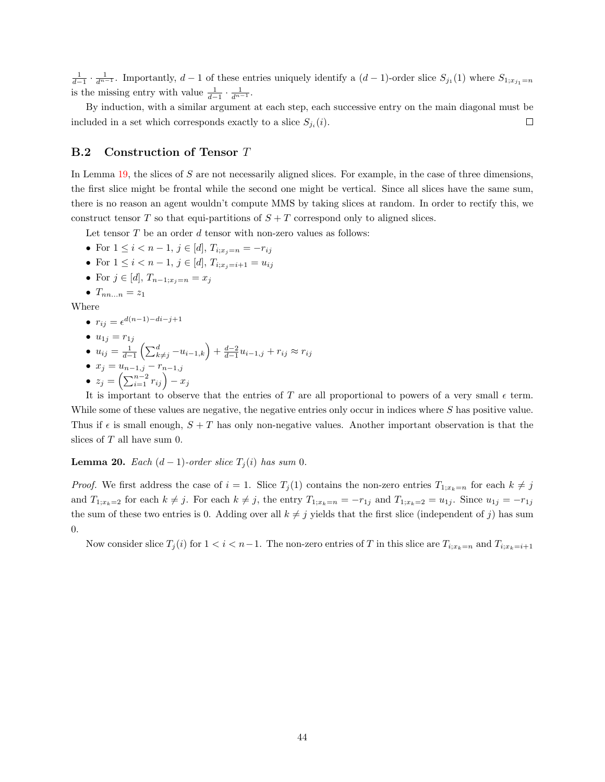$\frac{1}{d-1} \cdot \frac{1}{d^{n-1}}$ . Importantly,  $d-1$  of these entries uniquely identify a  $(d-1)$ -order slice  $S_{j_1}(1)$  where  $S_{1;x_{j_1}=n}$ is the missing entry with value  $\frac{1}{d-1} \cdot \frac{1}{d^{n-1}}$ .

By induction, with a similar argument at each step, each successive entry on the main diagonal must be included in a set which corresponds exactly to a slice  $S_{j_i}(i)$ .  $\Box$ 

#### <span id="page-48-0"></span>B.2 Construction of Tensor T

In Lemma [19,](#page-47-0) the slices of S are not necessarily aligned slices. For example, in the case of three dimensions, the first slice might be frontal while the second one might be vertical. Since all slices have the same sum, there is no reason an agent wouldn't compute MMS by taking slices at random. In order to rectify this, we construct tensor T so that equi-partitions of  $S + T$  correspond only to aligned slices.

Let tensor  $T$  be an order  $d$  tensor with non-zero values as follows:

- For  $1 \leq i < n-1$ ,  $j \in [d]$ ,  $T_{i;x_j=n} = -r_{ij}$
- For  $1 \leq i < n-1$ ,  $j \in [d]$ ,  $T_{i;x_{i}=i+1} = u_{ij}$
- For  $j \in [d]$ ,  $T_{n-1:x_j=n} = x_j$
- $T_{nn...n} = z_1$

Where

 $r_{ij} = \epsilon^{d(n-1)-di-j+1}$ 

$$
\bullet \ \ u_{1j}=r_{1j}
$$

•  $u_{ij} = \frac{1}{d-1} \left( \sum_{k\neq j}^d -u_{i-1,k} \right) + \frac{d-2}{d-1} u_{i-1,j} + r_{ij} \approx r_{ij}$ •  $x_j = u_{n-1,j} - r_{n-1,j}$ 

$$
\bullet \ \ z_j = \left(\sum_{i=1}^{n-2} r_{ij}\right) - x_j
$$

It is important to observe that the entries of T are all proportional to powers of a very small  $\epsilon$  term. While some of these values are negative, the negative entries only occur in indices where S has positive value. Thus if  $\epsilon$  is small enough,  $S + T$  has only non-negative values. Another important observation is that the slices of  $T$  all have sum 0.

<span id="page-48-1"></span>**Lemma 20.** Each  $(d-1)$ -order slice  $T_i(i)$  has sum 0.

*Proof.* We first address the case of  $i = 1$ . Slice  $T_i(1)$  contains the non-zero entries  $T_{1:x_k=n}$  for each  $k \neq j$ and  $T_{1;x_k=2}$  for each  $k \neq j$ . For each  $k \neq j$ , the entry  $T_{1;x_k=n} = -r_{1j}$  and  $T_{1;x_k=2} = u_{1j}$ . Since  $u_{1j} = -r_{1j}$ the sum of these two entries is 0. Adding over all  $k \neq j$  yields that the first slice (independent of j) has sum 0.

Now consider slice  $T_j(i)$  for  $1 < i < n-1$ . The non-zero entries of T in this slice are  $T_{i,x_k=n}$  and  $T_{i,x_k=i+1}$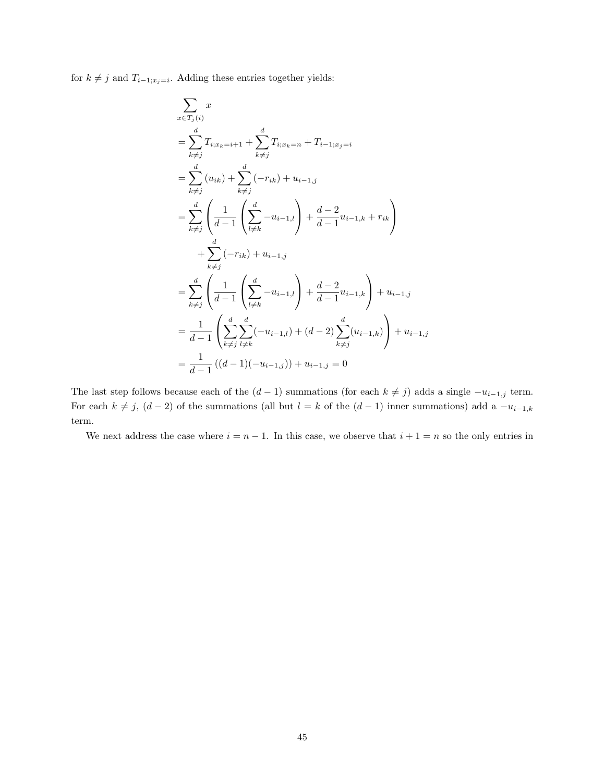for  $k \neq j$  and  $T_{i-1;x_j=i}$ . Adding these entries together yields:

$$
\sum_{x \in T_j(i)} x
$$
\n
$$
= \sum_{k \neq j}^{d} T_{i; x_k = i+1} + \sum_{k \neq j}^{d} T_{i; x_k = n} + T_{i-1; x_j = i}
$$
\n
$$
= \sum_{k \neq j}^{d} (u_{ik}) + \sum_{k \neq j}^{d} (-r_{ik}) + u_{i-1, j}
$$
\n
$$
= \sum_{k \neq j}^{d} \left( \frac{1}{d-1} \left( \sum_{l \neq k}^{d} -u_{i-1,l} \right) + \frac{d-2}{d-1} u_{i-1,k} + r_{ik} \right)
$$
\n
$$
+ \sum_{k \neq j}^{d} (-r_{ik}) + u_{i-1, j}
$$
\n
$$
= \sum_{k \neq j}^{d} \left( \frac{1}{d-1} \left( \sum_{l \neq k}^{d} -u_{i-1,l} \right) + \frac{d-2}{d-1} u_{i-1,k} \right) + u_{i-1, j}
$$
\n
$$
= \frac{1}{d-1} \left( \sum_{k \neq j}^{d} \sum_{l \neq k}^{d} (-u_{i-1,l}) + (d-2) \sum_{k \neq j}^{d} (u_{i-1,k}) \right) + u_{i-1, j}
$$
\n
$$
= \frac{1}{d-1} ((d-1)(-u_{i-1,j})) + u_{i-1,j} = 0
$$

The last step follows because each of the  $(d-1)$  summations (for each  $k \neq j$ ) adds a single  $-u_{i-1,j}$  term. For each  $k \neq j$ ,  $(d-2)$  of the summations (all but  $l = k$  of the  $(d-1)$  inner summations) add a  $-u_{i-1,k}$ term.

We next address the case where  $i = n - 1$ . In this case, we observe that  $i + 1 = n$  so the only entries in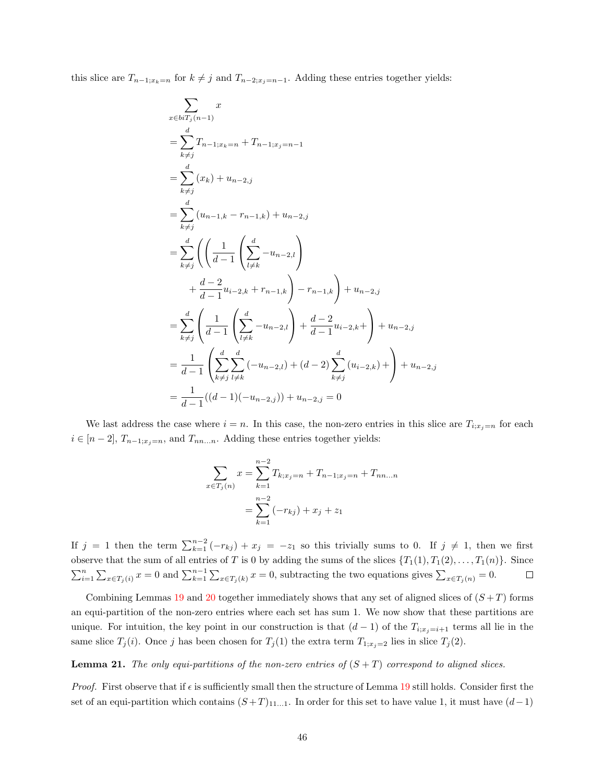this slice are  $T_{n-1;x_k=n}$  for  $k \neq j$  and  $T_{n-2;x_j=n-1}$ . Adding these entries together yields:

$$
\sum_{x \in biT_j(n-1)} x
$$
\n
$$
= \sum_{k \neq j}^{d} T_{n-1; x_k=n} + T_{n-1; x_j=n-1}
$$
\n
$$
= \sum_{k \neq j}^{d} (x_k) + u_{n-2,j}
$$
\n
$$
= \sum_{k \neq j}^{d} (u_{n-1,k} - r_{n-1,k}) + u_{n-2,j}
$$
\n
$$
= \sum_{k \neq j}^{d} \left( \left( \frac{1}{d-1} \left( \sum_{l \neq k}^{d} -u_{n-2,l} \right) + \frac{d-2}{d-1} u_{i-2,k} + r_{n-1,k} \right) - r_{n-1,k} \right) + u_{n-2,j}
$$
\n
$$
= \sum_{k \neq j}^{d} \left( \frac{1}{d-1} \left( \sum_{l \neq k}^{d} -u_{n-2,l} \right) + \frac{d-2}{d-1} u_{i-2,k} + \right) + u_{n-2,j}
$$
\n
$$
= \frac{1}{d-1} \left( \sum_{k \neq j}^{d} \sum_{l \neq k}^{d} (-u_{n-2,l}) + (d-2) \sum_{k \neq j}^{d} (u_{i-2,k}) + \right) + u_{n-2,j}
$$
\n
$$
= \frac{1}{d-1} ((d-1)(-u_{n-2,j})) + u_{n-2,j} = 0
$$

We last address the case where  $i = n$ . In this case, the non-zero entries in this slice are  $T_{i; x_j=n}$  for each  $i \in [n-2], T_{n-1;x_j=n}$ , and  $T_{nn...n}$ . Adding these entries together yields:

$$
\sum_{x \in T_j(n)} x = \sum_{k=1}^{n-2} T_{k;x_j=n} + T_{n-1;x_j=n} + T_{nn...n}
$$

$$
= \sum_{k=1}^{n-2} (-r_{kj}) + x_j + z_1
$$

If  $j = 1$  then the term  $\sum_{k=1}^{n-2} (-r_{kj}) + x_j = -z_1$  so this trivially sums to 0. If  $j \neq 1$ , then we first observe that the sum of all entries of T is 0 by adding the sums of the slices  $\{T_1(1), T_1(2), \ldots, T_1(n)\}$ . Since  $\sum_{i=1}^n \sum_{x \in T_j(i)} x = 0$  and  $\sum_{k=1}^{n-1} \sum_{x \in T_j(k)} x = 0$ , subtracting the two equations gives  $\sum_{x \in T_j(n)} = 0$ .  $\Box$ 

Combining Lemmas [19](#page-47-0) and [20](#page-48-1) together immediately shows that any set of aligned slices of  $(S+T)$  forms an equi-partition of the non-zero entries where each set has sum 1. We now show that these partitions are unique. For intuition, the key point in our construction is that  $(d-1)$  of the  $T_{i;x_j=i+1}$  terms all lie in the same slice  $T_j(i)$ . Once j has been chosen for  $T_j(1)$  the extra term  $T_{1;x_j=2}$  lies in slice  $T_j(2)$ .

#### <span id="page-50-0"></span>**Lemma 21.** The only equi-partitions of the non-zero entries of  $(S + T)$  correspond to aligned slices.

*Proof.* First observe that if  $\epsilon$  is sufficiently small then the structure of Lemma [19](#page-47-0) still holds. Consider first the set of an equi-partition which contains  $(S+T)_{11...1}$ . In order for this set to have value 1, it must have  $(d-1)$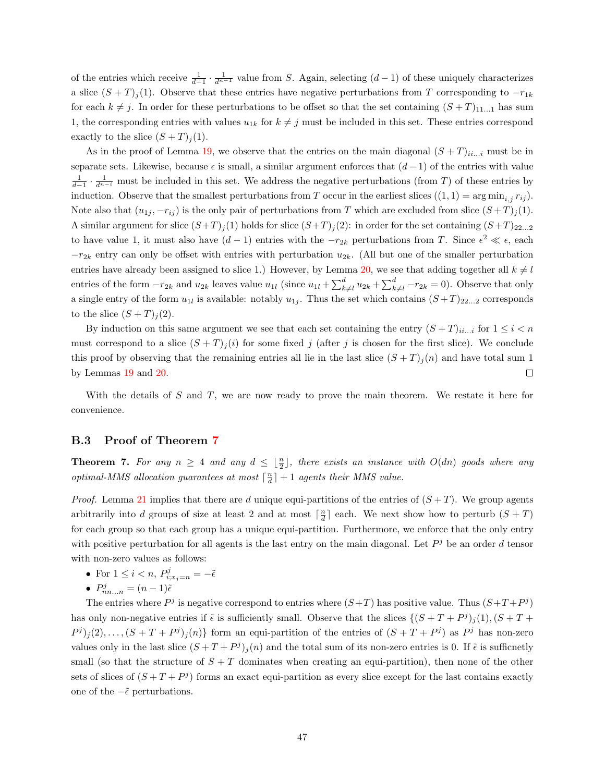of the entries which receive  $\frac{1}{d-1} \cdot \frac{1}{d^{n-1}}$  value from S. Again, selecting  $(d-1)$  of these uniquely characterizes a slice  $(S+T)_{j}(1)$ . Observe that these entries have negative perturbations from T corresponding to  $-r_{1k}$ for each  $k \neq j$ . In order for these perturbations to be offset so that the set containing  $(S + T)_{11...1}$  has sum 1, the corresponding entries with values  $u_{1k}$  for  $k \neq j$  must be included in this set. These entries correspond exactly to the slice  $(S+T)_i(1)$ .

As in the proof of Lemma [19,](#page-47-0) we observe that the entries on the main diagonal  $(S+T)_{ii...i}$  must be in separate sets. Likewise, because  $\epsilon$  is small, a similar argument enforces that  $(d-1)$  of the entries with value  $\frac{1}{d-1} \cdot \frac{1}{d^{n-i}}$  must be included in this set. We address the negative perturbations (from T) of these entries by induction. Observe that the smallest perturbations from T occur in the earliest slices  $((1, 1) = \arg \min_{i,j} r_{ij})$ . Note also that  $(u_{1j}, -r_{ij})$  is the only pair of perturbations from T which are excluded from slice  $(S+T)_{j}(1)$ . A similar argument for slice  $(S+T)_{j}(1)$  holds for slice  $(S+T)_{j}(2)$ : in order for the set containing  $(S+T)_{22...2}$ to have value 1, it must also have  $(d-1)$  entries with the  $-r_{2k}$  perturbations from T. Since  $\epsilon^2 \ll \epsilon$ , each  $-r_{2k}$  entry can only be offset with entries with perturbation  $u_{2k}$ . (All but one of the smaller perturbation entries have already been assigned to slice 1.) However, by Lemma [20,](#page-48-1) we see that adding together all  $k \neq l$ entries of the form  $-r_{2k}$  and  $u_{2k}$  leaves value  $u_{1l}$  (since  $u_{1l} + \sum_{k=1}^{d} u_{2k} + \sum_{k=1}^{d} -r_{2k} = 0$ ). Observe that only a single entry of the form  $u_{1l}$  is available: notably  $u_{1j}$ . Thus the set which contains  $(S+T)_{22...2}$  corresponds to the slice  $(S+T)_i(2)$ .

By induction on this same argument we see that each set containing the entry  $(S+T)_{ii...i}$  for  $1 \le i < n$ must correspond to a slice  $(S+T)<sub>j</sub>(i)$  for some fixed j (after j is chosen for the first slice). We conclude this proof by observing that the remaining entries all lie in the last slice  $(S+T)_j(n)$  and have total sum 1 by Lemmas [19](#page-47-0) and [20.](#page-48-1)  $\Box$ 

With the details of  $S$  and  $T$ , we are now ready to prove the main theorem. We restate it here for convenience.

#### <span id="page-51-0"></span>B.3 Proof of Theorem [7](#page-46-2)

**Theorem 7.** For any  $n \geq 4$  and any  $d \leq \lfloor \frac{n}{2} \rfloor$ , there exists an instance with  $O(dn)$  goods where any optimal-MMS allocation guarantees at most  $\lceil \frac{n}{d} \rceil + 1$  agents their MMS value.

*Proof.* Lemma [21](#page-50-0) implies that there are d unique equi-partitions of the entries of  $(S+T)$ . We group agents arbitrarily into d groups of size at least 2 and at most  $\lceil \frac{n}{d} \rceil$  each. We next show how to perturb  $(S + T)$ for each group so that each group has a unique equi-partition. Furthermore, we enforce that the only entry with positive perturbation for all agents is the last entry on the main diagonal. Let  $P<sup>j</sup>$  be an order d tensor with non-zero values as follows:

- For  $1 \leq i < n$ ,  $P_{i;x_j=n}^j = -\tilde{\epsilon}$
- $P_{nn...n}^{j} = (n-1)\tilde{\epsilon}$

The entries where  $P^j$  is negative correspond to entries where  $(S+T)$  has positive value. Thus  $(S+T+P^j)$ has only non-negative entries if  $\tilde{\epsilon}$  is sufficiently small. Observe that the slices  $\{(S+T+P<sup>j</sup>)<sub>j</sub>(1), (S+T+P<sup>j</sup>)<sub>j</sub>(1), (S+T+P<sup>j</sup>)<sub>j</sub>(1), (S+T+P<sup>j</sup>)<sub>j</sub>(1), (S+T+P<sup>j</sup>)<sub>j</sub>(1), (S+T+P<sup>j</sup>)<sub>j</sub>(1), (S+T+P<sup>j</sup>$  $P^{j}(2), \ldots, (S+T+P^{j})_{j}(n)$  form an equi-partition of the entries of  $(S+T+P^{j})$  as  $P^{j}$  has non-zero values only in the last slice  $(S+T+P<sup>j</sup>)<sub>j</sub>(n)$  and the total sum of its non-zero entries is 0. If  $\tilde{\epsilon}$  is sufficnetly small (so that the structure of  $S + T$  dominates when creating an equi-partition), then none of the other sets of slices of  $(S+T+P<sup>j</sup>)$  forms an exact equi-partition as every slice except for the last contains exactly one of the  $\tilde{e}$  perturbations.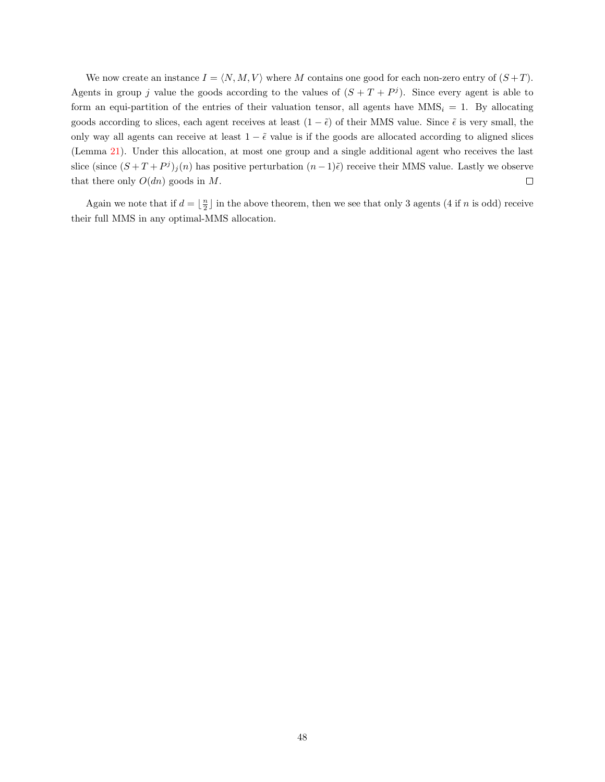We now create an instance  $I = \langle N, M, V \rangle$  where M contains one good for each non-zero entry of  $(S+T)$ . Agents in group j value the goods according to the values of  $(S+T+P<sup>j</sup>)$ . Since every agent is able to form an equi-partition of the entries of their valuation tensor, all agents have  $MMS_i = 1$ . By allocating goods according to slices, each agent receives at least  $(1 - \tilde{\epsilon})$  of their MMS value. Since  $\tilde{\epsilon}$  is very small, the only way all agents can receive at least  $1 - \tilde{\epsilon}$  value is if the goods are allocated according to aligned slices (Lemma [21\)](#page-50-0). Under this allocation, at most one group and a single additional agent who receives the last slice (since  $(S+T+P<sup>j</sup>)<sub>j</sub>(n)$  has positive perturbation  $(n-1)\tilde{\epsilon}$ ) receive their MMS value. Lastly we observe that there only  $O(dn)$  goods in M.  $\Box$ 

Again we note that if  $d = \lfloor \frac{n}{2} \rfloor$  in the above theorem, then we see that only 3 agents (4 if n is odd) receive their full MMS in any optimal-MMS allocation.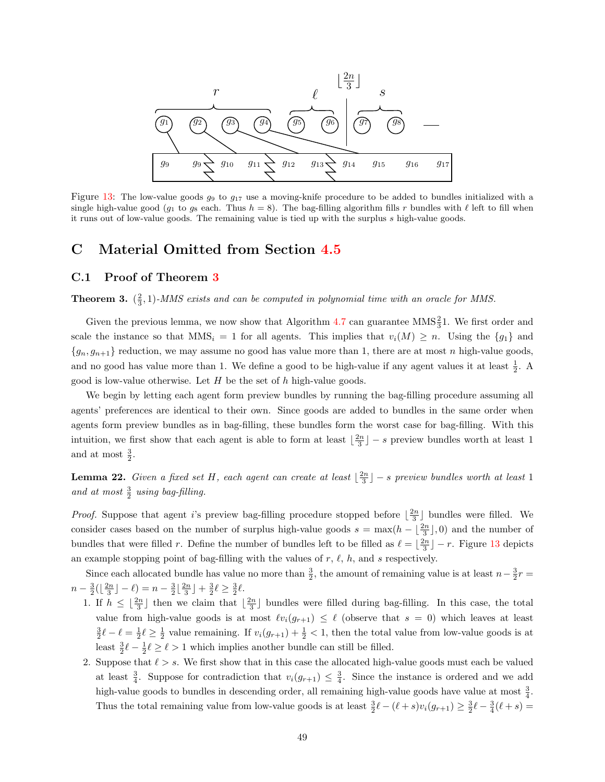

Figure [13:](#page-27-0) The low-value goods  $g_9$  to  $g_{17}$  use a moving-knife procedure to be added to bundles initialized with a single high-value good ( $g_1$  to  $g_8$  each. Thus  $h = 8$ ). The bag-filling algorithm fills r bundles with  $\ell$  left to fill when it runs out of low-value goods. The remaining value is tied up with the surplus s high-value goods.

## <span id="page-53-0"></span>C Material Omitted from Section [4.5](#page-25-0)

#### <span id="page-53-1"></span>C.1 Proof of Theorem [3](#page-26-0)

**Theorem 3.**  $(\frac{2}{3}, 1)$ -MMS exists and can be computed in polynomial time with an oracle for MMS.

Given the previous lemma, we now show that Algorithm [4.7](#page-26-1) can guarantee  $MMS<sub>3</sub><sup>2</sup>1$ . We first order and scale the instance so that  $MMS_i = 1$  for all agents. This implies that  $v_i(M) \geq n$ . Using the  $\{g_1\}$  and  ${g_n, g_{n+1}}$  reduction, we may assume no good has value more than 1, there are at most n high-value goods, and no good has value more than 1. We define a good to be high-value if any agent values it at least  $\frac{1}{2}$ . A good is low-value otherwise. Let  $H$  be the set of  $h$  high-value goods.

We begin by letting each agent form preview bundles by running the bag-filling procedure assuming all agents' preferences are identical to their own. Since goods are added to bundles in the same order when agents form preview bundles as in bag-filling, these bundles form the worst case for bag-filling. With this intuition, we first show that each agent is able to form at least  $\lfloor \frac{2n}{3} \rfloor - s$  preview bundles worth at least 1 and at most  $\frac{3}{2}$ .

<span id="page-53-2"></span>**Lemma 22.** Given a fixed set H, each agent can create at least  $\lfloor \frac{2n}{3} \rfloor - s$  preview bundles worth at least 1 and at most  $\frac{3}{2}$  using bag-filling.

*Proof.* Suppose that agent i's preview bag-filling procedure stopped before  $\lfloor \frac{2n}{3} \rfloor$  bundles were filled. We consider cases based on the number of surplus high-value goods  $s = \max(h - \lfloor \frac{2n}{3} \rfloor, 0)$  and the number of bundles that were filled r. Define the number of bundles left to be filled as  $\ell = \lfloor \frac{2n}{3} \rfloor - r$ . Figure [13](#page-27-0) depicts an example stopping point of bag-filling with the values of  $r, \ell, h$ , and s respectively.

Since each allocated bundle has value no more than  $\frac{3}{2}$ , the amount of remaining value is at least  $n-\frac{3}{2}r=$  $n - \frac{3}{2}(\lfloor \frac{2n}{3} \rfloor - \ell) = n - \frac{3}{2}\lfloor \frac{2n}{3} \rfloor + \frac{3}{2}\ell \ge \frac{3}{2}\ell.$ 

- 1. If  $h \leq \lfloor \frac{2n}{3} \rfloor$  then we claim that  $\lfloor \frac{2n}{3} \rfloor$  bundles were filled during bag-filling. In this case, the total value from high-value goods is at most  $\ell v_i(g_{r+1}) \leq \ell$  (observe that  $s = 0$ ) which leaves at least  $\frac{3}{2}\ell - \ell = \frac{1}{2}\ell \ge \frac{1}{2}$  value remaining. If  $v_i(g_{r+1}) + \frac{1}{2} < 1$ , then the total value from low-value goods is at least  $\frac{3}{2}\ell - \frac{1}{2}\ell \ge \ell > 1$  which implies another bundle can still be filled.
- 2. Suppose that  $\ell > s$ . We first show that in this case the allocated high-value goods must each be valued at least  $\frac{3}{4}$ . Suppose for contradiction that  $v_i(g_{r+1}) \leq \frac{3}{4}$ . Since the instance is ordered and we add high-value goods to bundles in descending order, all remaining high-value goods have value at most  $\frac{3}{4}$ . Thus the total remaining value from low-value goods is at least  $\frac{3}{2}\ell - (\ell + s)v_i(g_{r+1}) \geq \frac{3}{2}\ell - \frac{3}{4}(\ell + s) =$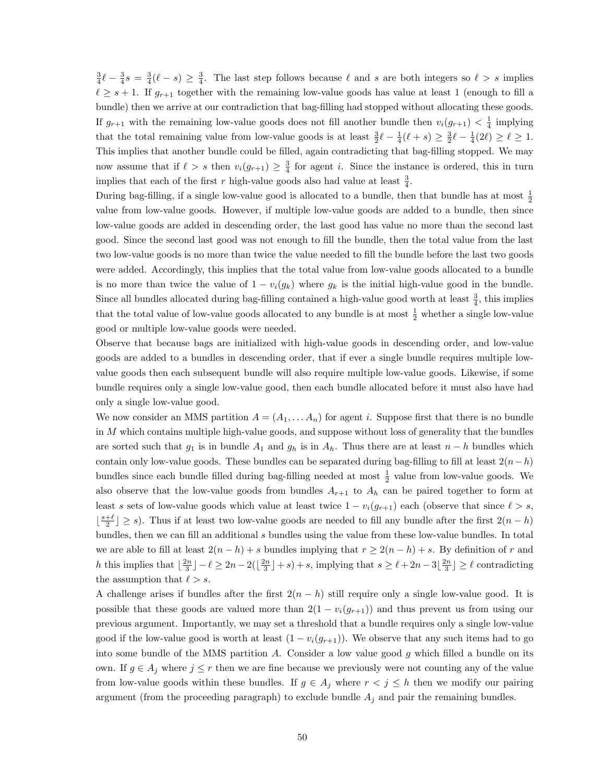$\frac{3}{4}\ell - \frac{3}{4}s = \frac{3}{4}(\ell - s) \geq \frac{3}{4}$ . The last step follows because  $\ell$  and s are both integers so  $\ell > s$  implies  $\ell \geq s + 1$ . If  $g_{r+1}$  together with the remaining low-value goods has value at least 1 (enough to fill a bundle) then we arrive at our contradiction that bag-filling had stopped without allocating these goods. If  $g_{r+1}$  with the remaining low-value goods does not fill another bundle then  $v_i(g_{r+1}) < \frac{1}{4}$  implying that the total remaining value from low-value goods is at least  $\frac{3}{2}\ell - \frac{1}{4}(\ell + s) \geq \frac{3}{2}\ell - \frac{1}{4}(2\ell) \geq \ell \geq 1$ . This implies that another bundle could be filled, again contradicting that bag-filling stopped. We may now assume that if  $\ell > s$  then  $v_i(g_{r+1}) \geq \frac{3}{4}$  for agent i. Since the instance is ordered, this in turn implies that each of the first r high-value goods also had value at least  $\frac{3}{4}$ .

During bag-filling, if a single low-value good is allocated to a bundle, then that bundle has at most  $\frac{1}{2}$ value from low-value goods. However, if multiple low-value goods are added to a bundle, then since low-value goods are added in descending order, the last good has value no more than the second last good. Since the second last good was not enough to fill the bundle, then the total value from the last two low-value goods is no more than twice the value needed to fill the bundle before the last two goods were added. Accordingly, this implies that the total value from low-value goods allocated to a bundle is no more than twice the value of  $1 - v_i(g_k)$  where  $g_k$  is the initial high-value good in the bundle. Since all bundles allocated during bag-filling contained a high-value good worth at least  $\frac{3}{4}$ , this implies that the total value of low-value goods allocated to any bundle is at most  $\frac{1}{2}$  whether a single low-value good or multiple low-value goods were needed.

Observe that because bags are initialized with high-value goods in descending order, and low-value goods are added to a bundles in descending order, that if ever a single bundle requires multiple lowvalue goods then each subsequent bundle will also require multiple low-value goods. Likewise, if some bundle requires only a single low-value good, then each bundle allocated before it must also have had only a single low-value good.

We now consider an MMS partition  $A = (A_1, \ldots, A_n)$  for agent i. Suppose first that there is no bundle in  $M$  which contains multiple high-value goods, and suppose without loss of generality that the bundles are sorted such that  $g_1$  is in bundle  $A_1$  and  $g_h$  is in  $A_h$ . Thus there are at least  $n-h$  bundles which contain only low-value goods. These bundles can be separated during bag-filling to fill at least  $2(n-h)$ bundles since each bundle filled during bag-filling needed at most  $\frac{1}{2}$  value from low-value goods. We also observe that the low-value goods from bundles  $A_{r+1}$  to  $A_h$  can be paired together to form at least s sets of low-value goods which value at least twice  $1 - v_i(g_{r+1})$  each (observe that since  $\ell > s$ ,  $\lfloor \frac{s+\ell}{2} \rfloor \geq s$ ). Thus if at least two low-value goods are needed to fill any bundle after the first  $2(n-h)$ bundles, then we can fill an additional s bundles using the value from these low-value bundles. In total we are able to fill at least  $2(n - h) + s$  bundles implying that  $r \ge 2(n - h) + s$ . By definition of r and h this implies that  $\lfloor \frac{2n}{3} \rfloor - \ell \geq 2n - 2(\lfloor \frac{2n}{3} \rfloor + s) + s$ , implying that  $s \geq \ell + 2n - 3\lfloor \frac{2n}{3} \rfloor \geq \ell$  contradicting the assumption that  $\ell > s$ .

A challenge arises if bundles after the first  $2(n - h)$  still require only a single low-value good. It is possible that these goods are valued more than  $2(1 - v_i(g_{r+1}))$  and thus prevent us from using our previous argument. Importantly, we may set a threshold that a bundle requires only a single low-value good if the low-value good is worth at least  $(1 - v_i(g_{r+1}))$ . We observe that any such items had to go into some bundle of the MMS partition A. Consider a low value good  $q$  which filled a bundle on its own. If  $g \in A_i$  where  $j \leq r$  then we are fine because we previously were not counting any of the value from low-value goods within these bundles. If  $g \in A_j$  where  $r < j \leq h$  then we modify our pairing argument (from the proceeding paragraph) to exclude bundle  $A_j$  and pair the remaining bundles.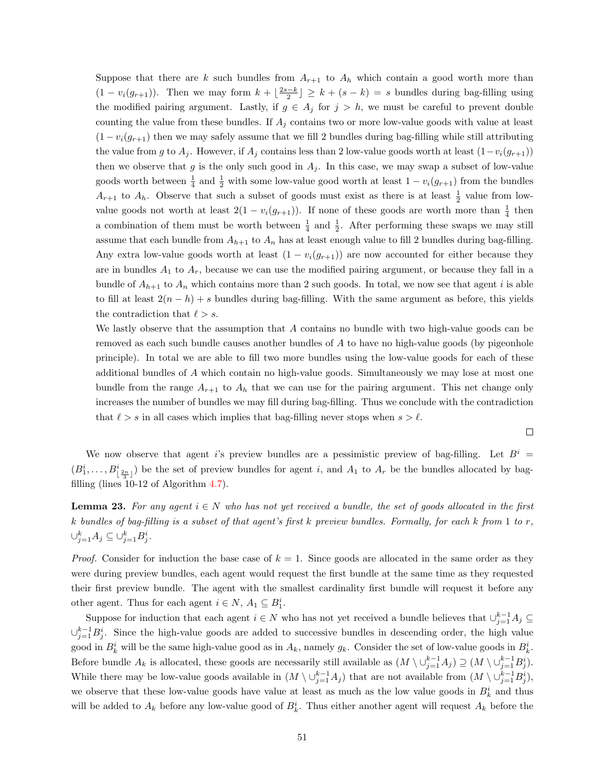Suppose that there are k such bundles from  $A_{r+1}$  to  $A_h$  which contain a good worth more than  $(1 - v_i(g_{r+1}))$ . Then we may form  $k + \lfloor \frac{2s-k}{2} \rfloor \ge k + (s-k) = s$  bundles during bag-filling using the modified pairing argument. Lastly, if  $g \in A_j$  for  $j > h$ , we must be careful to prevent double counting the value from these bundles. If  $A_j$  contains two or more low-value goods with value at least  $(1 - v_i(g_{r+1})$  then we may safely assume that we fill 2 bundles during bag-filling while still attributing the value from g to  $A_j$ . However, if  $A_j$  contains less than 2 low-value goods worth at least  $(1-v_i(g_{r+1}))$ then we observe that g is the only such good in  $A_j$ . In this case, we may swap a subset of low-value goods worth between  $\frac{1}{4}$  and  $\frac{1}{2}$  with some low-value good worth at least  $1 - v_i(g_{r+1})$  from the bundles  $A_{r+1}$  to  $A_h$ . Observe that such a subset of goods must exist as there is at least  $\frac{1}{2}$  value from lowvalue goods not worth at least  $2(1 - v_i(g_{r+1}))$ . If none of these goods are worth more than  $\frac{1}{4}$  then a combination of them must be worth between  $\frac{1}{4}$  and  $\frac{1}{2}$ . After performing these swaps we may still assume that each bundle from  $A_{h+1}$  to  $A_n$  has at least enough value to fill 2 bundles during bag-filling. Any extra low-value goods worth at least  $(1 - v_i(g_{r+1}))$  are now accounted for either because they are in bundles  $A_1$  to  $A_r$ , because we can use the modified pairing argument, or because they fall in a bundle of  $A_{h+1}$  to  $A_n$  which contains more than 2 such goods. In total, we now see that agent i is able to fill at least  $2(n - h) + s$  bundles during bag-filling. With the same argument as before, this yields the contradiction that  $\ell > s$ .

We lastly observe that the assumption that A contains no bundle with two high-value goods can be removed as each such bundle causes another bundles of A to have no high-value goods (by pigeonhole principle). In total we are able to fill two more bundles using the low-value goods for each of these additional bundles of A which contain no high-value goods. Simultaneously we may lose at most one bundle from the range  $A_{r+1}$  to  $A_h$  that we can use for the pairing argument. This net change only increases the number of bundles we may fill during bag-filling. Thus we conclude with the contradiction that  $\ell > s$  in all cases which implies that bag-filling never stops when  $s > \ell$ .

 $\Box$ 

We now observe that agent i's preview bundles are a pessimistic preview of bag-filling. Let  $B^i$  =  $(B_1^i, \ldots, B_{\lfloor \frac{2n}{3} \rfloor})$  be the set of preview bundles for agent i, and  $A_1$  to  $A_r$  be the bundles allocated by bagfilling (lines 10-12 of Algorithm [4.7\)](#page-26-1).

<span id="page-55-0"></span>**Lemma 23.** For any agent  $i \in N$  who has not yet received a bundle, the set of goods allocated in the first k bundles of bag-filling is a subset of that agent's first k preview bundles. Formally, for each k from 1 to r,  $\cup_{j=1}^k A_j \subseteq \cup_{j=1}^k B_j^i$ .

*Proof.* Consider for induction the base case of  $k = 1$ . Since goods are allocated in the same order as they were during preview bundles, each agent would request the first bundle at the same time as they requested their first preview bundle. The agent with the smallest cardinality first bundle will request it before any other agent. Thus for each agent  $i \in N$ ,  $A_1 \subseteq B_1^i$ .

Suppose for induction that each agent  $i \in N$  who has not yet received a bundle believes that  $\cup_{j=1}^{k-1} A_j \subseteq$  $\cup_{j=1}^{k-1} B_j^i$ . Since the high-value goods are added to successive bundles in descending order, the high value good in  $B_k^i$  will be the same high-value good as in  $A_k$ , namely  $g_k$ . Consider the set of low-value goods in  $B_k^i$ . Before bundle  $A_k$  is allocated, these goods are necessarily still available as  $(M \setminus \cup_{j=1}^{k-1} A_j) \supseteq (M \setminus \cup_{j=1}^{k-1} B_j^i)$ . While there may be low-value goods available in  $(M \setminus \cup_{j=1}^{k-1} A_j)$  that are not available from  $(M \setminus \cup_{j=1}^{k-1} B_j^i)$ , we observe that these low-value goods have value at least as much as the low value goods in  $B_k^i$  and thus will be added to  $A_k$  before any low-value good of  $B_k^i$ . Thus either another agent will request  $A_k$  before the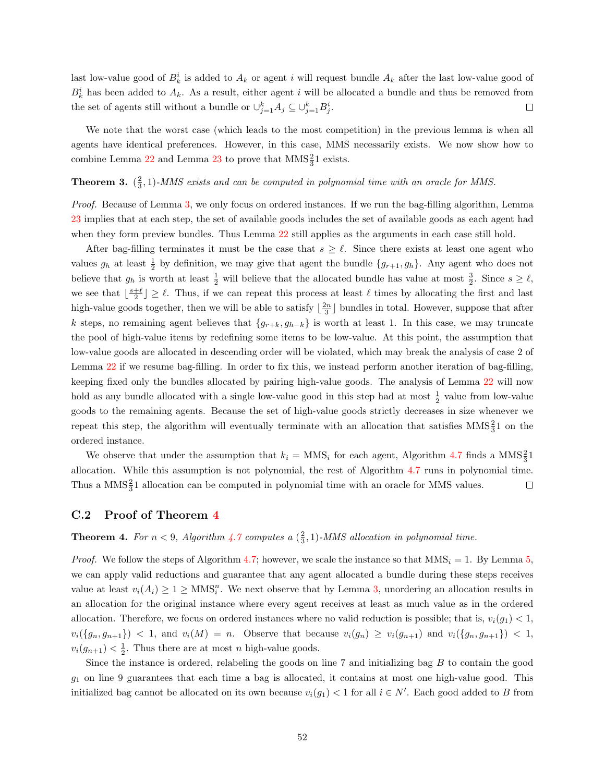last low-value good of  $B_k^i$  is added to  $A_k$  or agent i will request bundle  $A_k$  after the last low-value good of  $B_k^i$  has been added to  $A_k$ . As a result, either agent i will be allocated a bundle and thus be removed from the set of agents still without a bundle or  $\cup_{j=1}^k A_j \subseteq \cup_{j=1}^k B_j^i$ .  $\Box$ 

We note that the worst case (which leads to the most competition) in the previous lemma is when all agents have identical preferences. However, in this case, MMS necessarily exists. We now show how to combine Lemma [22](#page-53-2) and Lemma [23](#page-55-0) to prove that  $MMS<sub>3</sub><sup>2</sup>1$  exists.

## **Theorem 3.**  $(\frac{2}{3}, 1)$ -MMS exists and can be computed in polynomial time with an oracle for MMS.

Proof. Because of Lemma [3,](#page-14-3) we only focus on ordered instances. If we run the bag-filling algorithm, Lemma [23](#page-55-0) implies that at each step, the set of available goods includes the set of available goods as each agent had when they form preview bundles. Thus Lemma [22](#page-53-2) still applies as the arguments in each case still hold.

After bag-filling terminates it must be the case that  $s \geq \ell$ . Since there exists at least one agent who values  $g_h$  at least  $\frac{1}{2}$  by definition, we may give that agent the bundle  $\{g_{r+1}, g_h\}$ . Any agent who does not believe that  $g_h$  is worth at least  $\frac{1}{2}$  will believe that the allocated bundle has value at most  $\frac{3}{2}$ . Since  $s \geq \ell$ , we see that  $\lfloor \frac{s+\ell}{2} \rfloor \geq \ell$ . Thus, if we can repeat this process at least  $\ell$  times by allocating the first and last high-value goods together, then we will be able to satisfy  $\lfloor \frac{2n}{3} \rfloor$  bundles in total. However, suppose that after k steps, no remaining agent believes that  ${g_{r+k}, g_{h-k}}$  is worth at least 1. In this case, we may truncate the pool of high-value items by redefining some items to be low-value. At this point, the assumption that low-value goods are allocated in descending order will be violated, which may break the analysis of case 2 of Lemma [22](#page-53-2) if we resume bag-filling. In order to fix this, we instead perform another iteration of bag-filling, keeping fixed only the bundles allocated by pairing high-value goods. The analysis of Lemma [22](#page-53-2) will now hold as any bundle allocated with a single low-value good in this step had at most  $\frac{1}{2}$  value from low-value goods to the remaining agents. Because the set of high-value goods strictly decreases in size whenever we repeat this step, the algorithm will eventually terminate with an allocation that satisfies  $MMS<sub>3</sub><sup>2</sup>1$  on the ordered instance.

We observe that under the assumption that  $k_i = \text{MMS}_i$  for each agent, Algorithm [4.7](#page-26-1) finds a  $\text{MMS}_3^2$ 1 allocation. While this assumption is not polynomial, the rest of Algorithm [4.7](#page-26-1) runs in polynomial time. Thus a  $MMS<sub>3</sub><sup>2</sup>1$  allocation can be computed in polynomial time with an oracle for MMS values.  $\Box$ 

#### <span id="page-56-0"></span>C.2 Proof of Theorem [4](#page-28-0)

## **Theorem 4.** For  $n < 9$ , Algorithm [4.7](#page-26-1) computes a  $(\frac{2}{3}, 1)$ -MMS allocation in polynomial time.

*Proof.* We follow the steps of Algorithm [4.7;](#page-26-1) however, we scale the instance so that  $MMS_i = 1$ . By Lemma [5,](#page-15-1) we can apply valid reductions and guarantee that any agent allocated a bundle during these steps receives value at least  $v_i(A_i) \geq 1 \geq \text{MMS}_i^n$ . We next observe that by Lemma [3,](#page-14-3) unordering an allocation results in an allocation for the original instance where every agent receives at least as much value as in the ordered allocation. Therefore, we focus on ordered instances where no valid reduction is possible; that is,  $v_i(g_1) < 1$ ,  $v_i(\{g_n, g_{n+1}\})$  < 1, and  $v_i(M) = n$ . Observe that because  $v_i(g_n) \ge v_i(g_{n+1})$  and  $v_i(\{g_n, g_{n+1}\})$  < 1,  $v_i(g_{n+1}) < \frac{1}{2}$ . Thus there are at most *n* high-value goods.

Since the instance is ordered, relabeling the goods on line 7 and initializing bag B to contain the good  $g_1$  on line 9 guarantees that each time a bag is allocated, it contains at most one high-value good. This initialized bag cannot be allocated on its own because  $v_i(g_1) < 1$  for all  $i \in N'$ . Each good added to B from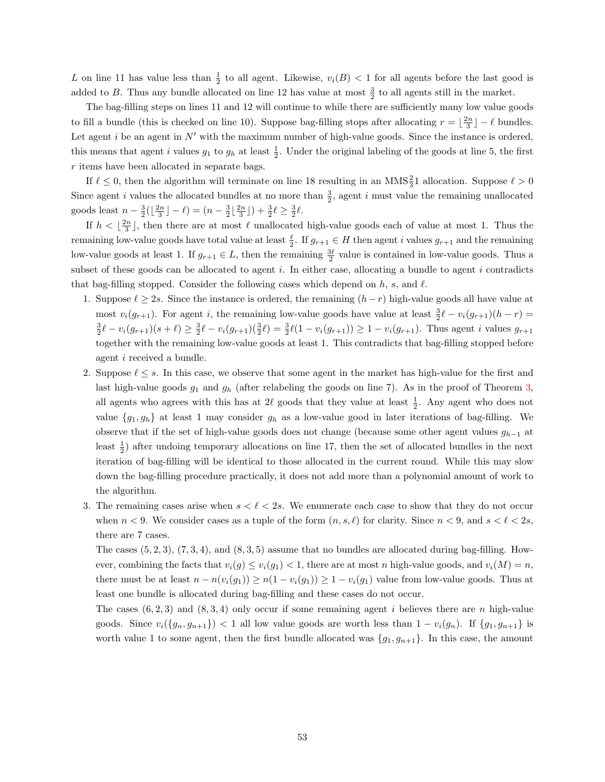L on line 11 has value less than  $\frac{1}{2}$  to all agent. Likewise,  $v_i(B) < 1$  for all agents before the last good is added to B. Thus any bundle allocated on line 12 has value at most  $\frac{3}{2}$  to all agents still in the market.

The bag-filling steps on lines 11 and 12 will continue to while there are sufficiently many low value goods to fill a bundle (this is checked on line 10). Suppose bag-filling stops after allocating  $r = \lfloor \frac{2n}{3} \rfloor - \ell$  bundles. Let agent i be an agent in  $N'$  with the maximum number of high-value goods. Since the instance is ordered, this means that agent *i* values  $g_1$  to  $g_h$  at least  $\frac{1}{2}$ . Under the original labeling of the goods at line 5, the first r items have been allocated in separate bags.

If  $\ell \leq 0$ , then the algorithm will terminate on line 18 resulting in an MMS $\frac{2}{3}1$  allocation. Suppose  $\ell > 0$ Since agent *i* values the allocated bundles at no more than  $\frac{3}{2}$ , agent *i* must value the remaining unallocated goods least  $n - \frac{3}{2}(\lfloor \frac{2n}{3} \rfloor - \ell) = (n - \frac{3}{2} \lfloor \frac{2n}{3} \rfloor) + \frac{3}{2}\ell \ge \frac{3}{2}\ell.$ 

If  $h < \lfloor \frac{2n}{3} \rfloor$ , then there are at most  $\ell$  unallocated high-value goods each of value at most 1. Thus the remaining low-value goods have total value at least  $\frac{\ell}{2}$ . If  $g_{r+1} \in H$  then agent i values  $g_{r+1}$  and the remaining low-value goods at least 1. If  $g_{r+1} \in L$ , then the remaining  $\frac{3\ell}{2}$  value is contained in low-value goods. Thus a subset of these goods can be allocated to agent i. In either case, allocating a bundle to agent i contradicts that bag-filling stopped. Consider the following cases which depend on h, s, and  $\ell$ .

- 1. Suppose  $\ell \geq 2s$ . Since the instance is ordered, the remaining  $(h r)$  high-value goods all have value at most  $v_i(g_{r+1})$ . For agent i, the remaining low-value goods have value at least  $\frac{3}{2}\ell - v_i(g_{r+1})(h-r) =$  $\frac{3}{2}\ell - v_i(g_{r+1})(s+\ell) \ge \frac{3}{2}\ell - v_i(g_{r+1})(\frac{3}{2}\ell) = \frac{3}{2}\ell(1 - v_i(g_{r+1})) \ge 1 - v_i(g_{r+1})$ . Thus agent i values  $g_{r+1}$ together with the remaining low-value goods at least 1. This contradicts that bag-filling stopped before agent i received a bundle.
- 2. Suppose  $\ell \leq s$ . In this case, we observe that some agent in the market has high-value for the first and last high-value goods  $g_1$  and  $g_h$  (after relabeling the goods on line 7). As in the proof of Theorem [3,](#page-26-0) all agents who agrees with this has at  $2\ell$  goods that they value at least  $\frac{1}{2}$ . Any agent who does not value  $\{g_1, g_h\}$  at least 1 may consider  $g_h$  as a low-value good in later iterations of bag-filling. We observe that if the set of high-value goods does not change (because some other agent values  $g_{h-1}$  at least  $\frac{1}{2}$ ) after undoing temporary allocations on line 17, then the set of allocated bundles in the next iteration of bag-filling will be identical to those allocated in the current round. While this may slow down the bag-filling procedure practically, it does not add more than a polynomial amount of work to the algorithm.
- 3. The remaining cases arise when  $s < \ell < 2s$ . We enumerate each case to show that they do not occur when  $n < 9$ . We consider cases as a tuple of the form  $(n, s, \ell)$  for clarity. Since  $n < 9$ , and  $s < \ell < 2s$ , there are 7 cases.

The cases  $(5, 2, 3)$ ,  $(7, 3, 4)$ , and  $(8, 3, 5)$  assume that no bundles are allocated during bag-filling. However, combining the facts that  $v_i(g) \le v_i(g_1) < 1$ , there are at most n high-value goods, and  $v_i(M) = n$ , there must be at least  $n - n(v_i(g_1)) \ge n(1 - v_i(g_1)) \ge 1 - v_i(g_1)$  value from low-value goods. Thus at least one bundle is allocated during bag-filling and these cases do not occur.

The cases  $(6, 2, 3)$  and  $(8, 3, 4)$  only occur if some remaining agent i believes there are n high-value goods. Since  $v_i({g_n, g_{n+1}}) < 1$  all low value goods are worth less than  $1 - v_i(g_n)$ . If  ${g_1, g_{n+1}}$  is worth value 1 to some agent, then the first bundle allocated was  $\{g_1, g_{n+1}\}\$ . In this case, the amount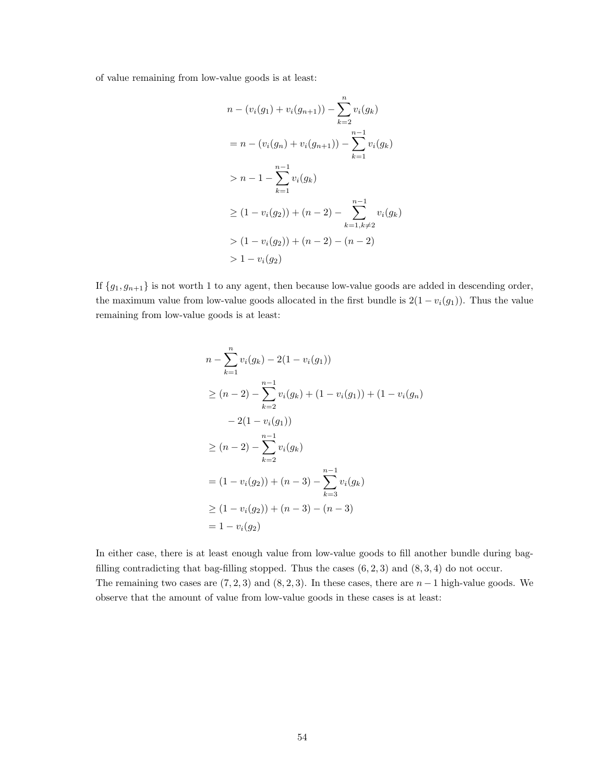of value remaining from low-value goods is at least:

$$
n - (v_i(g_1) + v_i(g_{n+1})) - \sum_{k=2}^{n} v_i(g_k)
$$
  
=  $n - (v_i(g_n) + v_i(g_{n+1})) - \sum_{k=1}^{n-1} v_i(g_k)$   
>  $n - 1 - \sum_{k=1}^{n-1} v_i(g_k)$   

$$
\geq (1 - v_i(g_2)) + (n - 2) - \sum_{k=1, k \neq 2}^{n-1} v_i(g_k)
$$
  
>  $(1 - v_i(g_2)) + (n - 2) - (n - 2)$   
>  $1 - v_i(g_2)$ 

If  ${g_1, g_{n+1}}$  is not worth 1 to any agent, then because low-value goods are added in descending order, the maximum value from low-value goods allocated in the first bundle is  $2(1 - v_i(g_1))$ . Thus the value remaining from low-value goods is at least:

$$
n - \sum_{k=1}^{n} v_i(g_k) - 2(1 - v_i(g_1))
$$
  
\n
$$
\geq (n-2) - \sum_{k=2}^{n-1} v_i(g_k) + (1 - v_i(g_1)) + (1 - v_i(g_n))
$$
  
\n
$$
- 2(1 - v_i(g_1))
$$
  
\n
$$
\geq (n-2) - \sum_{k=2}^{n-1} v_i(g_k)
$$
  
\n
$$
= (1 - v_i(g_2)) + (n-3) - \sum_{k=3}^{n-1} v_i(g_k)
$$
  
\n
$$
\geq (1 - v_i(g_2)) + (n-3) - (n-3)
$$
  
\n
$$
= 1 - v_i(g_2)
$$

In either case, there is at least enough value from low-value goods to fill another bundle during bagfilling contradicting that bag-filling stopped. Thus the cases  $(6, 2, 3)$  and  $(8, 3, 4)$  do not occur. The remaining two cases are  $(7, 2, 3)$  and  $(8, 2, 3)$ . In these cases, there are  $n - 1$  high-value goods. We observe that the amount of value from low-value goods in these cases is at least: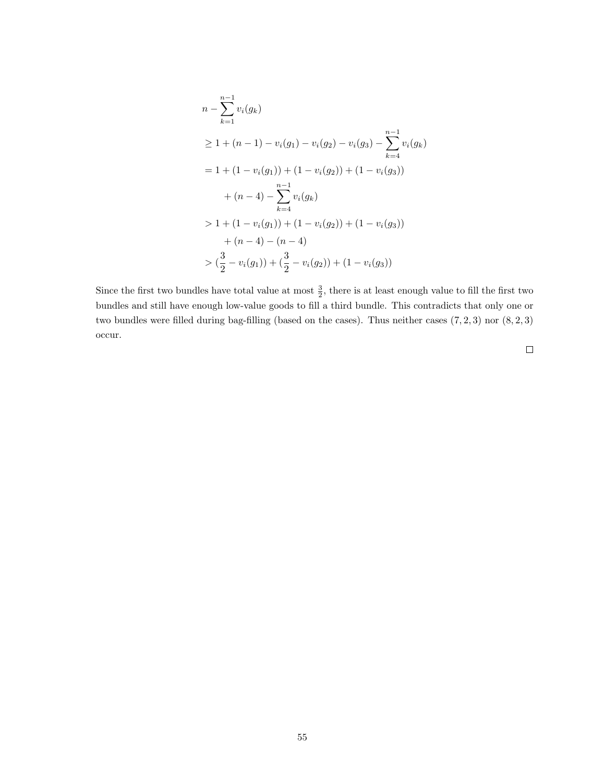$$
n - \sum_{k=1}^{n-1} v_i(g_k)
$$
  
\n
$$
\geq 1 + (n - 1) - v_i(g_1) - v_i(g_2) - v_i(g_3) - \sum_{k=4}^{n-1} v_i(g_k)
$$
  
\n
$$
= 1 + (1 - v_i(g_1)) + (1 - v_i(g_2)) + (1 - v_i(g_3))
$$
  
\n
$$
+ (n - 4) - \sum_{k=4}^{n-1} v_i(g_k)
$$
  
\n
$$
> 1 + (1 - v_i(g_1)) + (1 - v_i(g_2)) + (1 - v_i(g_3))
$$
  
\n
$$
+ (n - 4) - (n - 4)
$$
  
\n
$$
> (\frac{3}{2} - v_i(g_1)) + (\frac{3}{2} - v_i(g_2)) + (1 - v_i(g_3))
$$

Since the first two bundles have total value at most  $\frac{3}{2}$ , there is at least enough value to fill the first two bundles and still have enough low-value goods to fill a third bundle. This contradicts that only one or two bundles were filled during bag-filling (based on the cases). Thus neither cases  $(7, 2, 3)$  nor  $(8, 2, 3)$ occur.

 $\Box$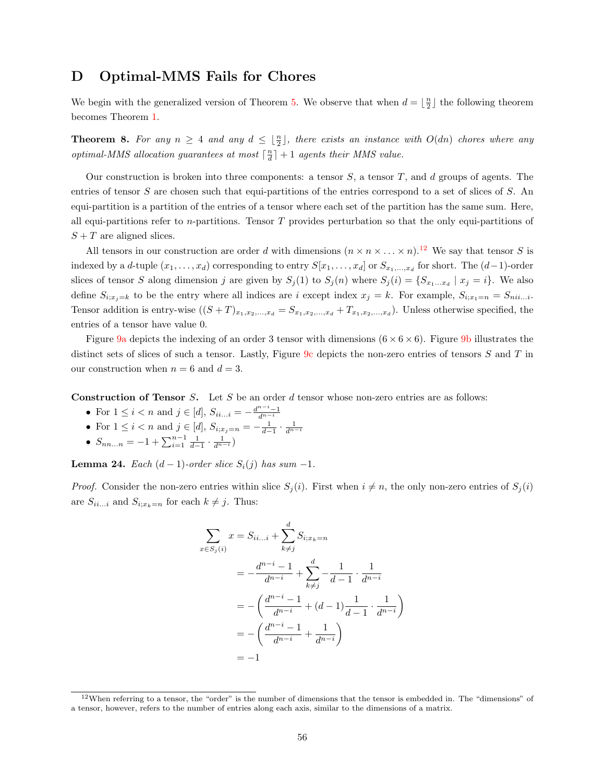## <span id="page-60-0"></span>D Optimal-MMS Fails for Chores

We begin with the generalized version of Theorem [5.](#page-34-2) We observe that when  $d = \lfloor \frac{n}{2} \rfloor$  the following theorem becomes Theorem [1.](#page-18-2)

**Theorem 8.** For any  $n \geq 4$  and any  $d \leq \lfloor \frac{n}{2} \rfloor$ , there exists an instance with  $O(dn)$  chores where any optimal-MMS allocation guarantees at most  $\lceil \frac{n}{d} \rceil + 1$  agents their MMS value.

Our construction is broken into three components: a tensor  $S$ , a tensor  $T$ , and  $d$  groups of agents. The entries of tensor S are chosen such that equi-partitions of the entries correspond to a set of slices of S. An equi-partition is a partition of the entries of a tensor where each set of the partition has the same sum. Here, all equi-partitions refer to n-partitions. Tensor  $T$  provides perturbation so that the only equi-partitions of  $S + T$  are aligned slices.

All tensors in our construction are order d with dimensions  $(n \times n \times ... \times n)$ .<sup>[12](#page-1-0)</sup> We say that tensor S is indexed by a d-tuple  $(x_1, \ldots, x_d)$  corresponding to entry  $S[x_1, \ldots, x_d]$  or  $S_{x_1, \ldots, x_d}$  for short. The  $(d-1)$ -order slices of tensor S along dimension j are given by  $S_j(1)$  to  $S_j(n)$  where  $S_j(i) = \{S_{x_1...x_d} | x_j = i\}$ . We also define  $S_{i;x_j=k}$  to be the entry where all indices are i except index  $x_j = k$ . For example,  $S_{i;x_1=n} = S_{nii...i}$ . Tensor addition is entry-wise  $((S+T)_{x_1,x_2,...,x_d}=S_{x_1,x_2,...,x_d}+T_{x_1,x_2,...,x_d})$ . Unless otherwise specified, the entries of a tensor have value 0.

Figure [9a](#page-18-1) depicts the indexing of an order 3 tensor with dimensions  $(6 \times 6 \times 6)$ . Figure [9b](#page-18-1) illustrates the distinct sets of slices of such a tensor. Lastly, Figure [9c](#page-18-1) depicts the non-zero entries of tensors S and T in our construction when  $n = 6$  and  $d = 3$ .

**Construction of Tensor** S. Let S be an order d tensor whose non-zero entries are as follows:

- For  $1 \le i < n$  and  $j \in [d]$ ,  $S_{ii...i} = -\frac{d^{n-i}-1}{d^{n-i}}$
- For  $1 \le i < n$  and  $j \in [d]$ ,  $S_{i,x_j=n} = -\frac{1}{d-1} \cdot \frac{1}{d^{n-i}}$ <br>•  $S_{nn...n} = -1 + \sum_{i=1}^{n-1} \frac{1}{d-1} \cdot \frac{1}{d^{n-i}}$
- 

<span id="page-60-1"></span>**Lemma 24.** Each  $(d − 1)$ -order slice  $S_i(j)$  has sum  $-1$ .

*Proof.* Consider the non-zero entries within slice  $S_j(i)$ . First when  $i \neq n$ , the only non-zero entries of  $S_j(i)$ are  $S_{ii...i}$  and  $S_{i;x_k=n}$  for each  $k \neq j$ . Thus:

$$
\sum_{x \in S_j(i)} x = S_{ii...i} + \sum_{k \neq j}^{d} S_{i; x_k = n}
$$
\n
$$
= -\frac{d^{n-i} - 1}{d^{n-i}} + \sum_{k \neq j}^{d} -\frac{1}{d-1} \cdot \frac{1}{d^{n-i}}
$$
\n
$$
= -\left(\frac{d^{n-i} - 1}{d^{n-i}} + (d-1)\frac{1}{d-1} \cdot \frac{1}{d^{n-i}}\right)
$$
\n
$$
= -\left(\frac{d^{n-i} - 1}{d^{n-i}} + \frac{1}{d^{n-i}}\right)
$$
\n
$$
= -1
$$

 $12$ When referring to a tensor, the "order" is the number of dimensions that the tensor is embedded in. The "dimensions" of a tensor, however, refers to the number of entries along each axis, similar to the dimensions of a matrix.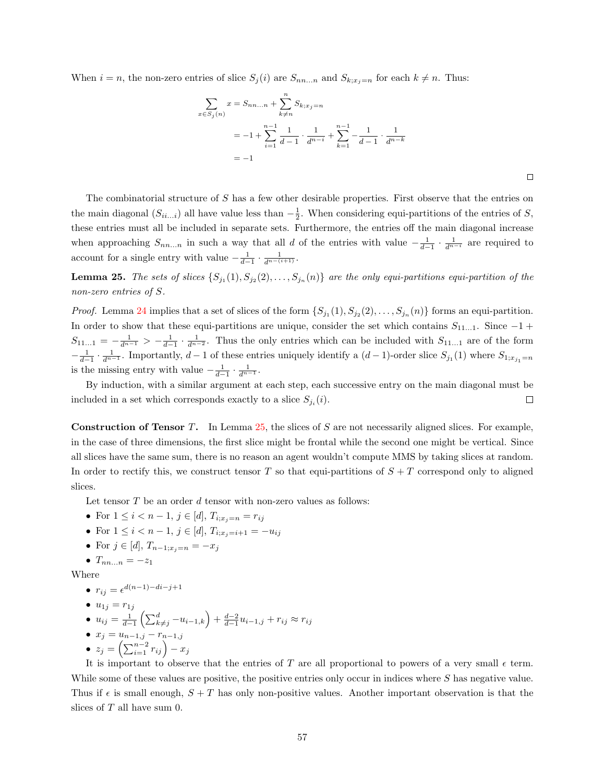When  $i = n$ , the non-zero entries of slice  $S_j(i)$  are  $S_{nn...n}$  and  $S_{k:x_j=n}$  for each  $k \neq n$ . Thus:

$$
\sum_{x \in S_j(n)} x = S_{nn...n} + \sum_{k \neq n}^{n} S_{k;x_j=n}
$$
  
= -1 +  $\sum_{i=1}^{n-1} \frac{1}{d-1} \cdot \frac{1}{d^{n-i}} + \sum_{k=1}^{n-1} -\frac{1}{d-1} \cdot \frac{1}{d^{n-k}}$   
= -1

The combinatorial structure of S has a few other desirable properties. First observe that the entries on the main diagonal  $(S_{ii...i})$  all have value less than  $-\frac{1}{2}$ . When considering equi-partitions of the entries of S, these entries must all be included in separate sets. Furthermore, the entries off the main diagonal increase when approaching  $S_{nn...n}$  in such a way that all d of the entries with value  $-\frac{1}{d-1} \cdot \frac{1}{d^{n-i}}$  are required to account for a single entry with value  $-\frac{1}{d-1} \cdot \frac{1}{d^{n-(i+1)}}$ .

<span id="page-61-0"></span>**Lemma 25.** The sets of slices  $\{S_{j_1}(1), S_{j_2}(2), \ldots, S_{j_n}(n)\}$  are the only equi-partitions equi-partition of the non-zero entries of S.

*Proof.* Lemma [24](#page-60-1) implies that a set of slices of the form  $\{S_{j_1}(1), S_{j_2}(2), \ldots, S_{j_n}(n)\}\)$  forms an equi-partition. In order to show that these equi-partitions are unique, consider the set which contains  $S_{11...1}$ . Since  $-1$  +  $S_{11...1} = -\frac{1}{d^{n-1}} > -\frac{1}{d-1} \cdot \frac{1}{d^{n-2}}$ . Thus the only entries which can be included with  $S_{11...1}$  are of the form  $-\frac{1}{d-1}\cdot\frac{1}{d^{n-1}}$ . Importantly,  $d-1$  of these entries uniquely identify a  $(d-1)$ -order slice  $S_{j_1}(1)$  where  $S_{1;x_{j_1}=n}$ is the missing entry with value  $-\frac{1}{d-1} \cdot \frac{1}{d^{n-1}}$ .

By induction, with a similar argument at each step, each successive entry on the main diagonal must be included in a set which corresponds exactly to a slice  $S_{j_i}(i)$ .  $\Box$ 

Construction of Tensor T. In Lemma [25,](#page-61-0) the slices of S are not necessarily aligned slices. For example, in the case of three dimensions, the first slice might be frontal while the second one might be vertical. Since all slices have the same sum, there is no reason an agent wouldn't compute MMS by taking slices at random. In order to rectify this, we construct tensor T so that equi-partitions of  $S + T$  correspond only to aligned slices.

Let tensor  $T$  be an order  $d$  tensor with non-zero values as follows:

- For  $1 \leq i < n-1$ ,  $j \in [d]$ ,  $T_{i;x_j=n} = r_{ij}$
- For  $1 \leq i < n-1$ ,  $j \in [d]$ ,  $T_{i:x_i=i+1} = -u_{ij}$
- For  $j \in [d]$ ,  $T_{n-1;x_j=n} = -x_j$
- $T_{nn...n} = -z_1$

Where

 $r_{ij} = \epsilon^{d(n-1)-di-j+1}$ 

$$
\bullet \ \ u_{1j}=r_{1j}
$$

- $u_{ij} = \frac{1}{d-1} \left( \sum_{k\neq j}^d -u_{i-1,k} \right) + \frac{d-2}{d-1} u_{i-1,j} + r_{ij} \approx r_{ij}$ •  $x_j = u_{n-1,j} - r_{n-1,j}$
- $z_j = \left( \sum_{i=1}^{n-2} r_{ij} \right) x_j$

It is important to observe that the entries of T are all proportional to powers of a very small  $\epsilon$  term. While some of these values are positive, the positive entries only occur in indices where S has negative value. Thus if  $\epsilon$  is small enough,  $S + T$  has only non-positive values. Another important observation is that the slices of  $T$  all have sum 0.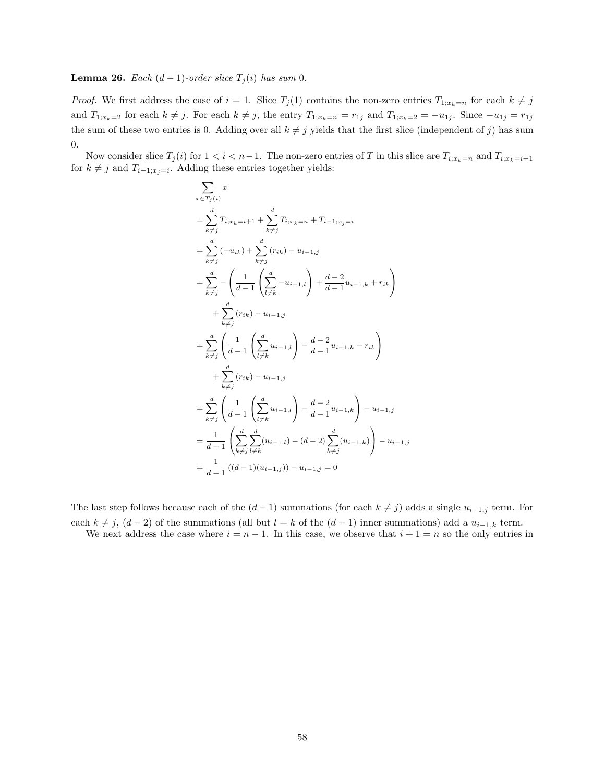<span id="page-62-0"></span>**Lemma 26.** Each  $(d-1)$ -order slice  $T_i(i)$  has sum 0.

*Proof.* We first address the case of  $i = 1$ . Slice  $T_j(1)$  contains the non-zero entries  $T_{1,x_k=n}$  for each  $k \neq j$ and  $T_{1;x_k=2}$  for each  $k \neq j$ . For each  $k \neq j$ , the entry  $T_{1;x_k=n} = r_{1j}$  and  $T_{1;x_k=2} = -u_{1j}$ . Since  $-u_{1j} = r_{1j}$ the sum of these two entries is 0. Adding over all  $k \neq j$  yields that the first slice (independent of j) has sum 0.

Now consider slice  $T_j(i)$  for  $1 < i < n-1$ . The non-zero entries of T in this slice are  $T_{i;x_k=n}$  and  $T_{i;x_k=i+1}$ for  $k \neq j$  and  $T_{i-1;x_j=i}$ . Adding these entries together yields:

$$
\sum_{x \in T_j(i)} x
$$
\n
$$
= \sum_{k \neq j}^{d} T_{i; x_k = i+1} + \sum_{k \neq j}^{d} T_{i; x_k = n} + T_{i-1; x_j = i}
$$
\n
$$
= \sum_{k \neq j}^{d} (-u_{ik}) + \sum_{k \neq j}^{d} (r_{ik}) - u_{i-1, j}
$$
\n
$$
= \sum_{k \neq j}^{d} - \left( \frac{1}{d-1} \left( \sum_{l \neq k}^{d} -u_{i-1, l} \right) + \frac{d-2}{d-1} u_{i-1, k} + r_{ik} \right)
$$
\n
$$
+ \sum_{k \neq j}^{d} (r_{ik}) - u_{i-1, j}
$$
\n
$$
= \sum_{k \neq j}^{d} \left( \frac{1}{d-1} \left( \sum_{l \neq k}^{d} u_{i-1, l} \right) - \frac{d-2}{d-1} u_{i-1, k} - r_{ik} \right)
$$
\n
$$
+ \sum_{k \neq j}^{d} (r_{ik}) - u_{i-1, j}
$$
\n
$$
= \sum_{k \neq j}^{d} \left( \frac{1}{d-1} \left( \sum_{l \neq k}^{d} u_{i-1, l} \right) - \frac{d-2}{d-1} u_{i-1, k} \right) - u_{i-1, j}
$$
\n
$$
= \frac{1}{d-1} \left( \sum_{k \neq j}^{d} \sum_{l \neq k}^{d} (u_{i-1, l}) - (d-2) \sum_{k \neq j}^{d} (u_{i-1, k}) \right) - u_{i-1, j}
$$
\n
$$
= \frac{1}{d-1} ((d-1)(u_{i-1, j})) - u_{i-1, j} = 0
$$

The last step follows because each of the  $(d-1)$  summations (for each  $k \neq j$ ) adds a single  $u_{i-1,j}$  term. For each  $k \neq j$ ,  $(d-2)$  of the summations (all but  $l = k$  of the  $(d-1)$  inner summations) add a  $u_{i-1,k}$  term.

We next address the case where  $i = n - 1$ . In this case, we observe that  $i + 1 = n$  so the only entries in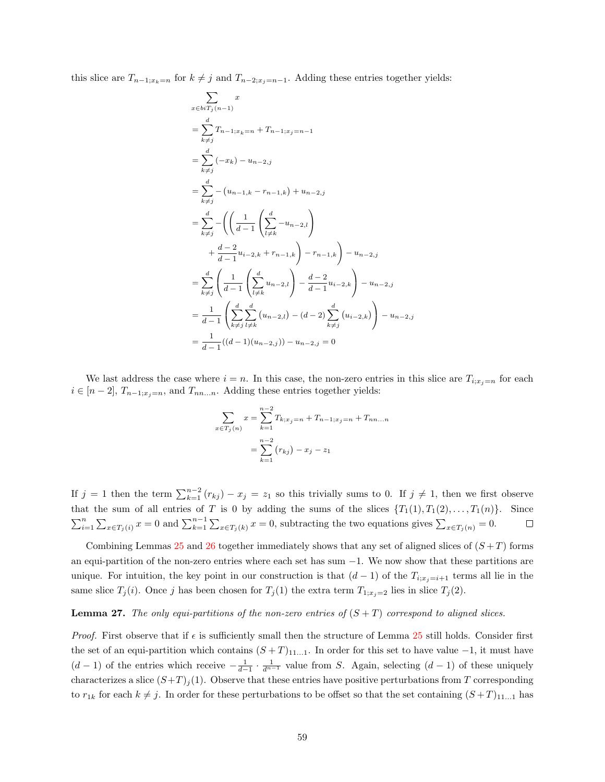this slice are  $T_{n-1;x_k=n}$  for  $k \neq j$  and  $T_{n-2;x_j=n-1}$ . Adding these entries together yields:

$$
\sum_{x \in bi T_j(n-1)} x
$$
\n
$$
= \sum_{k \neq j} T_{n-1; x_k = n} + T_{n-1; x_j = n-1}
$$
\n
$$
= \sum_{k \neq j} (-x_k) - u_{n-2, j}
$$
\n
$$
= \sum_{k \neq j} (-u_{n-1,k} - r_{n-1,k}) + u_{n-2, j}
$$
\n
$$
= \sum_{k \neq j} \left( \left( \frac{1}{d-1} \left( \sum_{l \neq k}^{d} -u_{n-2,l} \right) + \frac{d-2}{d-1} u_{i-2,k} + r_{n-1,k} \right) - r_{n-1,k} \right) - u_{n-2, j}
$$
\n
$$
= \sum_{k \neq j} \left( \frac{1}{d-1} \left( \sum_{l \neq k}^{d} u_{n-2,l} \right) - \frac{d-2}{d-1} u_{i-2,k} \right) - u_{n-2, j}
$$
\n
$$
= \frac{1}{d-1} \left( \sum_{k \neq j}^{d} \sum_{l \neq k}^{d} (u_{n-2,l}) - (d-2) \sum_{k \neq j}^{d} (u_{i-2,k}) \right) - u_{n-2, j}
$$
\n
$$
= \frac{1}{d-1} ((d-1)(u_{n-2,j})) - u_{n-2,j} = 0
$$

We last address the case where  $i = n$ . In this case, the non-zero entries in this slice are  $T_{i;x,j=n}$  for each  $i \in [n-2], T_{n-1;x_j=n}$ , and  $T_{nn...n}$ . Adding these entries together yields:

$$
\sum_{x \in T_j(n)} x = \sum_{k=1}^{n-2} T_{k;x_j=n} + T_{n-1;x_j=n} + T_{nn...n}
$$

$$
= \sum_{k=1}^{n-2} (r_{kj}) - x_j - z_1
$$

If  $j = 1$  then the term  $\sum_{k=1}^{n-2} (r_{kj}) - x_j = z_1$  so this trivially sums to 0. If  $j \neq 1$ , then we first observe that the sum of all entries of T is 0 by adding the sums of the slices  $\{T_1(1), T_1(2), \ldots, T_1(n)\}$ . Since  $\sum_{i=1}^n \sum_{x \in T_j(i)} x = 0$  and  $\sum_{k=1}^{n-1} \sum_{x \in T_j(k)} x = 0$ , subtracting the two equations gives  $\sum_{x \in T_j(n)} = 0$ .  $\Box$ 

Combining Lemmas [25](#page-61-0) and [26](#page-62-0) together immediately shows that any set of aligned slices of  $(S+T)$  forms an equi-partition of the non-zero entries where each set has sum −1. We now show that these partitions are unique. For intuition, the key point in our construction is that  $(d-1)$  of the  $T_{i,x_j=i+1}$  terms all lie in the same slice  $T_j(i)$ . Once j has been chosen for  $T_j(1)$  the extra term  $T_{1;x_j=2}$  lies in slice  $T_j(2)$ .

#### <span id="page-63-0"></span>**Lemma 27.** The only equi-partitions of the non-zero entries of  $(S + T)$  correspond to aligned slices.

*Proof.* First observe that if  $\epsilon$  is sufficiently small then the structure of Lemma [25](#page-61-0) still holds. Consider first the set of an equi-partition which contains  $(S+T)_{11...1}$ . In order for this set to have value  $-1$ , it must have  $(d-1)$  of the entries which receive  $-\frac{1}{d-1} \cdot \frac{1}{d^{n-1}}$  value from S. Again, selecting  $(d-1)$  of these uniquely characterizes a slice  $(S+T)_i(1)$ . Observe that these entries have positive perturbations from T corresponding to  $r_{1k}$  for each  $k \neq j$ . In order for these perturbations to be offset so that the set containing  $(S+T)_{11...1}$  has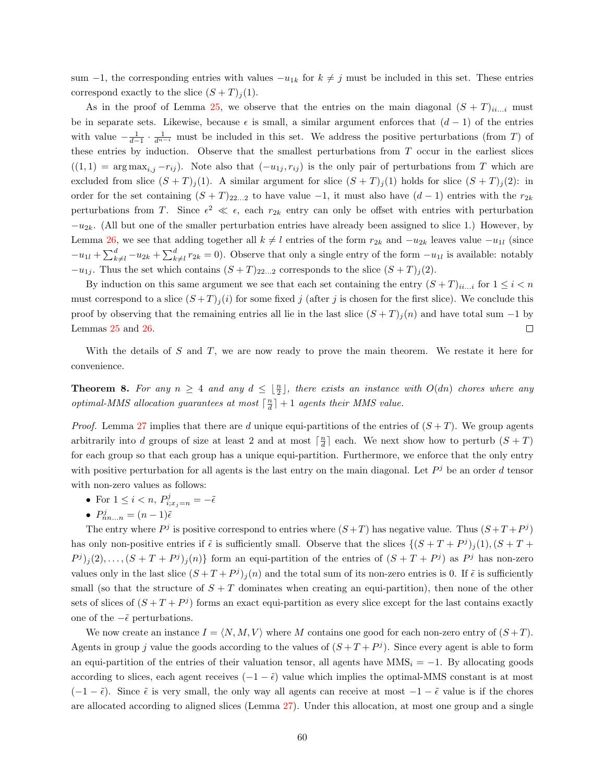sum –1, the corresponding entries with values  $-u_{1k}$  for  $k \neq j$  must be included in this set. These entries correspond exactly to the slice  $(S+T)_j(1)$ .

As in the proof of Lemma [25,](#page-61-0) we observe that the entries on the main diagonal  $(S+T)_{ii...i}$  must be in separate sets. Likewise, because  $\epsilon$  is small, a similar argument enforces that  $(d-1)$  of the entries with value  $-\frac{1}{d-1}\cdot\frac{1}{d^{n-i}}$  must be included in this set. We address the positive perturbations (from T) of these entries by induction. Observe that the smallest perturbations from  $T$  occur in the earliest slices  $((1, 1) = \arg \max_{i,j} -r_{ij})$ . Note also that  $(-u_{1j}, r_{ij})$  is the only pair of perturbations from T which are excluded from slice  $(S+T)_j(1)$ . A similar argument for slice  $(S+T)_j(1)$  holds for slice  $(S+T)_j(2)$ : in order for the set containing  $(S + T)_{22...2}$  to have value  $-1$ , it must also have  $(d - 1)$  entries with the  $r_{2k}$ perturbations from T. Since  $\epsilon^2 \ll \epsilon$ , each  $r_{2k}$  entry can only be offset with entries with perturbation  $-u_{2k}$ . (All but one of the smaller perturbation entries have already been assigned to slice 1.) However, by Lemma [26,](#page-62-0) we see that adding together all  $k \neq l$  entries of the form  $r_{2k}$  and  $-u_{2k}$  leaves value  $-u_{1l}$  (since  $-u_{1l} + \sum_{k=1}^d -u_{2k} + \sum_{k=1}^d r_{2k} = 0$ . Observe that only a single entry of the form  $-u_{1l}$  is available: notably  $-u_{1j}$ . Thus the set which contains  $(S+T)_{22...2}$  corresponds to the slice  $(S+T)_{j}(2)$ .

By induction on this same argument we see that each set containing the entry  $(S+T)_{ii...i}$  for  $1 \le i \le n$ must correspond to a slice  $(S+T)_j(i)$  for some fixed j (after j is chosen for the first slice). We conclude this proof by observing that the remaining entries all lie in the last slice  $(S + T)<sub>i</sub>(n)$  and have total sum −1 by Lemmas [25](#page-61-0) and [26.](#page-62-0)  $\Box$ 

With the details of  $S$  and  $T$ , we are now ready to prove the main theorem. We restate it here for convenience.

**Theorem 8.** For any  $n \geq 4$  and any  $d \leq \lfloor \frac{n}{2} \rfloor$ , there exists an instance with  $O(dn)$  chores where any optimal-MMS allocation guarantees at most  $\lceil \frac{n}{d} \rceil + 1$  agents their MMS value.

*Proof.* Lemma [27](#page-63-0) implies that there are d unique equi-partitions of the entries of  $(S+T)$ . We group agents arbitrarily into d groups of size at least 2 and at most  $\lceil \frac{n}{d} \rceil$  each. We next show how to perturb  $(S + T)$ for each group so that each group has a unique equi-partition. Furthermore, we enforce that the only entry with positive perturbation for all agents is the last entry on the main diagonal. Let  $P<sup>j</sup>$  be an order d tensor with non-zero values as follows:

- For  $1 \leq i < n$ ,  $P_{i;x_j=n}^j = -\tilde{\epsilon}$
- $P_{nn...n}^{j} = (n-1)\tilde{\epsilon}$

The entry where  $P^j$  is positive correspond to entries where  $(S+T)$  has negative value. Thus  $(S+T+P^j)$ has only non-positive entries if  $\tilde{\epsilon}$  is sufficiently small. Observe that the slices  $\{(S+T+P<sup>j</sup>)<sub>j</sub>(1), (S+T+P<sup>j</sup>)<sub>j</sub>(1), (S+T+P<sup>j</sup>)<sub>j</sub>(1), (S+T+P<sup>j</sup>)<sub>j</sub>(1), (S+T+P<sup>j</sup>)<sub>j</sub>(1), (S+T+P<sup>j</sup>)<sub>j</sub>(1), (S+T+P<sup>j</sup>$  $P^{j}(2), \ldots, (S+T+P^{j})_{j}(n)$  form an equi-partition of the entries of  $(S+T+P^{j})$  as  $P^{j}$  has non-zero values only in the last slice  $(S+T+P<sup>j</sup>)<sub>j</sub>(n)$  and the total sum of its non-zero entries is 0. If  $\tilde{\epsilon}$  is sufficiently small (so that the structure of  $S + T$  dominates when creating an equi-partition), then none of the other sets of slices of  $(S+T+P<sup>j</sup>)$  forms an exact equi-partition as every slice except for the last contains exactly one of the  $\tilde{e}$  perturbations.

We now create an instance  $I = \langle N, M, V \rangle$  where M contains one good for each non-zero entry of  $(S+T)$ . Agents in group j value the goods according to the values of  $(S+T+P<sup>j</sup>)$ . Since every agent is able to form an equi-partition of the entries of their valuation tensor, all agents have  $MMS_i = -1$ . By allocating goods according to slices, each agent receives  $(-1 - \tilde{\epsilon})$  value which implies the optimal-MMS constant is at most  $(-1 - \tilde{\epsilon})$ . Since  $\tilde{\epsilon}$  is very small, the only way all agents can receive at most  $-1 - \tilde{\epsilon}$  value is if the chores are allocated according to aligned slices (Lemma [27\)](#page-63-0). Under this allocation, at most one group and a single